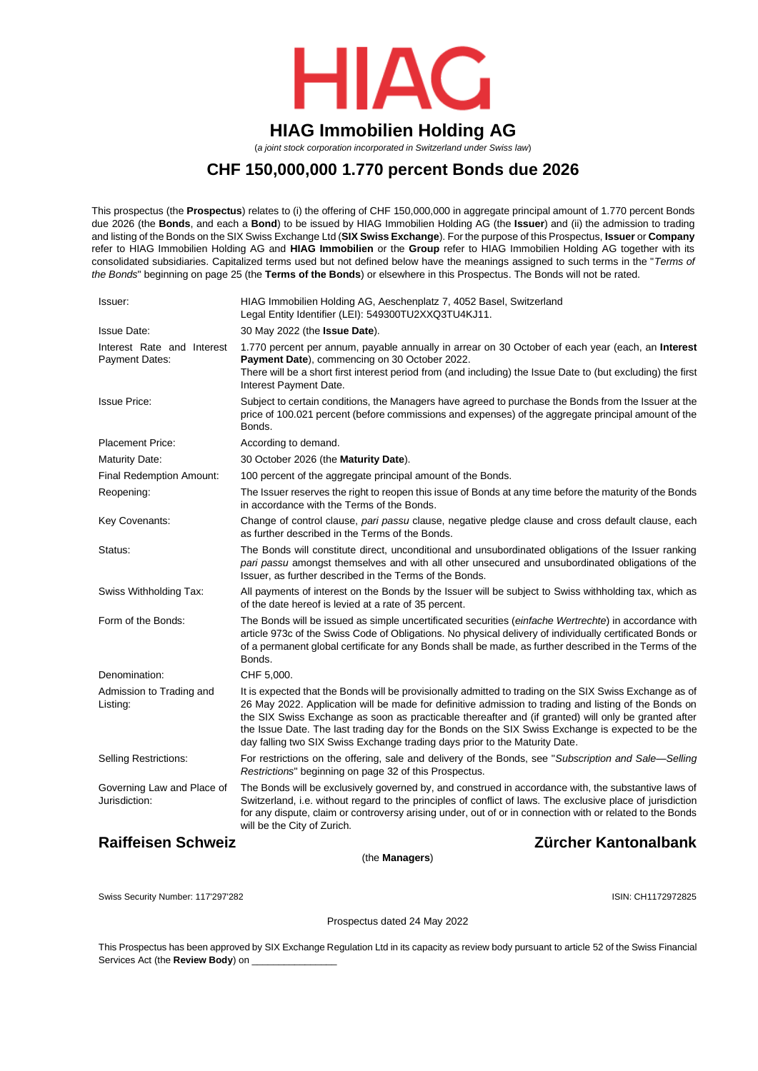

# **HIAG Immobilien Holding AG**

(*a joint stock corporation incorporated in Switzerland under Swiss law*)

## **CHF 150,000,000 1.770 percent Bonds due 2026**

This prospectus (the **Prospectus**) relates to (i) the offering of CHF 150,000,000 in aggregate principal amount of 1.770 percent Bonds due 2026 (the **Bonds**, and each a **Bond**) to be issued by HIAG Immobilien Holding AG (the **Issuer**) and (ii) the admission to trading and listing of the Bonds on the SIX Swiss Exchange Ltd (**SIX Swiss Exchange**). For the purpose of this Prospectus, **Issuer** or **Company** refer to HIAG Immobilien Holding AG and **HIAG Immobilien** or the **Group** refer to HIAG Immobilien Holding AG together with its consolidated subsidiaries. Capitalized terms used but not defined below have the meanings assigned to such terms in the "*Terms of the Bonds*" beginning on page [25](#page-24-0) (the **Terms of the Bonds**) or elsewhere in this Prospectus. The Bonds will not be rated.

| Issuer:                                             | HIAG Immobilien Holding AG, Aeschenplatz 7, 4052 Basel, Switzerland<br>Legal Entity Identifier (LEI): 549300TU2XXQ3TU4KJ11.                                                                                                                                                                                                                                                                                                                                                                                   |
|-----------------------------------------------------|---------------------------------------------------------------------------------------------------------------------------------------------------------------------------------------------------------------------------------------------------------------------------------------------------------------------------------------------------------------------------------------------------------------------------------------------------------------------------------------------------------------|
| <b>Issue Date:</b>                                  | 30 May 2022 (the <b>Issue Date</b> ).                                                                                                                                                                                                                                                                                                                                                                                                                                                                         |
| Interest Rate and Interest<br><b>Payment Dates:</b> | 1.770 percent per annum, payable annually in arrear on 30 October of each year (each, an Interest<br>Payment Date), commencing on 30 October 2022.<br>There will be a short first interest period from (and including) the Issue Date to (but excluding) the first<br>Interest Payment Date.                                                                                                                                                                                                                  |
| <b>Issue Price:</b>                                 | Subject to certain conditions, the Managers have agreed to purchase the Bonds from the Issuer at the<br>price of 100.021 percent (before commissions and expenses) of the aggregate principal amount of the<br>Bonds.                                                                                                                                                                                                                                                                                         |
| <b>Placement Price:</b>                             | According to demand.                                                                                                                                                                                                                                                                                                                                                                                                                                                                                          |
| <b>Maturity Date:</b>                               | 30 October 2026 (the Maturity Date).                                                                                                                                                                                                                                                                                                                                                                                                                                                                          |
| Final Redemption Amount:                            | 100 percent of the aggregate principal amount of the Bonds.                                                                                                                                                                                                                                                                                                                                                                                                                                                   |
| Reopening:                                          | The Issuer reserves the right to reopen this issue of Bonds at any time before the maturity of the Bonds<br>in accordance with the Terms of the Bonds.                                                                                                                                                                                                                                                                                                                                                        |
| Key Covenants:                                      | Change of control clause, pari passu clause, negative pledge clause and cross default clause, each<br>as further described in the Terms of the Bonds.                                                                                                                                                                                                                                                                                                                                                         |
| Status:                                             | The Bonds will constitute direct, unconditional and unsubordinated obligations of the Issuer ranking<br>pari passu amongst themselves and with all other unsecured and unsubordinated obligations of the<br>Issuer, as further described in the Terms of the Bonds.                                                                                                                                                                                                                                           |
| Swiss Withholding Tax:                              | All payments of interest on the Bonds by the Issuer will be subject to Swiss withholding tax, which as<br>of the date hereof is levied at a rate of 35 percent.                                                                                                                                                                                                                                                                                                                                               |
| Form of the Bonds:                                  | The Bonds will be issued as simple uncertificated securities (einfache Wertrechte) in accordance with<br>article 973c of the Swiss Code of Obligations. No physical delivery of individually certificated Bonds or<br>of a permanent global certificate for any Bonds shall be made, as further described in the Terms of the<br>Bonds.                                                                                                                                                                       |
| Denomination:                                       | CHF 5,000.                                                                                                                                                                                                                                                                                                                                                                                                                                                                                                    |
| Admission to Trading and<br>Listing:                | It is expected that the Bonds will be provisionally admitted to trading on the SIX Swiss Exchange as of<br>26 May 2022. Application will be made for definitive admission to trading and listing of the Bonds on<br>the SIX Swiss Exchange as soon as practicable thereafter and (if granted) will only be granted after<br>the Issue Date. The last trading day for the Bonds on the SIX Swiss Exchange is expected to be the<br>day falling two SIX Swiss Exchange trading days prior to the Maturity Date. |
| Selling Restrictions:                               | For restrictions on the offering, sale and delivery of the Bonds, see "Subscription and Sale—Selling<br>Restrictions" beginning on page 32 of this Prospectus.                                                                                                                                                                                                                                                                                                                                                |
| Governing Law and Place of<br>Jurisdiction:         | The Bonds will be exclusively governed by, and construed in accordance with, the substantive laws of<br>Switzerland, i.e. without regard to the principles of conflict of laws. The exclusive place of jurisdiction<br>for any dispute, claim or controversy arising under, out of or in connection with or related to the Bonds<br>will be the City of Zurich.                                                                                                                                               |
| <b>Raiffeisen Schweiz</b>                           | Zürcher Kantonalbank                                                                                                                                                                                                                                                                                                                                                                                                                                                                                          |

(the **Managers**)

Swiss Security Number: 117'297'282 **ISIN: CH1172972825** 

Prospectus dated 24 May 2022

This Prospectus has been approved by SIX Exchange Regulation Ltd in its capacity as review body pursuant to article 52 of the Swiss Financial Services Act (the **Review Body**) on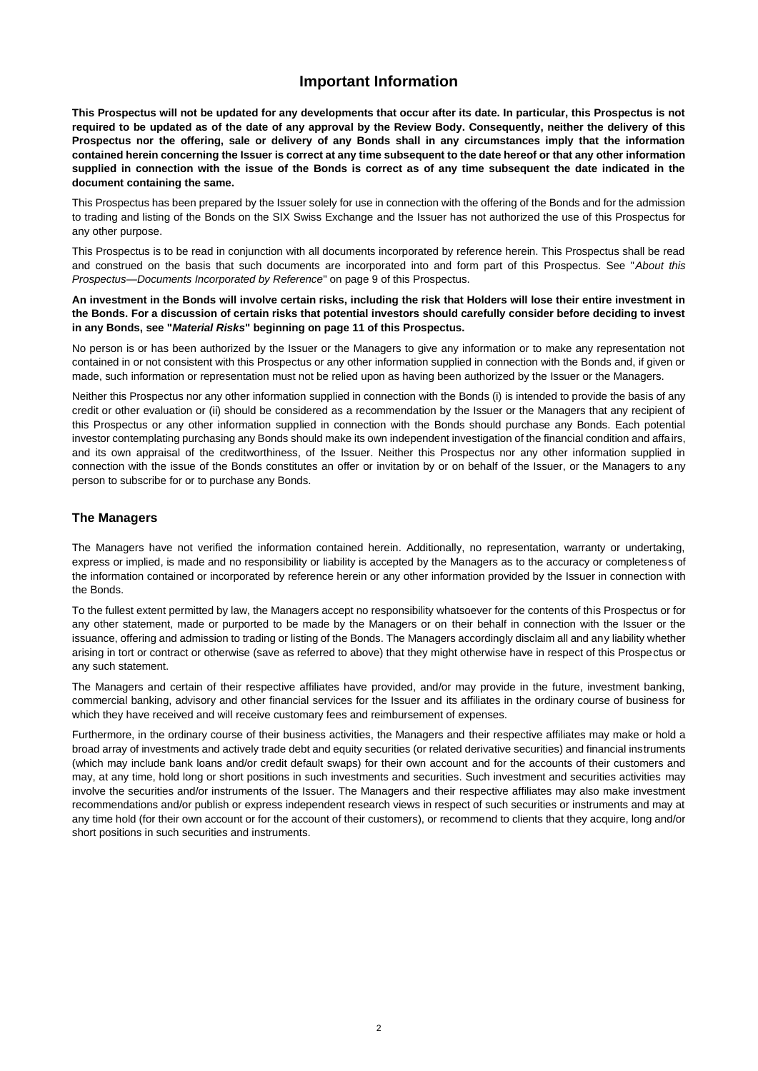## **Important Information**

<span id="page-1-0"></span>**This Prospectus will not be updated for any developments that occur after its date. In particular, this Prospectus is not required to be updated as of the date of any approval by the Review Body. Consequently, neither the delivery of this Prospectus nor the offering, sale or delivery of any Bonds shall in any circumstances imply that the information contained herein concerning the Issuer is correct at any time subsequent to the date hereof or that any other information supplied in connection with the issue of the Bonds is correct as of any time subsequent the date indicated in the document containing the same.**

This Prospectus has been prepared by the Issuer solely for use in connection with the offering of the Bonds and for the admission to trading and listing of the Bonds on the SIX Swiss Exchange and the Issuer has not authorized the use of this Prospectus for any other purpose.

This Prospectus is to be read in conjunction with all documents incorporated by reference herein. This Prospectus shall be read and construed on the basis that such documents are incorporated into and form part of this Prospectus. See "*About this Prospectus—Documents Incorporated by Reference*" on page [9](#page-8-0) of this Prospectus.

**An investment in the Bonds will involve certain risks, including the risk that Holders will lose their entire investment in the Bonds. For a discussion of certain risks that potential investors should carefully consider before deciding to invest in any Bonds, see "***Material Risks***" beginning on page [11](#page-10-0) of this Prospectus.**

No person is or has been authorized by the Issuer or the Managers to give any information or to make any representation not contained in or not consistent with this Prospectus or any other information supplied in connection with the Bonds and, if given or made, such information or representation must not be relied upon as having been authorized by the Issuer or the Managers.

Neither this Prospectus nor any other information supplied in connection with the Bonds (i) is intended to provide the basis of any credit or other evaluation or (ii) should be considered as a recommendation by the Issuer or the Managers that any recipient of this Prospectus or any other information supplied in connection with the Bonds should purchase any Bonds. Each potential investor contemplating purchasing any Bonds should make its own independent investigation of the financial condition and affairs, and its own appraisal of the creditworthiness, of the Issuer. Neither this Prospectus nor any other information supplied in connection with the issue of the Bonds constitutes an offer or invitation by or on behalf of the Issuer, or the Managers to any person to subscribe for or to purchase any Bonds.

## **The Managers**

The Managers have not verified the information contained herein. Additionally, no representation, warranty or undertaking, express or implied, is made and no responsibility or liability is accepted by the Managers as to the accuracy or completeness of the information contained or incorporated by reference herein or any other information provided by the Issuer in connection with the Bonds.

To the fullest extent permitted by law, the Managers accept no responsibility whatsoever for the contents of this Prospectus or for any other statement, made or purported to be made by the Managers or on their behalf in connection with the Issuer or the issuance, offering and admission to trading or listing of the Bonds. The Managers accordingly disclaim all and any liability whether arising in tort or contract or otherwise (save as referred to above) that they might otherwise have in respect of this Prospectus or any such statement.

The Managers and certain of their respective affiliates have provided, and/or may provide in the future, investment banking, commercial banking, advisory and other financial services for the Issuer and its affiliates in the ordinary course of business for which they have received and will receive customary fees and reimbursement of expenses.

Furthermore, in the ordinary course of their business activities, the Managers and their respective affiliates may make or hold a broad array of investments and actively trade debt and equity securities (or related derivative securities) and financial instruments (which may include bank loans and/or credit default swaps) for their own account and for the accounts of their customers and may, at any time, hold long or short positions in such investments and securities. Such investment and securities activities may involve the securities and/or instruments of the Issuer. The Managers and their respective affiliates may also make investment recommendations and/or publish or express independent research views in respect of such securities or instruments and may at any time hold (for their own account or for the account of their customers), or recommend to clients that they acquire, long and/or short positions in such securities and instruments.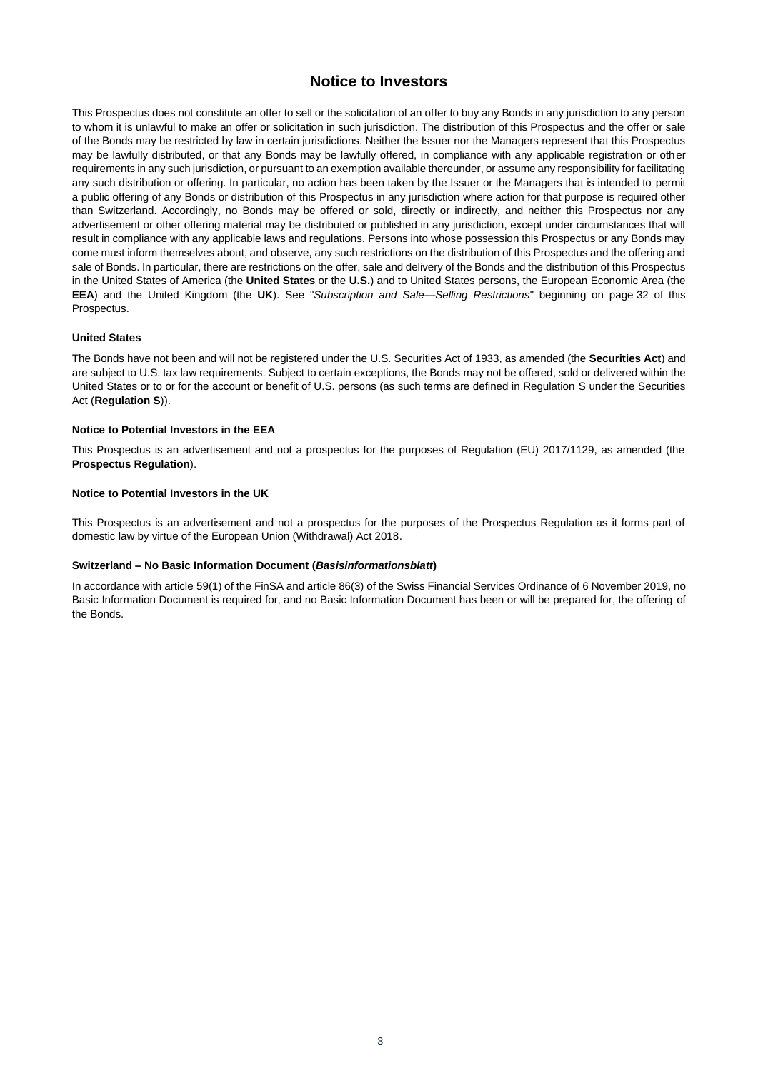## **Notice to Investors**

<span id="page-2-0"></span>This Prospectus does not constitute an offer to sell or the solicitation of an offer to buy any Bonds in any jurisdiction to any person to whom it is unlawful to make an offer or solicitation in such jurisdiction. The distribution of this Prospectus and the offer or sale of the Bonds may be restricted by law in certain jurisdictions. Neither the Issuer nor the Managers represent that this Prospectus may be lawfully distributed, or that any Bonds may be lawfully offered, in compliance with any applicable registration or other requirements in any such jurisdiction, or pursuant to an exemption available thereunder, or assume any responsibility for facilitating any such distribution or offering. In particular, no action has been taken by the Issuer or the Managers that is intended to permit a public offering of any Bonds or distribution of this Prospectus in any jurisdiction where action for that purpose is required other than Switzerland. Accordingly, no Bonds may be offered or sold, directly or indirectly, and neither this Prospectus nor any advertisement or other offering material may be distributed or published in any jurisdiction, except under circumstances that will result in compliance with any applicable laws and regulations. Persons into whose possession this Prospectus or any Bonds may come must inform themselves about, and observe, any such restrictions on the distribution of this Prospectus and the offering and sale of Bonds. In particular, there are restrictions on the offer, sale and delivery of the Bonds and the distribution of this Prospectus in the United States of America (the **United States** or the **U.S.**) and to United States persons, the European Economic Area (the **EEA**) and the United Kingdom (the **UK**). See "*Subscription and Sale—Selling Restrictions*" beginning on page [32](#page-31-0) of this Prospectus.

#### **United States**

The Bonds have not been and will not be registered under the U.S. Securities Act of 1933, as amended (the **Securities Act**) and are subject to U.S. tax law requirements. Subject to certain exceptions, the Bonds may not be offered, sold or delivered within the United States or to or for the account or benefit of U.S. persons (as such terms are defined in Regulation S under the Securities Act (**Regulation S**)).

#### **Notice to Potential Investors in the EEA**

This Prospectus is an advertisement and not a prospectus for the purposes of Regulation (EU) 2017/1129, as amended (the **Prospectus Regulation**).

#### **Notice to Potential Investors in the UK**

This Prospectus is an advertisement and not a prospectus for the purposes of the Prospectus Regulation as it forms part of domestic law by virtue of the European Union (Withdrawal) Act 2018.

### **Switzerland – No Basic Information Document (***Basisinformationsblatt***)**

In accordance with article 59(1) of the FinSA and article 86(3) of the Swiss Financial Services Ordinance of 6 November 2019, no Basic Information Document is required for, and no Basic Information Document has been or will be prepared for, the offering of the Bonds.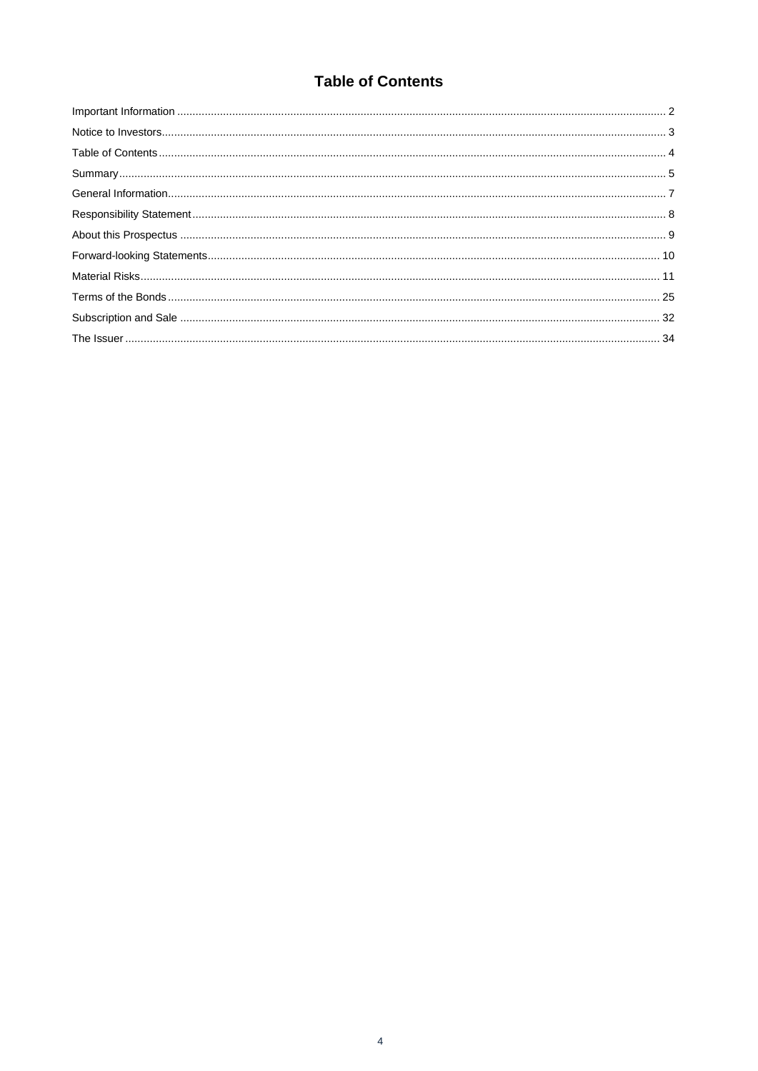# **Table of Contents**

<span id="page-3-0"></span>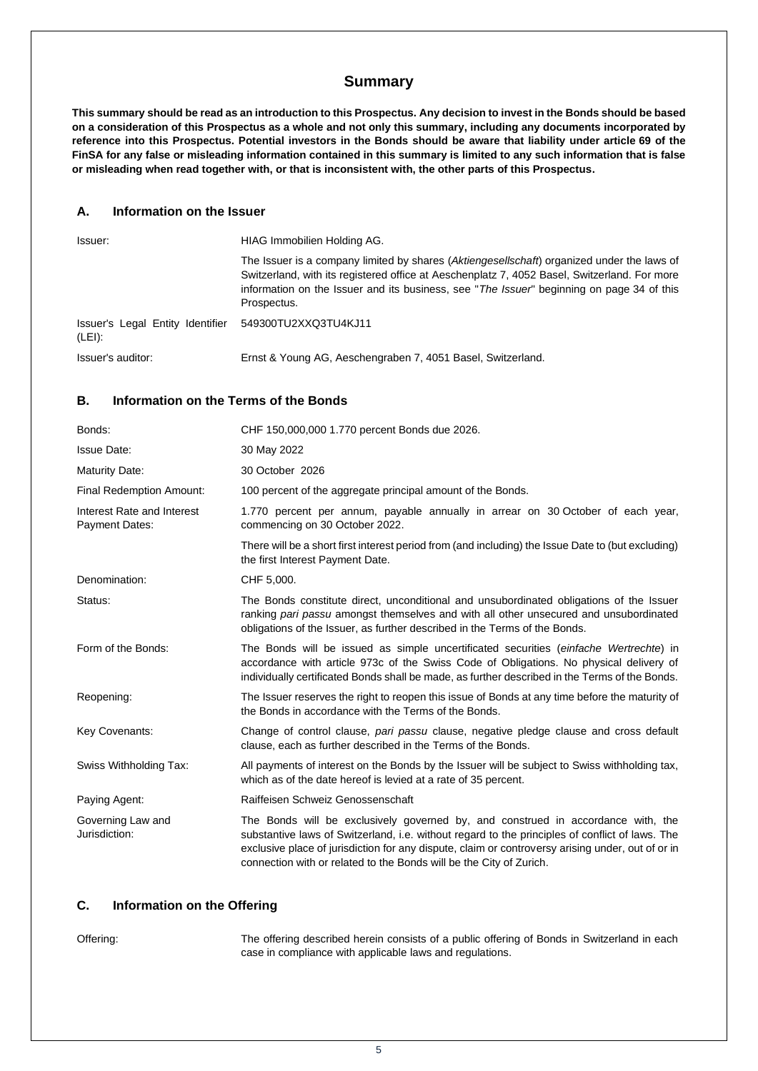## **Summary**

<span id="page-4-0"></span>**This summary should be read as an introduction to this Prospectus. Any decision to invest in the Bonds should be based on a consideration of this Prospectus as a whole and not only this summary, including any documents incorporated by reference into this Prospectus. Potential investors in the Bonds should be aware that liability under article 69 of the FinSA for any false or misleading information contained in this summary is limited to any such information that is false or misleading when read together with, or that is inconsistent with, the other parts of this Prospectus.**

#### **A. Information on the Issuer**

| Issuer:                                                         | HIAG Immobilien Holding AG.                                                                                                                                                                                                                                                                            |
|-----------------------------------------------------------------|--------------------------------------------------------------------------------------------------------------------------------------------------------------------------------------------------------------------------------------------------------------------------------------------------------|
|                                                                 | The Issuer is a company limited by shares (Aktiengesellschaft) organized under the laws of<br>Switzerland, with its registered office at Aeschenplatz 7, 4052 Basel, Switzerland. For more<br>information on the Issuer and its business, see "The Issuer" beginning on page 34 of this<br>Prospectus. |
| Issuer's Legal Entity Identifier 549300TU2XXQ3TU4KJ11<br>(LEI): |                                                                                                                                                                                                                                                                                                        |
| Issuer's auditor:                                               | Ernst & Young AG, Aeschengraben 7, 4051 Basel, Switzerland.                                                                                                                                                                                                                                            |

## **B. Information on the Terms of the Bonds**

| Bonds:                                              | CHF 150,000,000 1.770 percent Bonds due 2026.                                                                                                                                                                                                                                                                                                                   |
|-----------------------------------------------------|-----------------------------------------------------------------------------------------------------------------------------------------------------------------------------------------------------------------------------------------------------------------------------------------------------------------------------------------------------------------|
| <b>Issue Date:</b>                                  | 30 May 2022                                                                                                                                                                                                                                                                                                                                                     |
| <b>Maturity Date:</b>                               | 30 October 2026                                                                                                                                                                                                                                                                                                                                                 |
| <b>Final Redemption Amount:</b>                     | 100 percent of the aggregate principal amount of the Bonds.                                                                                                                                                                                                                                                                                                     |
| Interest Rate and Interest<br><b>Payment Dates:</b> | 1.770 percent per annum, payable annually in arrear on 30 October of each year,<br>commencing on 30 October 2022.                                                                                                                                                                                                                                               |
|                                                     | There will be a short first interest period from (and including) the Issue Date to (but excluding)<br>the first Interest Payment Date.                                                                                                                                                                                                                          |
| Denomination:                                       | CHF 5,000.                                                                                                                                                                                                                                                                                                                                                      |
| Status:                                             | The Bonds constitute direct, unconditional and unsubordinated obligations of the Issuer<br>ranking pari passu amongst themselves and with all other unsecured and unsubordinated<br>obligations of the Issuer, as further described in the Terms of the Bonds.                                                                                                  |
| Form of the Bonds:                                  | The Bonds will be issued as simple uncertificated securities (einfache Wertrechte) in<br>accordance with article 973c of the Swiss Code of Obligations. No physical delivery of<br>individually certificated Bonds shall be made, as further described in the Terms of the Bonds.                                                                               |
| Reopening:                                          | The Issuer reserves the right to reopen this issue of Bonds at any time before the maturity of<br>the Bonds in accordance with the Terms of the Bonds.                                                                                                                                                                                                          |
| Key Covenants:                                      | Change of control clause, pari passu clause, negative pledge clause and cross default<br>clause, each as further described in the Terms of the Bonds.                                                                                                                                                                                                           |
| Swiss Withholding Tax:                              | All payments of interest on the Bonds by the Issuer will be subject to Swiss withholding tax,<br>which as of the date hereof is levied at a rate of 35 percent.                                                                                                                                                                                                 |
| Paying Agent:                                       | Raiffeisen Schweiz Genossenschaft                                                                                                                                                                                                                                                                                                                               |
| Governing Law and<br>Jurisdiction:                  | The Bonds will be exclusively governed by, and construed in accordance with, the<br>substantive laws of Switzerland, i.e. without regard to the principles of conflict of laws. The<br>exclusive place of jurisdiction for any dispute, claim or controversy arising under, out of or in<br>connection with or related to the Bonds will be the City of Zurich. |

## **C. Information on the Offering**

Offering: The offering described herein consists of a public offering of Bonds in Switzerland in each case in compliance with applicable laws and regulations.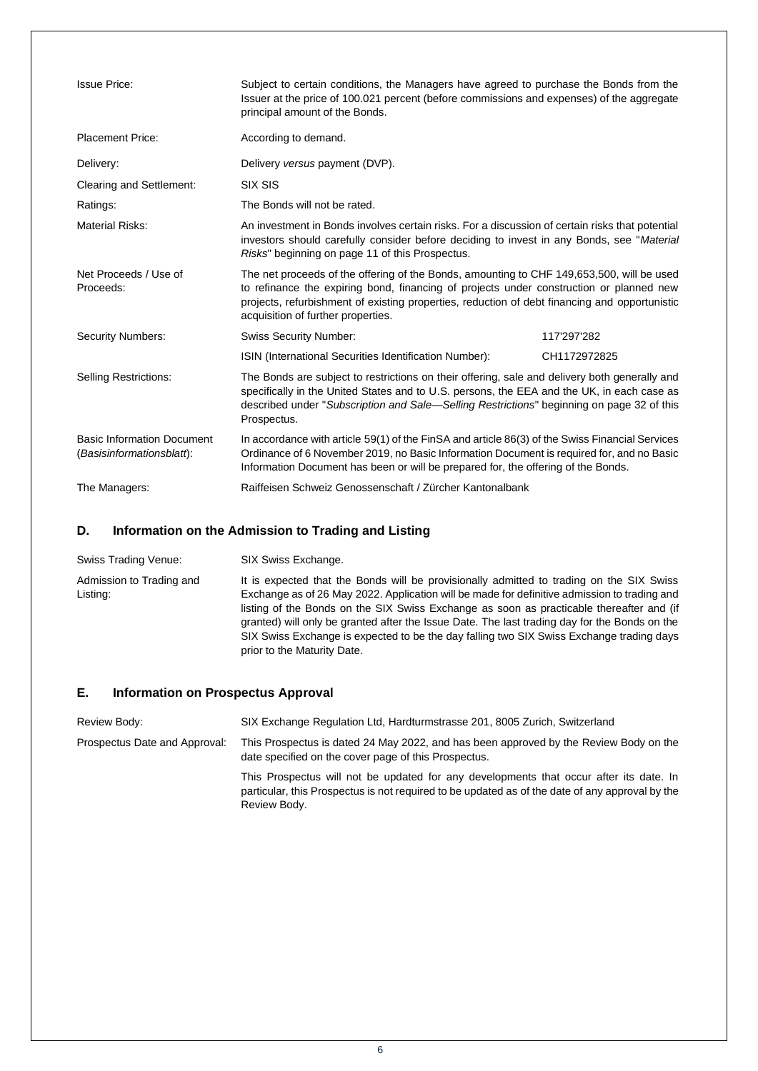| <b>Issue Price:</b>                                            | Subject to certain conditions, the Managers have agreed to purchase the Bonds from the<br>Issuer at the price of 100.021 percent (before commissions and expenses) of the aggregate<br>principal amount of the Bonds.                                                                                                       |              |
|----------------------------------------------------------------|-----------------------------------------------------------------------------------------------------------------------------------------------------------------------------------------------------------------------------------------------------------------------------------------------------------------------------|--------------|
| <b>Placement Price:</b>                                        | According to demand.                                                                                                                                                                                                                                                                                                        |              |
| Delivery:                                                      | Delivery versus payment (DVP).                                                                                                                                                                                                                                                                                              |              |
| <b>Clearing and Settlement:</b>                                | SIX SIS                                                                                                                                                                                                                                                                                                                     |              |
| Ratings:                                                       | The Bonds will not be rated.                                                                                                                                                                                                                                                                                                |              |
| <b>Material Risks:</b>                                         | An investment in Bonds involves certain risks. For a discussion of certain risks that potential<br>investors should carefully consider before deciding to invest in any Bonds, see "Material<br>Risks" beginning on page 11 of this Prospectus.                                                                             |              |
| Net Proceeds / Use of<br>Proceeds:                             | The net proceeds of the offering of the Bonds, amounting to CHF 149,653,500, will be used<br>to refinance the expiring bond, financing of projects under construction or planned new<br>projects, refurbishment of existing properties, reduction of debt financing and opportunistic<br>acquisition of further properties. |              |
| <b>Security Numbers:</b>                                       | <b>Swiss Security Number:</b>                                                                                                                                                                                                                                                                                               | 117'297'282  |
|                                                                | ISIN (International Securities Identification Number):                                                                                                                                                                                                                                                                      | CH1172972825 |
| <b>Selling Restrictions:</b>                                   | The Bonds are subject to restrictions on their offering, sale and delivery both generally and<br>specifically in the United States and to U.S. persons, the EEA and the UK, in each case as<br>described under "Subscription and Sale—Selling Restrictions" beginning on page 32 of this<br>Prospectus.                     |              |
| <b>Basic Information Document</b><br>(Basisinformationsblatt): | In accordance with article 59(1) of the FinSA and article 86(3) of the Swiss Financial Services<br>Ordinance of 6 November 2019, no Basic Information Document is required for, and no Basic<br>Information Document has been or will be prepared for, the offering of the Bonds.                                           |              |
| The Managers:                                                  | Raiffeisen Schweiz Genossenschaft / Zürcher Kantonalbank                                                                                                                                                                                                                                                                    |              |

## **D. Information on the Admission to Trading and Listing**

| Swiss Trading Venue:                 | SIX Swiss Exchange.                                                                                                                                                                                                                                                                                                                                                                                                                                                                                              |
|--------------------------------------|------------------------------------------------------------------------------------------------------------------------------------------------------------------------------------------------------------------------------------------------------------------------------------------------------------------------------------------------------------------------------------------------------------------------------------------------------------------------------------------------------------------|
| Admission to Trading and<br>Listing: | It is expected that the Bonds will be provisionally admitted to trading on the SIX Swiss<br>Exchange as of 26 May 2022. Application will be made for definitive admission to trading and<br>listing of the Bonds on the SIX Swiss Exchange as soon as practicable thereafter and (if<br>granted) will only be granted after the Issue Date. The last trading day for the Bonds on the<br>SIX Swiss Exchange is expected to be the day falling two SIX Swiss Exchange trading days<br>prior to the Maturity Date. |

## **E. Information on Prospectus Approval**

Review Body: SIX Exchange Regulation Ltd, Hardturmstrasse 201, 8005 Zurich, Switzerland Prospectus Date and Approval: This Prospectus is dated 24 May 2022, and has been approved by the Review Body on the date specified on the cover page of this Prospectus. This Prospectus will not be updated for any developments that occur after its date. In particular, this Prospectus is not required to be updated as of the date of any approval by the Review Body.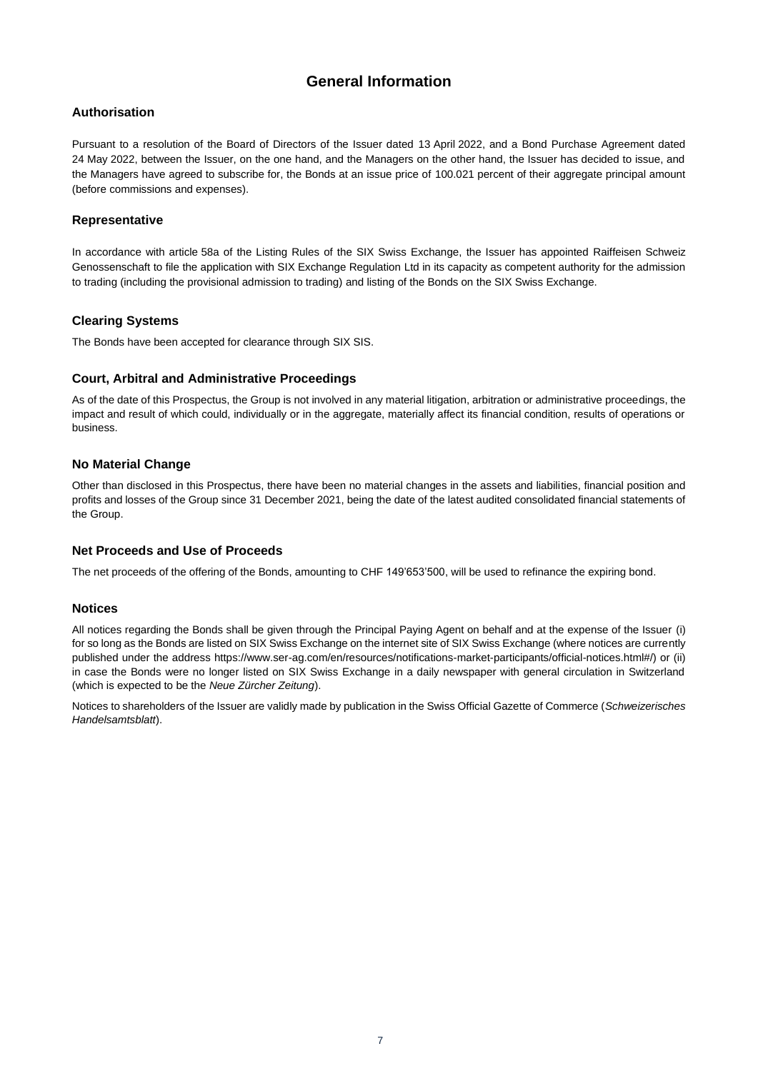## **General Information**

## <span id="page-6-0"></span>**Authorisation**

Pursuant to a resolution of the Board of Directors of the Issuer dated 13 April 2022, and a Bond Purchase Agreement dated 24 May 2022, between the Issuer, on the one hand, and the Managers on the other hand, the Issuer has decided to issue, and the Managers have agreed to subscribe for, the Bonds at an issue price of 100.021 percent of their aggregate principal amount (before commissions and expenses).

## **Representative**

In accordance with article 58a of the Listing Rules of the SIX Swiss Exchange, the Issuer has appointed Raiffeisen Schweiz Genossenschaft to file the application with SIX Exchange Regulation Ltd in its capacity as competent authority for the admission to trading (including the provisional admission to trading) and listing of the Bonds on the SIX Swiss Exchange.

## **Clearing Systems**

The Bonds have been accepted for clearance through SIX SIS.

## **Court, Arbitral and Administrative Proceedings**

As of the date of this Prospectus, the Group is not involved in any material litigation, arbitration or administrative proceedings, the impact and result of which could, individually or in the aggregate, materially affect its financial condition, results of operations or business.

## **No Material Change**

Other than disclosed in this Prospectus, there have been no material changes in the assets and liabilities, financial position and profits and losses of the Group since 31 December 2021, being the date of the latest audited consolidated financial statements of the Group.

## **Net Proceeds and Use of Proceeds**

The net proceeds of the offering of the Bonds, amounting to CHF 149'653'500, will be used to refinance the expiring bond.

## **Notices**

All notices regarding the Bonds shall be given through the Principal Paying Agent on behalf and at the expense of the Issuer (i) for so long as the Bonds are listed on SIX Swiss Exchange on the internet site of SIX Swiss Exchange (where notices are currently published under the address https://www.ser-ag.com/en/resources/notifications-market-participants/official-notices.html#/) or (ii) in case the Bonds were no longer listed on SIX Swiss Exchange in a daily newspaper with general circulation in Switzerland (which is expected to be the *Neue Zürcher Zeitung*).

Notices to shareholders of the Issuer are validly made by publication in the Swiss Official Gazette of Commerce (*Schweizerisches Handelsamtsblatt*).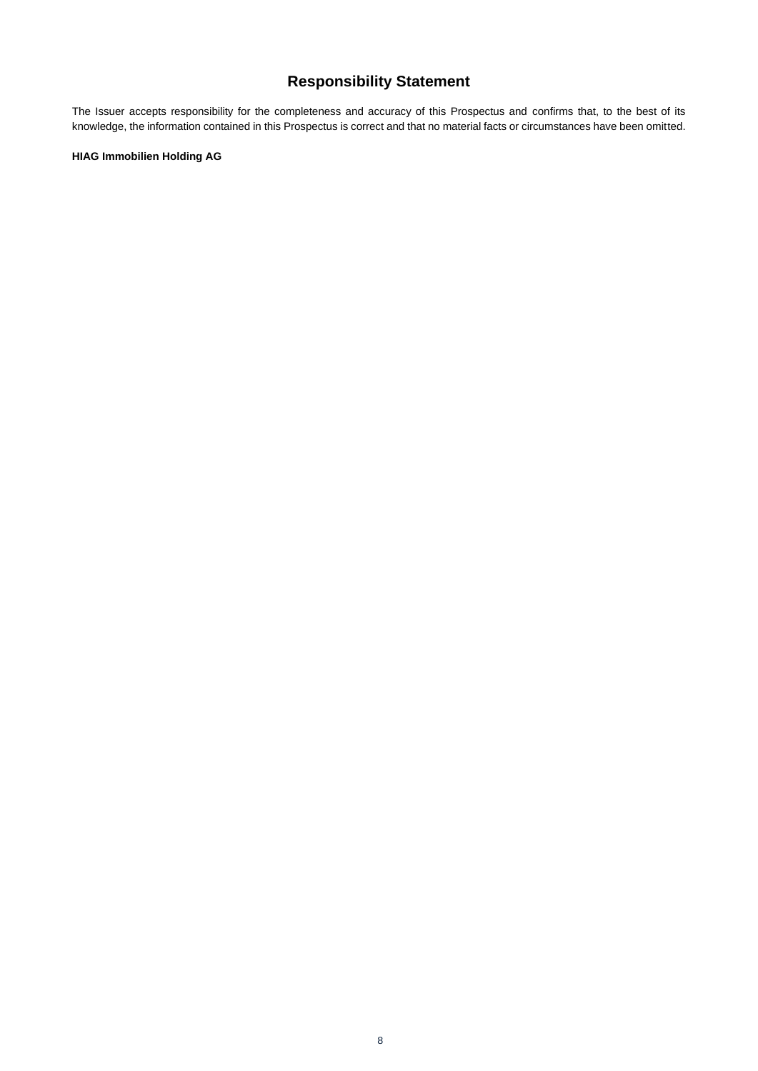# **Responsibility Statement**

<span id="page-7-0"></span>The Issuer accepts responsibility for the completeness and accuracy of this Prospectus and confirms that, to the best of its knowledge, the information contained in this Prospectus is correct and that no material facts or circumstances have been omitted.

### **HIAG Immobilien Holding AG**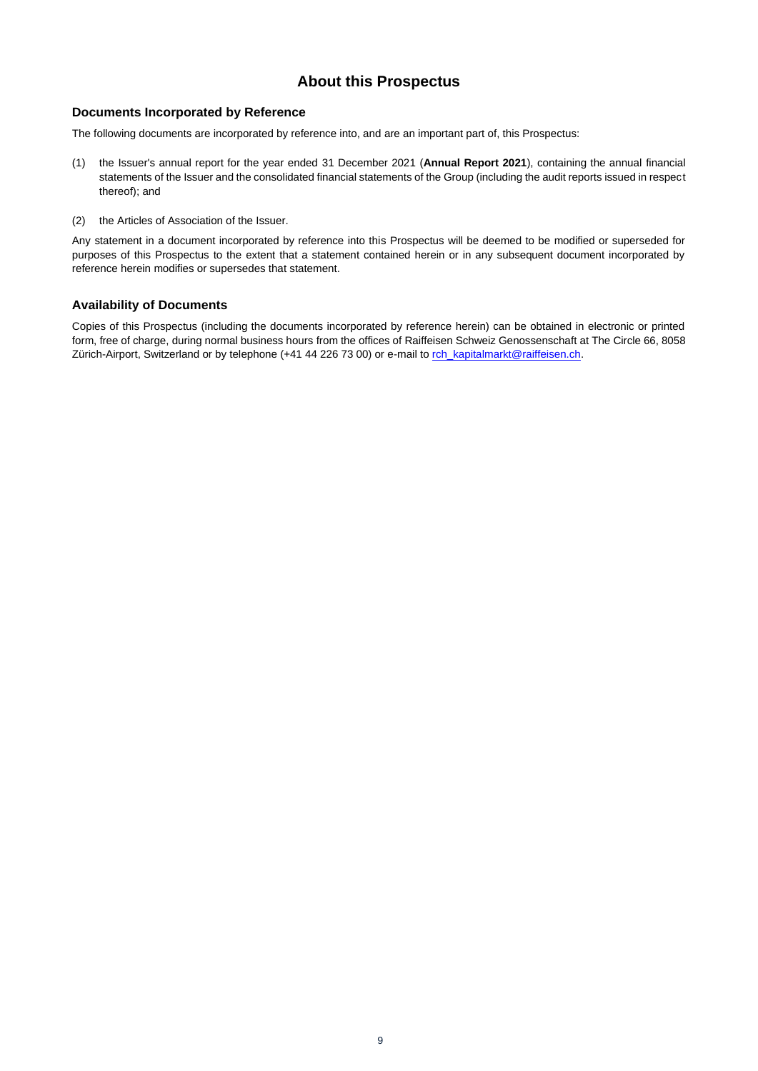## **About this Prospectus**

## <span id="page-8-1"></span><span id="page-8-0"></span>**Documents Incorporated by Reference**

The following documents are incorporated by reference into, and are an important part of, this Prospectus:

- (1) the Issuer's annual report for the year ended 31 December 2021 (**Annual Report 2021**), containing the annual financial statements of the Issuer and the consolidated financial statements of the Group (including the audit reports issued in respect thereof); and
- (2) the Articles of Association of the Issuer.

Any statement in a document incorporated by reference into this Prospectus will be deemed to be modified or superseded for purposes of this Prospectus to the extent that a statement contained herein or in any subsequent document incorporated by reference herein modifies or supersedes that statement.

## **Availability of Documents**

Copies of this Prospectus (including the documents incorporated by reference herein) can be obtained in electronic or printed form, free of charge, during normal business hours from the offices of Raiffeisen Schweiz Genossenschaft at The Circle 66, 8058 Zürich-Airport, Switzerland or by telephone (+41 44 226 73 00) or e-mail t[o rch\\_kapitalmarkt@raiffeisen.ch.](mailto:rch_kapitalmarkt@raiffeisen.ch)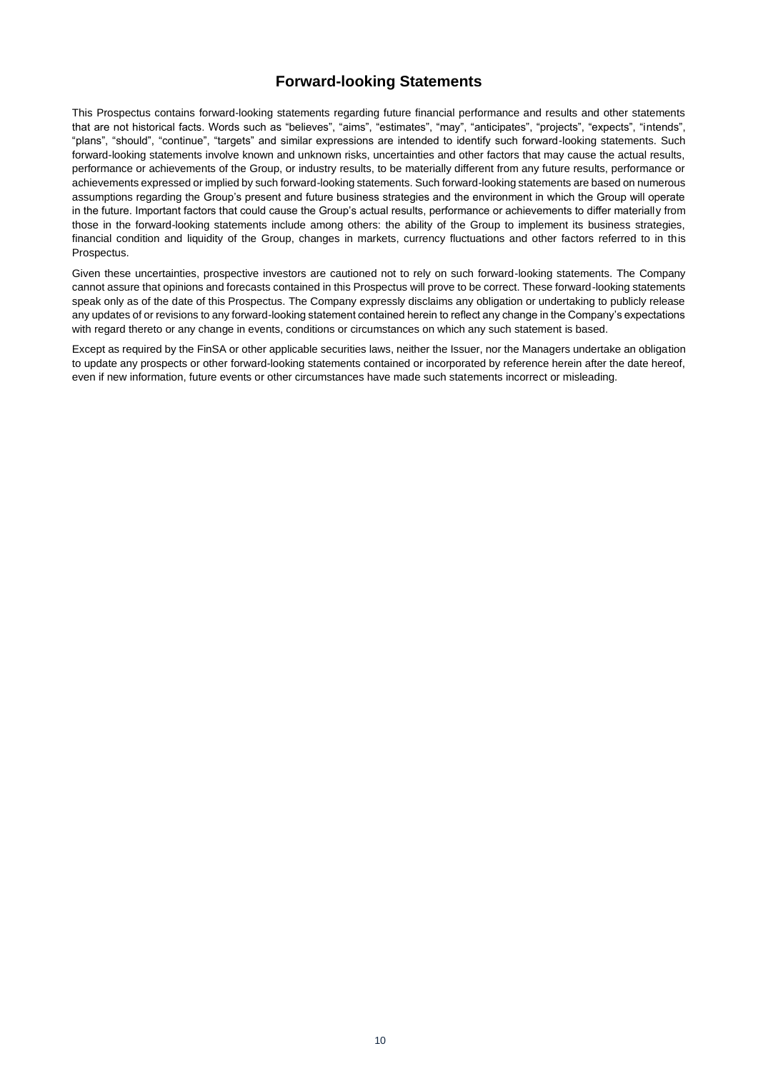## **Forward-looking Statements**

<span id="page-9-0"></span>This Prospectus contains forward-looking statements regarding future financial performance and results and other statements that are not historical facts. Words such as "believes", "aims", "estimates", "may", "anticipates", "projects", "expects", "intends", "plans", "should", "continue", "targets" and similar expressions are intended to identify such forward-looking statements. Such forward-looking statements involve known and unknown risks, uncertainties and other factors that may cause the actual results, performance or achievements of the Group, or industry results, to be materially different from any future results, performance or achievements expressed or implied by such forward-looking statements. Such forward-looking statements are based on numerous assumptions regarding the Group's present and future business strategies and the environment in which the Group will operate in the future. Important factors that could cause the Group's actual results, performance or achievements to differ materially from those in the forward-looking statements include among others: the ability of the Group to implement its business strategies, financial condition and liquidity of the Group, changes in markets, currency fluctuations and other factors referred to in this Prospectus.

Given these uncertainties, prospective investors are cautioned not to rely on such forward-looking statements. The Company cannot assure that opinions and forecasts contained in this Prospectus will prove to be correct. These forward-looking statements speak only as of the date of this Prospectus. The Company expressly disclaims any obligation or undertaking to publicly release any updates of or revisions to any forward-looking statement contained herein to reflect any change in the Company's expectations with regard thereto or any change in events, conditions or circumstances on which any such statement is based.

Except as required by the FinSA or other applicable securities laws, neither the Issuer, nor the Managers undertake an obligation to update any prospects or other forward-looking statements contained or incorporated by reference herein after the date hereof, even if new information, future events or other circumstances have made such statements incorrect or misleading.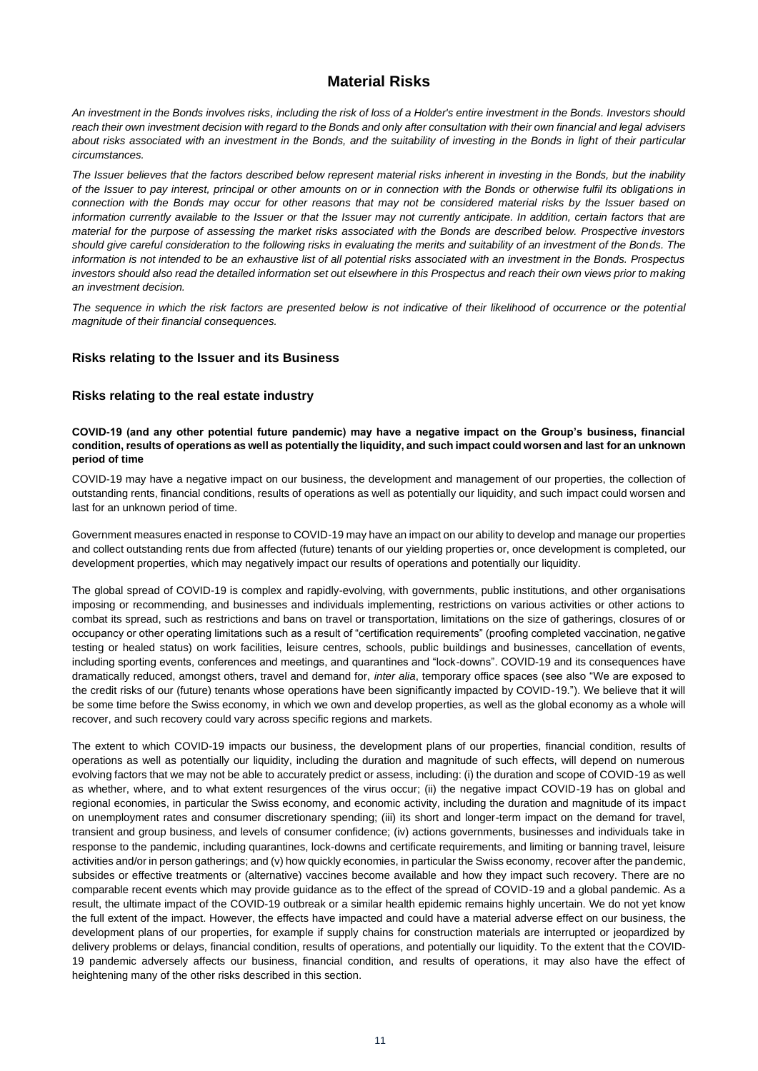## **Material Risks**

<span id="page-10-0"></span>*An investment in the Bonds involves risks, including the risk of loss of a Holder's entire investment in the Bonds. Investors should reach their own investment decision with regard to the Bonds and only after consultation with their own financial and legal advisers about risks associated with an investment in the Bonds, and the suitability of investing in the Bonds in light of their particular circumstances.*

*The Issuer believes that the factors described below represent material risks inherent in investing in the Bonds, but the inability of the Issuer to pay interest, principal or other amounts on or in connection with the Bonds or otherwise fulfil its obligations in connection with the Bonds may occur for other reasons that may not be considered material risks by the Issuer based on information currently available to the Issuer or that the Issuer may not currently anticipate. In addition, certain factors that are material for the purpose of assessing the market risks associated with the Bonds are described below. Prospective investors should give careful consideration to the following risks in evaluating the merits and suitability of an investment of the Bonds. The information is not intended to be an exhaustive list of all potential risks associated with an investment in the Bonds. Prospectus investors should also read the detailed information set out elsewhere in this Prospectus and reach their own views prior to making an investment decision.*

*The sequence in which the risk factors are presented below is not indicative of their likelihood of occurrence or the potential magnitude of their financial consequences.*

## <span id="page-10-1"></span>**Risks relating to the Issuer and its Business**

## **Risks relating to the real estate industry**

#### **COVID-19 (and any other potential future pandemic) may have a negative impact on the Group's business, financial condition, results of operations as well as potentially the liquidity, and such impact could worsen and last for an unknown period of time**

COVID-19 may have a negative impact on our business, the development and management of our properties, the collection of outstanding rents, financial conditions, results of operations as well as potentially our liquidity, and such impact could worsen and last for an unknown period of time.

Government measures enacted in response to COVID-19 may have an impact on our ability to develop and manage our properties and collect outstanding rents due from affected (future) tenants of our yielding properties or, once development is completed, our development properties, which may negatively impact our results of operations and potentially our liquidity.

The global spread of COVID-19 is complex and rapidly-evolving, with governments, public institutions, and other organisations imposing or recommending, and businesses and individuals implementing, restrictions on various activities or other actions to combat its spread, such as restrictions and bans on travel or transportation, limitations on the size of gatherings, closures of or occupancy or other operating limitations such as a result of "certification requirements" (proofing completed vaccination, negative testing or healed status) on work facilities, leisure centres, schools, public buildings and businesses, cancellation of events, including sporting events, conferences and meetings, and quarantines and "lock-downs". COVID-19 and its consequences have dramatically reduced, amongst others, travel and demand for, *inter alia*, temporary office spaces (see also "We are exposed to the credit risks of our (future) tenants whose operations have been significantly impacted by COVID-19."). We believe that it will be some time before the Swiss economy, in which we own and develop properties, as well as the global economy as a whole will recover, and such recovery could vary across specific regions and markets.

The extent to which COVID-19 impacts our business, the development plans of our properties, financial condition, results of operations as well as potentially our liquidity, including the duration and magnitude of such effects, will depend on numerous evolving factors that we may not be able to accurately predict or assess, including: (i) the duration and scope of COVID-19 as well as whether, where, and to what extent resurgences of the virus occur; (ii) the negative impact COVID-19 has on global and regional economies, in particular the Swiss economy, and economic activity, including the duration and magnitude of its impact on unemployment rates and consumer discretionary spending; (iii) its short and longer-term impact on the demand for travel, transient and group business, and levels of consumer confidence; (iv) actions governments, businesses and individuals take in response to the pandemic, including quarantines, lock-downs and certificate requirements, and limiting or banning travel, leisure activities and/or in person gatherings; and (v) how quickly economies, in particular the Swiss economy, recover after the pandemic, subsides or effective treatments or (alternative) vaccines become available and how they impact such recovery. There are no comparable recent events which may provide guidance as to the effect of the spread of COVID-19 and a global pandemic. As a result, the ultimate impact of the COVID-19 outbreak or a similar health epidemic remains highly uncertain. We do not yet know the full extent of the impact. However, the effects have impacted and could have a material adverse effect on our business, the development plans of our properties, for example if supply chains for construction materials are interrupted or jeopardized by delivery problems or delays, financial condition, results of operations, and potentially our liquidity. To the extent that the COVID-19 pandemic adversely affects our business, financial condition, and results of operations, it may also have the effect of heightening many of the other risks described in this section.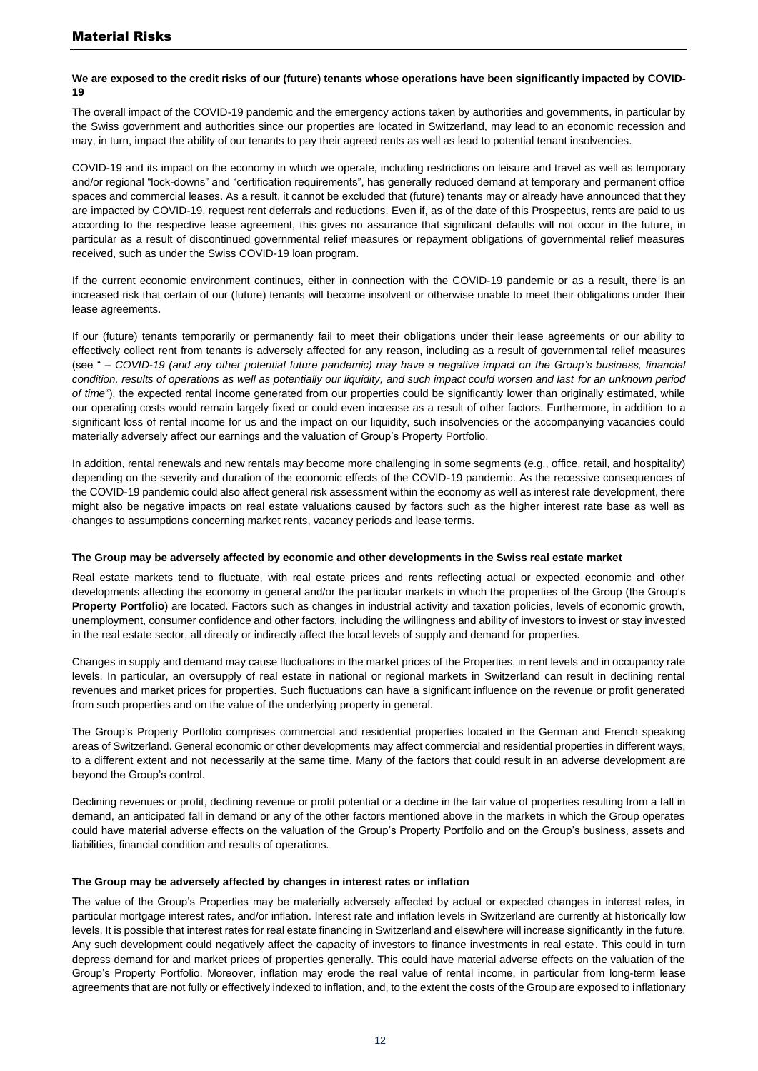#### We are exposed to the credit risks of our (future) tenants whose operations have been significantly impacted by COVID-**19**

The overall impact of the COVID-19 pandemic and the emergency actions taken by authorities and governments, in particular by the Swiss government and authorities since our properties are located in Switzerland, may lead to an economic recession and may, in turn, impact the ability of our tenants to pay their agreed rents as well as lead to potential tenant insolvencies.

COVID-19 and its impact on the economy in which we operate, including restrictions on leisure and travel as well as temporary and/or regional "lock-downs" and "certification requirements", has generally reduced demand at temporary and permanent office spaces and commercial leases. As a result, it cannot be excluded that (future) tenants may or already have announced that they are impacted by COVID-19, request rent deferrals and reductions. Even if, as of the date of this Prospectus, rents are paid to us according to the respective lease agreement, this gives no assurance that significant defaults will not occur in the future, in particular as a result of discontinued governmental relief measures or repayment obligations of governmental relief measures received, such as under the Swiss COVID-19 loan program.

If the current economic environment continues, either in connection with the COVID-19 pandemic or as a result, there is an increased risk that certain of our (future) tenants will become insolvent or otherwise unable to meet their obligations under their lease agreements.

If our (future) tenants temporarily or permanently fail to meet their obligations under their lease agreements or our ability to effectively collect rent from tenants is adversely affected for any reason, including as a result of governmental relief measures (see " *– COVID-19 (and any other potential future pandemic) may have a negative impact on the Group's business, financial condition, results of operations as well as potentially our liquidity, and such impact could worsen and last for an unknown period of time*"), the expected rental income generated from our properties could be significantly lower than originally estimated, while our operating costs would remain largely fixed or could even increase as a result of other factors. Furthermore, in addition to a significant loss of rental income for us and the impact on our liquidity, such insolvencies or the accompanying vacancies could materially adversely affect our earnings and the valuation of Group's Property Portfolio.

In addition, rental renewals and new rentals may become more challenging in some segments (e.g., office, retail, and hospitality) depending on the severity and duration of the economic effects of the COVID-19 pandemic. As the recessive consequences of the COVID-19 pandemic could also affect general risk assessment within the economy as well as interest rate development, there might also be negative impacts on real estate valuations caused by factors such as the higher interest rate base as well as changes to assumptions concerning market rents, vacancy periods and lease terms.

#### **The Group may be adversely affected by economic and other developments in the Swiss real estate market**

Real estate markets tend to fluctuate, with real estate prices and rents reflecting actual or expected economic and other developments affecting the economy in general and/or the particular markets in which the properties of the Group (the Group's **Property Portfolio**) are located. Factors such as changes in industrial activity and taxation policies, levels of economic growth, unemployment, consumer confidence and other factors, including the willingness and ability of investors to invest or stay invested in the real estate sector, all directly or indirectly affect the local levels of supply and demand for properties.

Changes in supply and demand may cause fluctuations in the market prices of the Properties, in rent levels and in occupancy rate levels. In particular, an oversupply of real estate in national or regional markets in Switzerland can result in declining rental revenues and market prices for properties. Such fluctuations can have a significant influence on the revenue or profit generated from such properties and on the value of the underlying property in general.

The Group's Property Portfolio comprises commercial and residential properties located in the German and French speaking areas of Switzerland. General economic or other developments may affect commercial and residential properties in different ways, to a different extent and not necessarily at the same time. Many of the factors that could result in an adverse development are beyond the Group's control.

Declining revenues or profit, declining revenue or profit potential or a decline in the fair value of properties resulting from a fall in demand, an anticipated fall in demand or any of the other factors mentioned above in the markets in which the Group operates could have material adverse effects on the valuation of the Group's Property Portfolio and on the Group's business, assets and liabilities, financial condition and results of operations.

#### **The Group may be adversely affected by changes in interest rates or inflation**

The value of the Group's Properties may be materially adversely affected by actual or expected changes in interest rates, in particular mortgage interest rates, and/or inflation. Interest rate and inflation levels in Switzerland are currently at historically low levels. It is possible that interest rates for real estate financing in Switzerland and elsewhere will increase significantly in the future. Any such development could negatively affect the capacity of investors to finance investments in real estate. This could in turn depress demand for and market prices of properties generally. This could have material adverse effects on the valuation of the Group's Property Portfolio. Moreover, inflation may erode the real value of rental income, in particular from long-term lease agreements that are not fully or effectively indexed to inflation, and, to the extent the costs of the Group are exposed to inflationary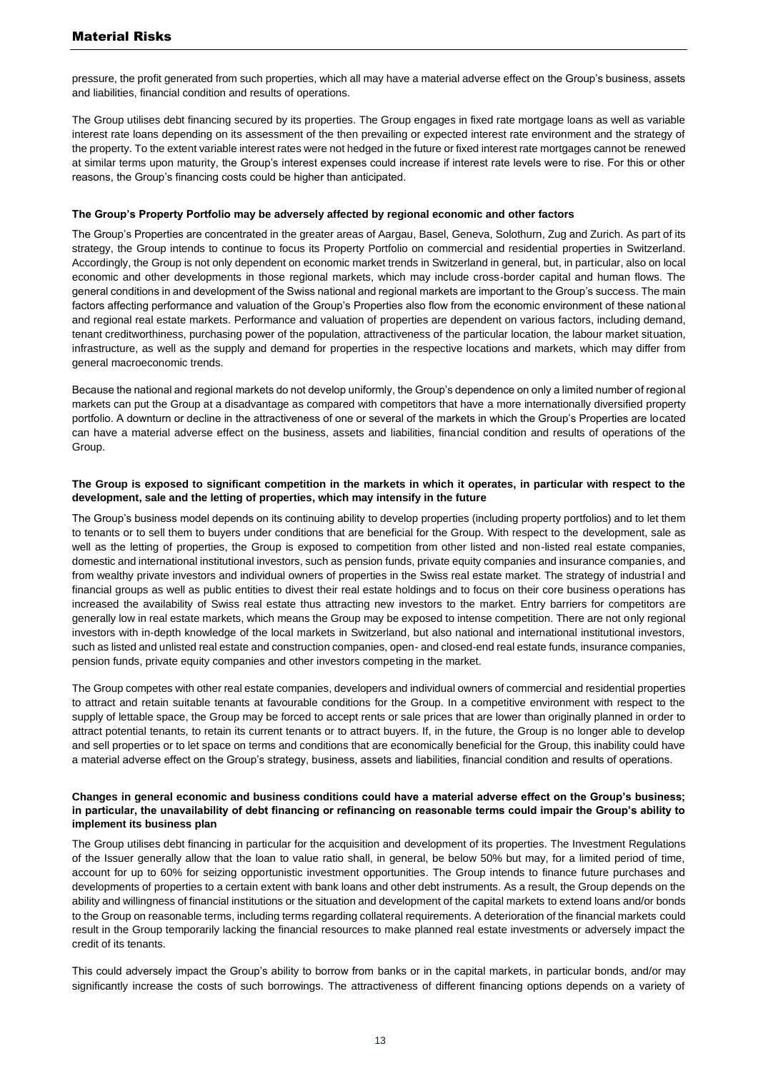pressure, the profit generated from such properties, which all may have a material adverse effect on the Group's business, assets and liabilities, financial condition and results of operations.

The Group utilises debt financing secured by its properties. The Group engages in fixed rate mortgage loans as well as variable interest rate loans depending on its assessment of the then prevailing or expected interest rate environment and the strategy of the property. To the extent variable interest rates were not hedged in the future or fixed interest rate mortgages cannot be renewed at similar terms upon maturity, the Group's interest expenses could increase if interest rate levels were to rise. For this or other reasons, the Group's financing costs could be higher than anticipated.

#### **The Group's Property Portfolio may be adversely affected by regional economic and other factors**

The Group's Properties are concentrated in the greater areas of Aargau, Basel, Geneva, Solothurn, Zug and Zurich. As part of its strategy, the Group intends to continue to focus its Property Portfolio on commercial and residential properties in Switzerland. Accordingly, the Group is not only dependent on economic market trends in Switzerland in general, but, in particular, also on local economic and other developments in those regional markets, which may include cross-border capital and human flows. The general conditions in and development of the Swiss national and regional markets are important to the Group's success. The main factors affecting performance and valuation of the Group's Properties also flow from the economic environment of these national and regional real estate markets. Performance and valuation of properties are dependent on various factors, including demand, tenant creditworthiness, purchasing power of the population, attractiveness of the particular location, the labour market situation, infrastructure, as well as the supply and demand for properties in the respective locations and markets, which may differ from general macroeconomic trends.

Because the national and regional markets do not develop uniformly, the Group's dependence on only a limited number of regional markets can put the Group at a disadvantage as compared with competitors that have a more internationally diversified property portfolio. A downturn or decline in the attractiveness of one or several of the markets in which the Group's Properties are located can have a material adverse effect on the business, assets and liabilities, financial condition and results of operations of the Group.

#### **The Group is exposed to significant competition in the markets in which it operates, in particular with respect to the development, sale and the letting of properties, which may intensify in the future**

The Group's business model depends on its continuing ability to develop properties (including property portfolios) and to let them to tenants or to sell them to buyers under conditions that are beneficial for the Group. With respect to the development, sale as well as the letting of properties, the Group is exposed to competition from other listed and non-listed real estate companies, domestic and international institutional investors, such as pension funds, private equity companies and insurance companies, and from wealthy private investors and individual owners of properties in the Swiss real estate market. The strategy of industrial and financial groups as well as public entities to divest their real estate holdings and to focus on their core business operations has increased the availability of Swiss real estate thus attracting new investors to the market. Entry barriers for competitors are generally low in real estate markets, which means the Group may be exposed to intense competition. There are not only regional investors with in-depth knowledge of the local markets in Switzerland, but also national and international institutional investors, such as listed and unlisted real estate and construction companies, open- and closed-end real estate funds, insurance companies, pension funds, private equity companies and other investors competing in the market.

The Group competes with other real estate companies, developers and individual owners of commercial and residential properties to attract and retain suitable tenants at favourable conditions for the Group. In a competitive environment with respect to the supply of lettable space, the Group may be forced to accept rents or sale prices that are lower than originally planned in order to attract potential tenants, to retain its current tenants or to attract buyers. If, in the future, the Group is no longer able to develop and sell properties or to let space on terms and conditions that are economically beneficial for the Group, this inability could have a material adverse effect on the Group's strategy, business, assets and liabilities, financial condition and results of operations.

#### **Changes in general economic and business conditions could have a material adverse effect on the Group's business; in particular, the unavailability of debt financing or refinancing on reasonable terms could impair the Group's ability to implement its business plan**

The Group utilises debt financing in particular for the acquisition and development of its properties. The Investment Regulations of the Issuer generally allow that the loan to value ratio shall, in general, be below 50% but may, for a limited period of time, account for up to 60% for seizing opportunistic investment opportunities. The Group intends to finance future purchases and developments of properties to a certain extent with bank loans and other debt instruments. As a result, the Group depends on the ability and willingness of financial institutions or the situation and development of the capital markets to extend loans and/or bonds to the Group on reasonable terms, including terms regarding collateral requirements. A deterioration of the financial markets could result in the Group temporarily lacking the financial resources to make planned real estate investments or adversely impact the credit of its tenants.

This could adversely impact the Group's ability to borrow from banks or in the capital markets, in particular bonds, and/or may significantly increase the costs of such borrowings. The attractiveness of different financing options depends on a variety of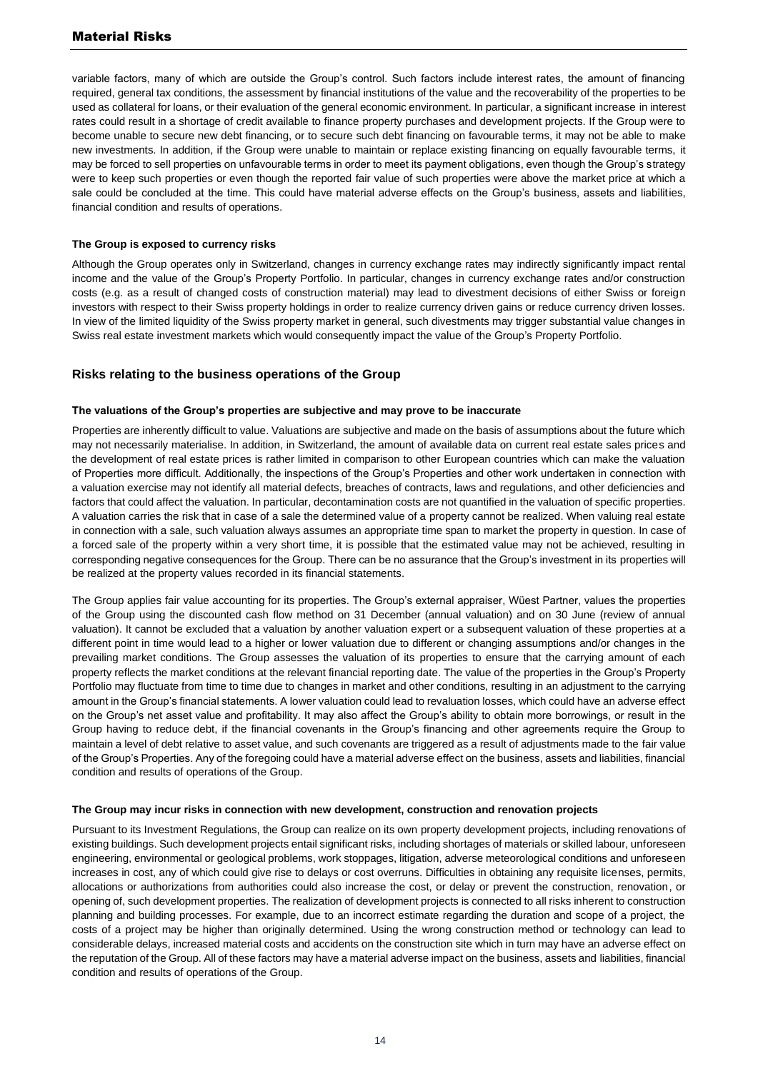## Material Risks

variable factors, many of which are outside the Group's control. Such factors include interest rates, the amount of financing required, general tax conditions, the assessment by financial institutions of the value and the recoverability of the properties to be used as collateral for loans, or their evaluation of the general economic environment. In particular, a significant increase in interest rates could result in a shortage of credit available to finance property purchases and development projects. If the Group were to become unable to secure new debt financing, or to secure such debt financing on favourable terms, it may not be able to make new investments. In addition, if the Group were unable to maintain or replace existing financing on equally favourable terms, it may be forced to sell properties on unfavourable terms in order to meet its payment obligations, even though the Group's strategy were to keep such properties or even though the reported fair value of such properties were above the market price at which a sale could be concluded at the time. This could have material adverse effects on the Group's business, assets and liabilities, financial condition and results of operations.

#### **The Group is exposed to currency risks**

Although the Group operates only in Switzerland, changes in currency exchange rates may indirectly significantly impact rental income and the value of the Group's Property Portfolio. In particular, changes in currency exchange rates and/or construction costs (e.g. as a result of changed costs of construction material) may lead to divestment decisions of either Swiss or foreign investors with respect to their Swiss property holdings in order to realize currency driven gains or reduce currency driven losses. In view of the limited liquidity of the Swiss property market in general, such divestments may trigger substantial value changes in Swiss real estate investment markets which would consequently impact the value of the Group's Property Portfolio.

#### **Risks relating to the business operations of the Group**

#### **The valuations of the Group's properties are subjective and may prove to be inaccurate**

Properties are inherently difficult to value. Valuations are subjective and made on the basis of assumptions about the future which may not necessarily materialise. In addition, in Switzerland, the amount of available data on current real estate sales prices and the development of real estate prices is rather limited in comparison to other European countries which can make the valuation of Properties more difficult. Additionally, the inspections of the Group's Properties and other work undertaken in connection with a valuation exercise may not identify all material defects, breaches of contracts, laws and regulations, and other deficiencies and factors that could affect the valuation. In particular, decontamination costs are not quantified in the valuation of specific properties. A valuation carries the risk that in case of a sale the determined value of a property cannot be realized. When valuing real estate in connection with a sale, such valuation always assumes an appropriate time span to market the property in question. In case of a forced sale of the property within a very short time, it is possible that the estimated value may not be achieved, resulting in corresponding negative consequences for the Group. There can be no assurance that the Group's investment in its properties will be realized at the property values recorded in its financial statements.

The Group applies fair value accounting for its properties. The Group's external appraiser, Wüest Partner, values the properties of the Group using the discounted cash flow method on 31 December (annual valuation) and on 30 June (review of annual valuation). It cannot be excluded that a valuation by another valuation expert or a subsequent valuation of these properties at a different point in time would lead to a higher or lower valuation due to different or changing assumptions and/or changes in the prevailing market conditions. The Group assesses the valuation of its properties to ensure that the carrying amount of each property reflects the market conditions at the relevant financial reporting date. The value of the properties in the Group's Property Portfolio may fluctuate from time to time due to changes in market and other conditions, resulting in an adjustment to the carrying amount in the Group's financial statements. A lower valuation could lead to revaluation losses, which could have an adverse effect on the Group's net asset value and profitability. It may also affect the Group's ability to obtain more borrowings, or result in the Group having to reduce debt, if the financial covenants in the Group's financing and other agreements require the Group to maintain a level of debt relative to asset value, and such covenants are triggered as a result of adjustments made to the fair value of the Group's Properties. Any of the foregoing could have a material adverse effect on the business, assets and liabilities, financial condition and results of operations of the Group.

#### **The Group may incur risks in connection with new development, construction and renovation projects**

Pursuant to its Investment Regulations, the Group can realize on its own property development projects, including renovations of existing buildings. Such development projects entail significant risks, including shortages of materials or skilled labour, unforeseen engineering, environmental or geological problems, work stoppages, litigation, adverse meteorological conditions and unforeseen increases in cost, any of which could give rise to delays or cost overruns. Difficulties in obtaining any requisite licenses, permits, allocations or authorizations from authorities could also increase the cost, or delay or prevent the construction, renovation, or opening of, such development properties. The realization of development projects is connected to all risks inherent to construction planning and building processes. For example, due to an incorrect estimate regarding the duration and scope of a project, the costs of a project may be higher than originally determined. Using the wrong construction method or technology can lead to considerable delays, increased material costs and accidents on the construction site which in turn may have an adverse effect on the reputation of the Group. All of these factors may have a material adverse impact on the business, assets and liabilities, financial condition and results of operations of the Group.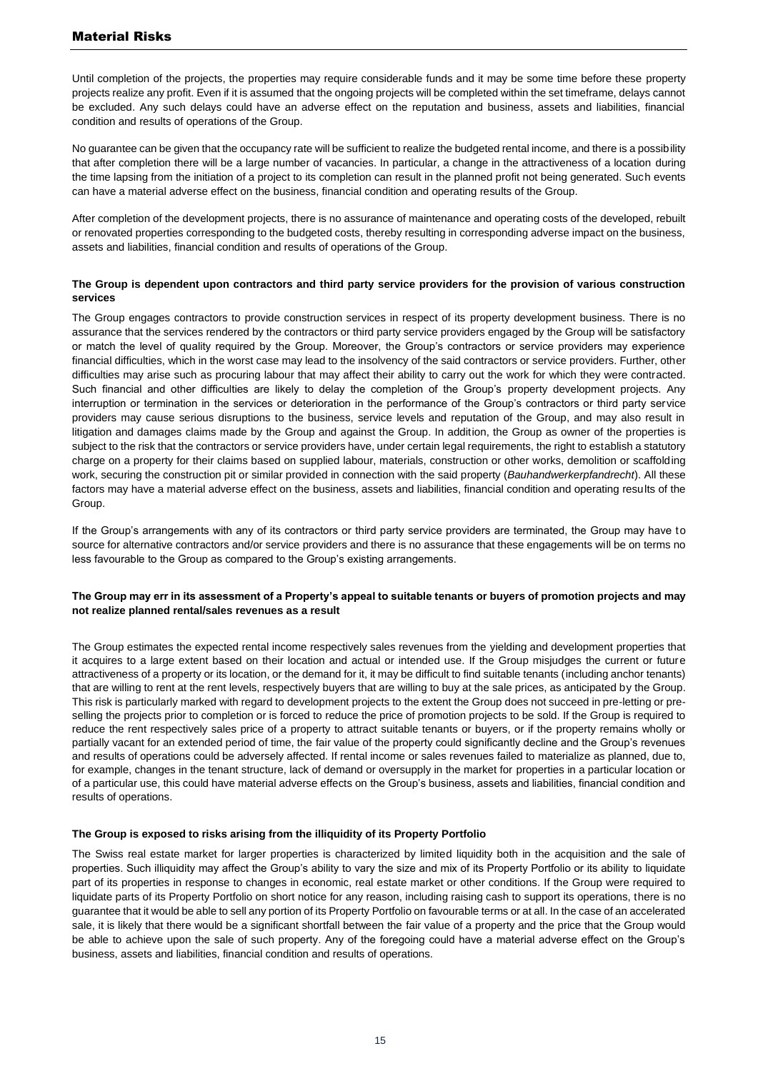Until completion of the projects, the properties may require considerable funds and it may be some time before these property projects realize any profit. Even if it is assumed that the ongoing projects will be completed within the set timeframe, delays cannot be excluded. Any such delays could have an adverse effect on the reputation and business, assets and liabilities, financial condition and results of operations of the Group.

No guarantee can be given that the occupancy rate will be sufficient to realize the budgeted rental income, and there is a possibility that after completion there will be a large number of vacancies. In particular, a change in the attractiveness of a location during the time lapsing from the initiation of a project to its completion can result in the planned profit not being generated. Such events can have a material adverse effect on the business, financial condition and operating results of the Group.

After completion of the development projects, there is no assurance of maintenance and operating costs of the developed, rebuilt or renovated properties corresponding to the budgeted costs, thereby resulting in corresponding adverse impact on the business, assets and liabilities, financial condition and results of operations of the Group.

#### **The Group is dependent upon contractors and third party service providers for the provision of various construction services**

The Group engages contractors to provide construction services in respect of its property development business. There is no assurance that the services rendered by the contractors or third party service providers engaged by the Group will be satisfactory or match the level of quality required by the Group. Moreover, the Group's contractors or service providers may experience financial difficulties, which in the worst case may lead to the insolvency of the said contractors or service providers. Further, other difficulties may arise such as procuring labour that may affect their ability to carry out the work for which they were contracted. Such financial and other difficulties are likely to delay the completion of the Group's property development projects. Any interruption or termination in the services or deterioration in the performance of the Group's contractors or third party service providers may cause serious disruptions to the business, service levels and reputation of the Group, and may also result in litigation and damages claims made by the Group and against the Group. In addition, the Group as owner of the properties is subject to the risk that the contractors or service providers have, under certain legal requirements, the right to establish a statutory charge on a property for their claims based on supplied labour, materials, construction or other works, demolition or scaffolding work, securing the construction pit or similar provided in connection with the said property (*Bauhandwerkerpfandrecht*). All these factors may have a material adverse effect on the business, assets and liabilities, financial condition and operating results of the Group.

If the Group's arrangements with any of its contractors or third party service providers are terminated, the Group may have to source for alternative contractors and/or service providers and there is no assurance that these engagements will be on terms no less favourable to the Group as compared to the Group's existing arrangements.

#### **The Group may err in its assessment of a Property's appeal to suitable tenants or buyers of promotion projects and may not realize planned rental/sales revenues as a result**

The Group estimates the expected rental income respectively sales revenues from the yielding and development properties that it acquires to a large extent based on their location and actual or intended use. If the Group misjudges the current or future attractiveness of a property or its location, or the demand for it, it may be difficult to find suitable tenants (including anchor tenants) that are willing to rent at the rent levels, respectively buyers that are willing to buy at the sale prices, as anticipated by the Group. This risk is particularly marked with regard to development projects to the extent the Group does not succeed in pre-letting or preselling the projects prior to completion or is forced to reduce the price of promotion projects to be sold. If the Group is required to reduce the rent respectively sales price of a property to attract suitable tenants or buyers, or if the property remains wholly or partially vacant for an extended period of time, the fair value of the property could significantly decline and the Group's revenues and results of operations could be adversely affected. If rental income or sales revenues failed to materialize as planned, due to, for example, changes in the tenant structure, lack of demand or oversupply in the market for properties in a particular location or of a particular use, this could have material adverse effects on the Group's business, assets and liabilities, financial condition and results of operations.

#### **The Group is exposed to risks arising from the illiquidity of its Property Portfolio**

The Swiss real estate market for larger properties is characterized by limited liquidity both in the acquisition and the sale of properties. Such illiquidity may affect the Group's ability to vary the size and mix of its Property Portfolio or its ability to liquidate part of its properties in response to changes in economic, real estate market or other conditions. If the Group were required to liquidate parts of its Property Portfolio on short notice for any reason, including raising cash to support its operations, there is no guarantee that it would be able to sell any portion of its Property Portfolio on favourable terms or at all. In the case of an accelerated sale, it is likely that there would be a significant shortfall between the fair value of a property and the price that the Group would be able to achieve upon the sale of such property. Any of the foregoing could have a material adverse effect on the Group's business, assets and liabilities, financial condition and results of operations.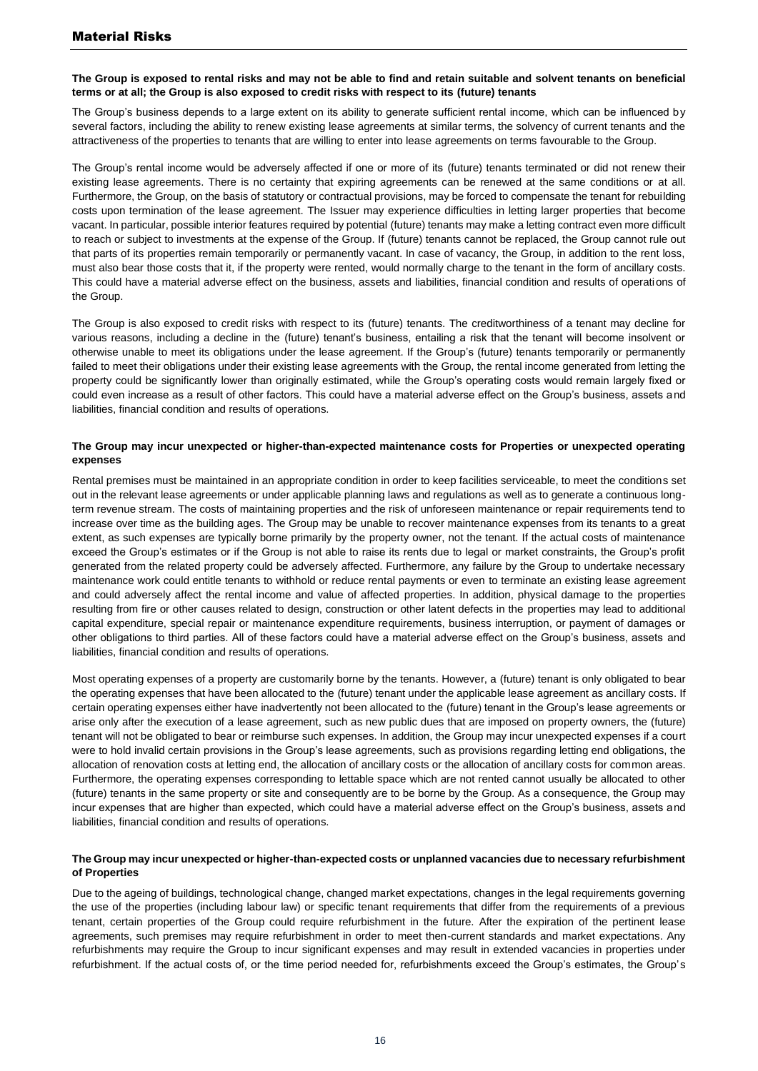#### **The Group is exposed to rental risks and may not be able to find and retain suitable and solvent tenants on beneficial terms or at all; the Group is also exposed to credit risks with respect to its (future) tenants**

The Group's business depends to a large extent on its ability to generate sufficient rental income, which can be influenced by several factors, including the ability to renew existing lease agreements at similar terms, the solvency of current tenants and the attractiveness of the properties to tenants that are willing to enter into lease agreements on terms favourable to the Group.

The Group's rental income would be adversely affected if one or more of its (future) tenants terminated or did not renew their existing lease agreements. There is no certainty that expiring agreements can be renewed at the same conditions or at all. Furthermore, the Group, on the basis of statutory or contractual provisions, may be forced to compensate the tenant for rebuilding costs upon termination of the lease agreement. The Issuer may experience difficulties in letting larger properties that become vacant. In particular, possible interior features required by potential (future) tenants may make a letting contract even more difficult to reach or subject to investments at the expense of the Group. If (future) tenants cannot be replaced, the Group cannot rule out that parts of its properties remain temporarily or permanently vacant. In case of vacancy, the Group, in addition to the rent loss, must also bear those costs that it, if the property were rented, would normally charge to the tenant in the form of ancillary costs. This could have a material adverse effect on the business, assets and liabilities, financial condition and results of operations of the Group.

The Group is also exposed to credit risks with respect to its (future) tenants. The creditworthiness of a tenant may decline for various reasons, including a decline in the (future) tenant's business, entailing a risk that the tenant will become insolvent or otherwise unable to meet its obligations under the lease agreement. If the Group's (future) tenants temporarily or permanently failed to meet their obligations under their existing lease agreements with the Group, the rental income generated from letting the property could be significantly lower than originally estimated, while the Group's operating costs would remain largely fixed or could even increase as a result of other factors. This could have a material adverse effect on the Group's business, assets and liabilities, financial condition and results of operations.

#### **The Group may incur unexpected or higher-than-expected maintenance costs for Properties or unexpected operating expenses**

Rental premises must be maintained in an appropriate condition in order to keep facilities serviceable, to meet the conditions set out in the relevant lease agreements or under applicable planning laws and regulations as well as to generate a continuous longterm revenue stream. The costs of maintaining properties and the risk of unforeseen maintenance or repair requirements tend to increase over time as the building ages. The Group may be unable to recover maintenance expenses from its tenants to a great extent, as such expenses are typically borne primarily by the property owner, not the tenant. If the actual costs of maintenance exceed the Group's estimates or if the Group is not able to raise its rents due to legal or market constraints, the Group's profit generated from the related property could be adversely affected. Furthermore, any failure by the Group to undertake necessary maintenance work could entitle tenants to withhold or reduce rental payments or even to terminate an existing lease agreement and could adversely affect the rental income and value of affected properties. In addition, physical damage to the properties resulting from fire or other causes related to design, construction or other latent defects in the properties may lead to additional capital expenditure, special repair or maintenance expenditure requirements, business interruption, or payment of damages or other obligations to third parties. All of these factors could have a material adverse effect on the Group's business, assets and liabilities, financial condition and results of operations.

Most operating expenses of a property are customarily borne by the tenants. However, a (future) tenant is only obligated to bear the operating expenses that have been allocated to the (future) tenant under the applicable lease agreement as ancillary costs. If certain operating expenses either have inadvertently not been allocated to the (future) tenant in the Group's lease agreements or arise only after the execution of a lease agreement, such as new public dues that are imposed on property owners, the (future) tenant will not be obligated to bear or reimburse such expenses. In addition, the Group may incur unexpected expenses if a court were to hold invalid certain provisions in the Group's lease agreements, such as provisions regarding letting end obligations, the allocation of renovation costs at letting end, the allocation of ancillary costs or the allocation of ancillary costs for common areas. Furthermore, the operating expenses corresponding to lettable space which are not rented cannot usually be allocated to other (future) tenants in the same property or site and consequently are to be borne by the Group. As a consequence, the Group may incur expenses that are higher than expected, which could have a material adverse effect on the Group's business, assets and liabilities, financial condition and results of operations.

#### **The Group may incur unexpected or higher-than-expected costs or unplanned vacancies due to necessary refurbishment of Properties**

Due to the ageing of buildings, technological change, changed market expectations, changes in the legal requirements governing the use of the properties (including labour law) or specific tenant requirements that differ from the requirements of a previous tenant, certain properties of the Group could require refurbishment in the future. After the expiration of the pertinent lease agreements, such premises may require refurbishment in order to meet then-current standards and market expectations. Any refurbishments may require the Group to incur significant expenses and may result in extended vacancies in properties under refurbishment. If the actual costs of, or the time period needed for, refurbishments exceed the Group's estimates, the Group's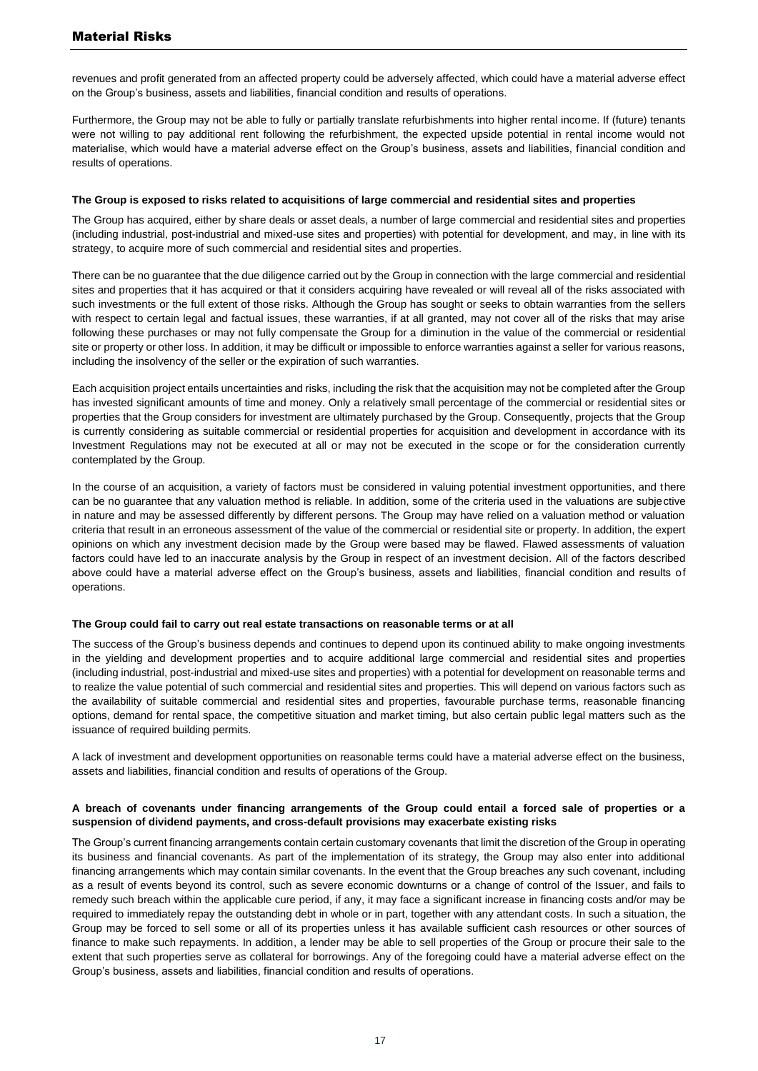revenues and profit generated from an affected property could be adversely affected, which could have a material adverse effect on the Group's business, assets and liabilities, financial condition and results of operations.

Furthermore, the Group may not be able to fully or partially translate refurbishments into higher rental income. If (future) tenants were not willing to pay additional rent following the refurbishment, the expected upside potential in rental income would not materialise, which would have a material adverse effect on the Group's business, assets and liabilities, financial condition and results of operations.

#### **The Group is exposed to risks related to acquisitions of large commercial and residential sites and properties**

The Group has acquired, either by share deals or asset deals, a number of large commercial and residential sites and properties (including industrial, post-industrial and mixed-use sites and properties) with potential for development, and may, in line with its strategy, to acquire more of such commercial and residential sites and properties.

There can be no guarantee that the due diligence carried out by the Group in connection with the large commercial and residential sites and properties that it has acquired or that it considers acquiring have revealed or will reveal all of the risks associated with such investments or the full extent of those risks. Although the Group has sought or seeks to obtain warranties from the sellers with respect to certain legal and factual issues, these warranties, if at all granted, may not cover all of the risks that may arise following these purchases or may not fully compensate the Group for a diminution in the value of the commercial or residential site or property or other loss. In addition, it may be difficult or impossible to enforce warranties against a seller for various reasons, including the insolvency of the seller or the expiration of such warranties.

Each acquisition project entails uncertainties and risks, including the risk that the acquisition may not be completed after the Group has invested significant amounts of time and money. Only a relatively small percentage of the commercial or residential sites or properties that the Group considers for investment are ultimately purchased by the Group. Consequently, projects that the Group is currently considering as suitable commercial or residential properties for acquisition and development in accordance with its Investment Regulations may not be executed at all or may not be executed in the scope or for the consideration currently contemplated by the Group.

In the course of an acquisition, a variety of factors must be considered in valuing potential investment opportunities, and there can be no guarantee that any valuation method is reliable. In addition, some of the criteria used in the valuations are subjective in nature and may be assessed differently by different persons. The Group may have relied on a valuation method or valuation criteria that result in an erroneous assessment of the value of the commercial or residential site or property. In addition, the expert opinions on which any investment decision made by the Group were based may be flawed. Flawed assessments of valuation factors could have led to an inaccurate analysis by the Group in respect of an investment decision*.* All of the factors described above could have a material adverse effect on the Group's business, assets and liabilities, financial condition and results of operations.

#### **The Group could fail to carry out real estate transactions on reasonable terms or at all**

The success of the Group's business depends and continues to depend upon its continued ability to make ongoing investments in the yielding and development properties and to acquire additional large commercial and residential sites and properties (including industrial, post-industrial and mixed-use sites and properties) with a potential for development on reasonable terms and to realize the value potential of such commercial and residential sites and properties. This will depend on various factors such as the availability of suitable commercial and residential sites and properties, favourable purchase terms, reasonable financing options, demand for rental space, the competitive situation and market timing, but also certain public legal matters such as the issuance of required building permits.

A lack of investment and development opportunities on reasonable terms could have a material adverse effect on the business, assets and liabilities, financial condition and results of operations of the Group.

#### **A breach of covenants under financing arrangements of the Group could entail a forced sale of properties or a suspension of dividend payments, and cross-default provisions may exacerbate existing risks**

The Group's current financing arrangements contain certain customary covenants that limit the discretion of the Group in operating its business and financial covenants. As part of the implementation of its strategy, the Group may also enter into additional financing arrangements which may contain similar covenants. In the event that the Group breaches any such covenant, including as a result of events beyond its control, such as severe economic downturns or a change of control of the Issuer, and fails to remedy such breach within the applicable cure period, if any, it may face a significant increase in financing costs and/or may be required to immediately repay the outstanding debt in whole or in part, together with any attendant costs. In such a situation, the Group may be forced to sell some or all of its properties unless it has available sufficient cash resources or other sources of finance to make such repayments. In addition, a lender may be able to sell properties of the Group or procure their sale to the extent that such properties serve as collateral for borrowings. Any of the foregoing could have a material adverse effect on the Group's business, assets and liabilities, financial condition and results of operations.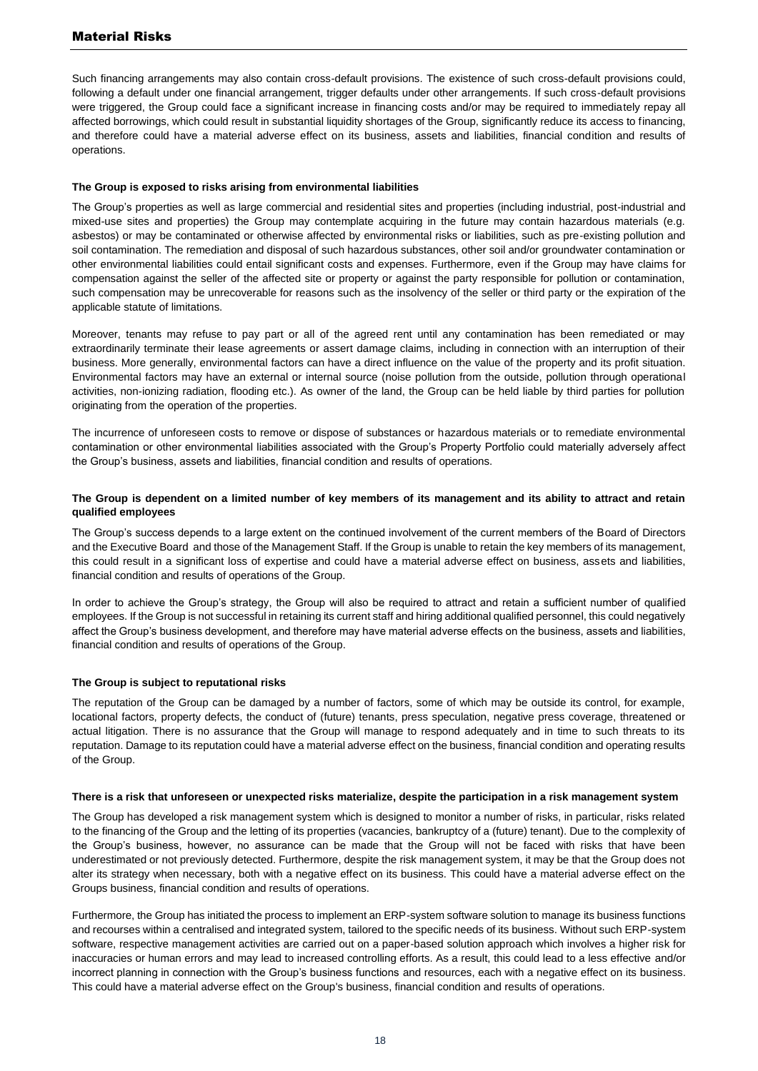## Material Risks

Such financing arrangements may also contain cross-default provisions. The existence of such cross-default provisions could, following a default under one financial arrangement, trigger defaults under other arrangements. If such cross-default provisions were triggered, the Group could face a significant increase in financing costs and/or may be required to immediately repay all affected borrowings, which could result in substantial liquidity shortages of the Group, significantly reduce its access to financing, and therefore could have a material adverse effect on its business, assets and liabilities, financial condition and results of operations.

#### **The Group is exposed to risks arising from environmental liabilities**

The Group's properties as well as large commercial and residential sites and properties (including industrial, post-industrial and mixed-use sites and properties) the Group may contemplate acquiring in the future may contain hazardous materials (e.g. asbestos) or may be contaminated or otherwise affected by environmental risks or liabilities, such as pre-existing pollution and soil contamination. The remediation and disposal of such hazardous substances, other soil and/or groundwater contamination or other environmental liabilities could entail significant costs and expenses. Furthermore, even if the Group may have claims for compensation against the seller of the affected site or property or against the party responsible for pollution or contamination, such compensation may be unrecoverable for reasons such as the insolvency of the seller or third party or the expiration of the applicable statute of limitations.

Moreover, tenants may refuse to pay part or all of the agreed rent until any contamination has been remediated or may extraordinarily terminate their lease agreements or assert damage claims, including in connection with an interruption of their business. More generally, environmental factors can have a direct influence on the value of the property and its profit situation. Environmental factors may have an external or internal source (noise pollution from the outside, pollution through operational activities, non-ionizing radiation, flooding etc.). As owner of the land, the Group can be held liable by third parties for pollution originating from the operation of the properties.

The incurrence of unforeseen costs to remove or dispose of substances or hazardous materials or to remediate environmental contamination or other environmental liabilities associated with the Group's Property Portfolio could materially adversely affect the Group's business, assets and liabilities, financial condition and results of operations.

#### **The Group is dependent on a limited number of key members of its management and its ability to attract and retain qualified employees**

The Group's success depends to a large extent on the continued involvement of the current members of the Board of Directors and the Executive Board and those of the Management Staff. If the Group is unable to retain the key members of its management, this could result in a significant loss of expertise and could have a material adverse effect on business, assets and liabilities, financial condition and results of operations of the Group.

In order to achieve the Group's strategy, the Group will also be required to attract and retain a sufficient number of qualified employees. If the Group is not successful in retaining its current staff and hiring additional qualified personnel, this could negatively affect the Group's business development, and therefore may have material adverse effects on the business, assets and liabilities, financial condition and results of operations of the Group.

#### **The Group is subject to reputational risks**

The reputation of the Group can be damaged by a number of factors, some of which may be outside its control, for example, locational factors, property defects, the conduct of (future) tenants, press speculation, negative press coverage, threatened or actual litigation. There is no assurance that the Group will manage to respond adequately and in time to such threats to its reputation. Damage to its reputation could have a material adverse effect on the business, financial condition and operating results of the Group.

#### **There is a risk that unforeseen or unexpected risks materialize, despite the participation in a risk management system**

The Group has developed a risk management system which is designed to monitor a number of risks, in particular, risks related to the financing of the Group and the letting of its properties (vacancies, bankruptcy of a (future) tenant). Due to the complexity of the Group's business, however, no assurance can be made that the Group will not be faced with risks that have been underestimated or not previously detected. Furthermore, despite the risk management system, it may be that the Group does not alter its strategy when necessary, both with a negative effect on its business. This could have a material adverse effect on the Groups business, financial condition and results of operations.

Furthermore, the Group has initiated the process to implement an ERP-system software solution to manage its business functions and recourses within a centralised and integrated system, tailored to the specific needs of its business. Without such ERP-system software, respective management activities are carried out on a paper-based solution approach which involves a higher risk for inaccuracies or human errors and may lead to increased controlling efforts. As a result, this could lead to a less effective and/or incorrect planning in connection with the Group's business functions and resources, each with a negative effect on its business. This could have a material adverse effect on the Group's business, financial condition and results of operations.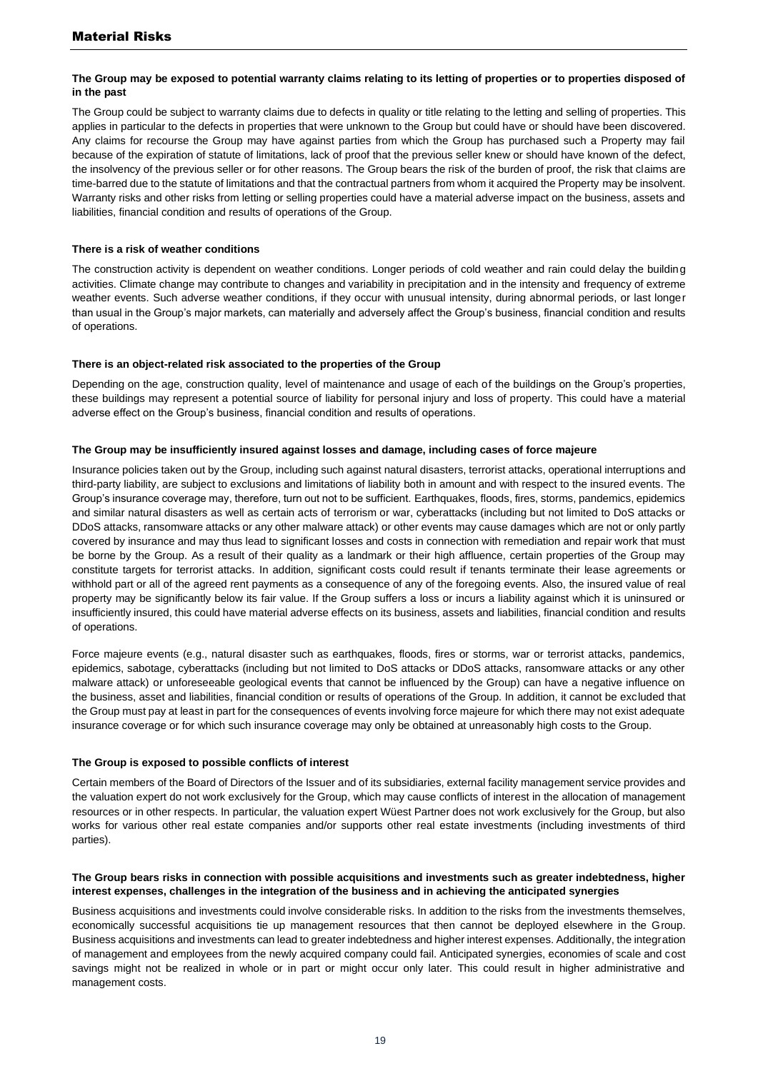#### **The Group may be exposed to potential warranty claims relating to its letting of properties or to properties disposed of in the past**

The Group could be subject to warranty claims due to defects in quality or title relating to the letting and selling of properties. This applies in particular to the defects in properties that were unknown to the Group but could have or should have been discovered. Any claims for recourse the Group may have against parties from which the Group has purchased such a Property may fail because of the expiration of statute of limitations, lack of proof that the previous seller knew or should have known of the defect, the insolvency of the previous seller or for other reasons. The Group bears the risk of the burden of proof, the risk that claims are time-barred due to the statute of limitations and that the contractual partners from whom it acquired the Property may be insolvent. Warranty risks and other risks from letting or selling properties could have a material adverse impact on the business, assets and liabilities, financial condition and results of operations of the Group.

#### **There is a risk of weather conditions**

The construction activity is dependent on weather conditions. Longer periods of cold weather and rain could delay the building activities. Climate change may contribute to changes and variability in precipitation and in the intensity and frequency of extreme weather events. Such adverse weather conditions, if they occur with unusual intensity, during abnormal periods, or last longer than usual in the Group's major markets, can materially and adversely affect the Group's business, financial condition and results of operations.

#### **There is an object-related risk associated to the properties of the Group**

Depending on the age, construction quality, level of maintenance and usage of each of the buildings on the Group's properties, these buildings may represent a potential source of liability for personal injury and loss of property. This could have a material adverse effect on the Group's business, financial condition and results of operations.

#### **The Group may be insufficiently insured against losses and damage, including cases of force majeure**

Insurance policies taken out by the Group, including such against natural disasters, terrorist attacks, operational interruptions and third-party liability, are subject to exclusions and limitations of liability both in amount and with respect to the insured events. The Group's insurance coverage may, therefore, turn out not to be sufficient. Earthquakes, floods, fires, storms, pandemics, epidemics and similar natural disasters as well as certain acts of terrorism or war, cyberattacks (including but not limited to DoS attacks or DDoS attacks, ransomware attacks or any other malware attack) or other events may cause damages which are not or only partly covered by insurance and may thus lead to significant losses and costs in connection with remediation and repair work that must be borne by the Group. As a result of their quality as a landmark or their high affluence, certain properties of the Group may constitute targets for terrorist attacks. In addition, significant costs could result if tenants terminate their lease agreements or withhold part or all of the agreed rent payments as a consequence of any of the foregoing events. Also, the insured value of real property may be significantly below its fair value. If the Group suffers a loss or incurs a liability against which it is uninsured or insufficiently insured, this could have material adverse effects on its business, assets and liabilities, financial condition and results of operations.

Force majeure events (e.g., natural disaster such as earthquakes, floods, fires or storms, war or terrorist attacks, pandemics, epidemics, sabotage, cyberattacks (including but not limited to DoS attacks or DDoS attacks, ransomware attacks or any other malware attack) or unforeseeable geological events that cannot be influenced by the Group) can have a negative influence on the business, asset and liabilities, financial condition or results of operations of the Group. In addition, it cannot be excluded that the Group must pay at least in part for the consequences of events involving force majeure for which there may not exist adequate insurance coverage or for which such insurance coverage may only be obtained at unreasonably high costs to the Group.

#### **The Group is exposed to possible conflicts of interest**

Certain members of the Board of Directors of the Issuer and of its subsidiaries, external facility management service provides and the valuation expert do not work exclusively for the Group, which may cause conflicts of interest in the allocation of management resources or in other respects. In particular, the valuation expert Wüest Partner does not work exclusively for the Group, but also works for various other real estate companies and/or supports other real estate investments (including investments of third parties).

#### **The Group bears risks in connection with possible acquisitions and investments such as greater indebtedness, higher interest expenses, challenges in the integration of the business and in achieving the anticipated synergies**

Business acquisitions and investments could involve considerable risks. In addition to the risks from the investments themselves, economically successful acquisitions tie up management resources that then cannot be deployed elsewhere in the Group. Business acquisitions and investments can lead to greater indebtedness and higher interest expenses. Additionally, the integration of management and employees from the newly acquired company could fail. Anticipated synergies, economies of scale and cost savings might not be realized in whole or in part or might occur only later. This could result in higher administrative and management costs.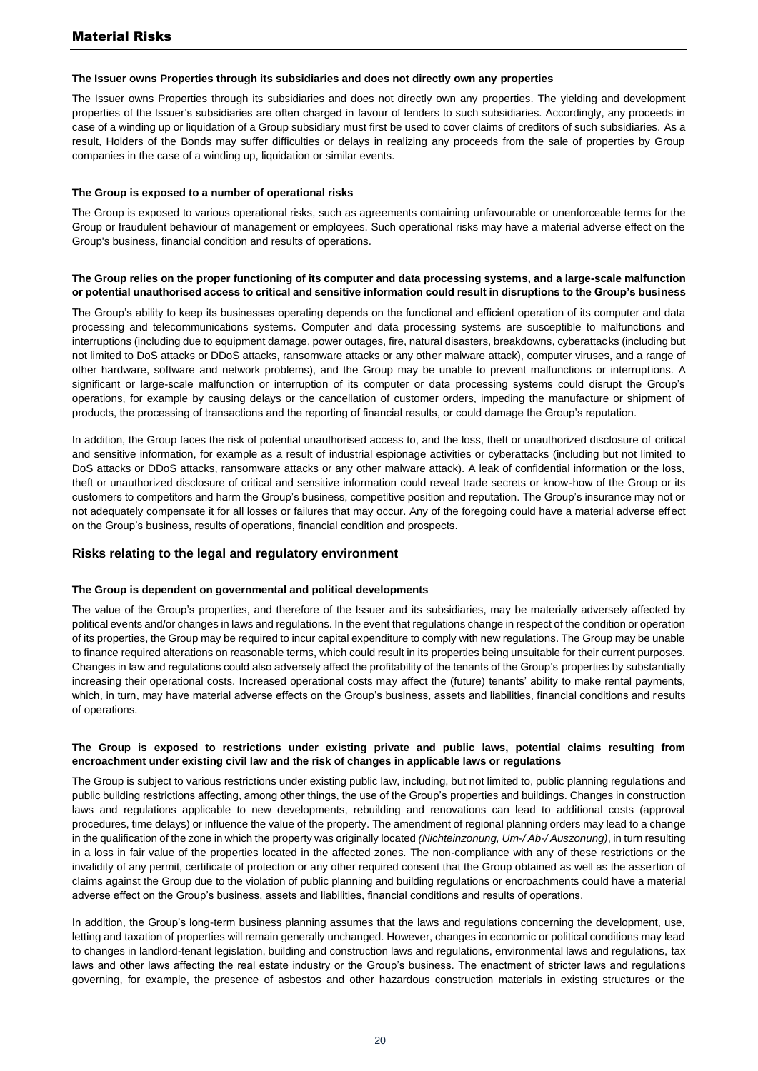#### **The Issuer owns Properties through its subsidiaries and does not directly own any properties**

The Issuer owns Properties through its subsidiaries and does not directly own any properties. The yielding and development properties of the Issuer's subsidiaries are often charged in favour of lenders to such subsidiaries. Accordingly, any proceeds in case of a winding up or liquidation of a Group subsidiary must first be used to cover claims of creditors of such subsidiaries. As a result, Holders of the Bonds may suffer difficulties or delays in realizing any proceeds from the sale of properties by Group companies in the case of a winding up, liquidation or similar events.

#### **The Group is exposed to a number of operational risks**

The Group is exposed to various operational risks, such as agreements containing unfavourable or unenforceable terms for the Group or fraudulent behaviour of management or employees. Such operational risks may have a material adverse effect on the Group's business, financial condition and results of operations.

#### **The Group relies on the proper functioning of its computer and data processing systems, and a large-scale malfunction or potential unauthorised access to critical and sensitive information could result in disruptions to the Group's business**

The Group's ability to keep its businesses operating depends on the functional and efficient operation of its computer and data processing and telecommunications systems. Computer and data processing systems are susceptible to malfunctions and interruptions (including due to equipment damage, power outages, fire, natural disasters, breakdowns, cyberattacks (including but not limited to DoS attacks or DDoS attacks, ransomware attacks or any other malware attack), computer viruses, and a range of other hardware, software and network problems), and the Group may be unable to prevent malfunctions or interruptions. A significant or large-scale malfunction or interruption of its computer or data processing systems could disrupt the Group's operations, for example by causing delays or the cancellation of customer orders, impeding the manufacture or shipment of products, the processing of transactions and the reporting of financial results, or could damage the Group's reputation.

In addition, the Group faces the risk of potential unauthorised access to, and the loss, theft or unauthorized disclosure of critical and sensitive information, for example as a result of industrial espionage activities or cyberattacks (including but not limited to DoS attacks or DDoS attacks, ransomware attacks or any other malware attack). A leak of confidential information or the loss, theft or unauthorized disclosure of critical and sensitive information could reveal trade secrets or know-how of the Group or its customers to competitors and harm the Group's business, competitive position and reputation. The Group's insurance may not or not adequately compensate it for all losses or failures that may occur. Any of the foregoing could have a material adverse effect on the Group's business, results of operations, financial condition and prospects.

## **Risks relating to the legal and regulatory environment**

## **The Group is dependent on governmental and political developments**

The value of the Group's properties, and therefore of the Issuer and its subsidiaries, may be materially adversely affected by political events and/or changes in laws and regulations. In the event that regulations change in respect of the condition or operation of its properties, the Group may be required to incur capital expenditure to comply with new regulations. The Group may be unable to finance required alterations on reasonable terms, which could result in its properties being unsuitable for their current purposes. Changes in law and regulations could also adversely affect the profitability of the tenants of the Group's properties by substantially increasing their operational costs. Increased operational costs may affect the (future) tenants' ability to make rental payments, which, in turn, may have material adverse effects on the Group's business, assets and liabilities, financial conditions and results of operations.

#### **The Group is exposed to restrictions under existing private and public laws, potential claims resulting from encroachment under existing civil law and the risk of changes in applicable laws or regulations**

The Group is subject to various restrictions under existing public law, including, but not limited to, public planning regulations and public building restrictions affecting, among other things, the use of the Group's properties and buildings. Changes in construction laws and regulations applicable to new developments, rebuilding and renovations can lead to additional costs (approval procedures, time delays) or influence the value of the property. The amendment of regional planning orders may lead to a change in the qualification of the zone in which the property was originally located *(Nichteinzonung, Um-/ Ab-/ Auszonung)*, in turn resulting in a loss in fair value of the properties located in the affected zones. The non-compliance with any of these restrictions or the invalidity of any permit, certificate of protection or any other required consent that the Group obtained as well as the assertion of claims against the Group due to the violation of public planning and building regulations or encroachments could have a material adverse effect on the Group's business, assets and liabilities, financial conditions and results of operations.

In addition, the Group's long-term business planning assumes that the laws and regulations concerning the development, use, letting and taxation of properties will remain generally unchanged. However, changes in economic or political conditions may lead to changes in landlord-tenant legislation, building and construction laws and regulations, environmental laws and regulations, tax laws and other laws affecting the real estate industry or the Group's business. The enactment of stricter laws and regulations governing, for example, the presence of asbestos and other hazardous construction materials in existing structures or the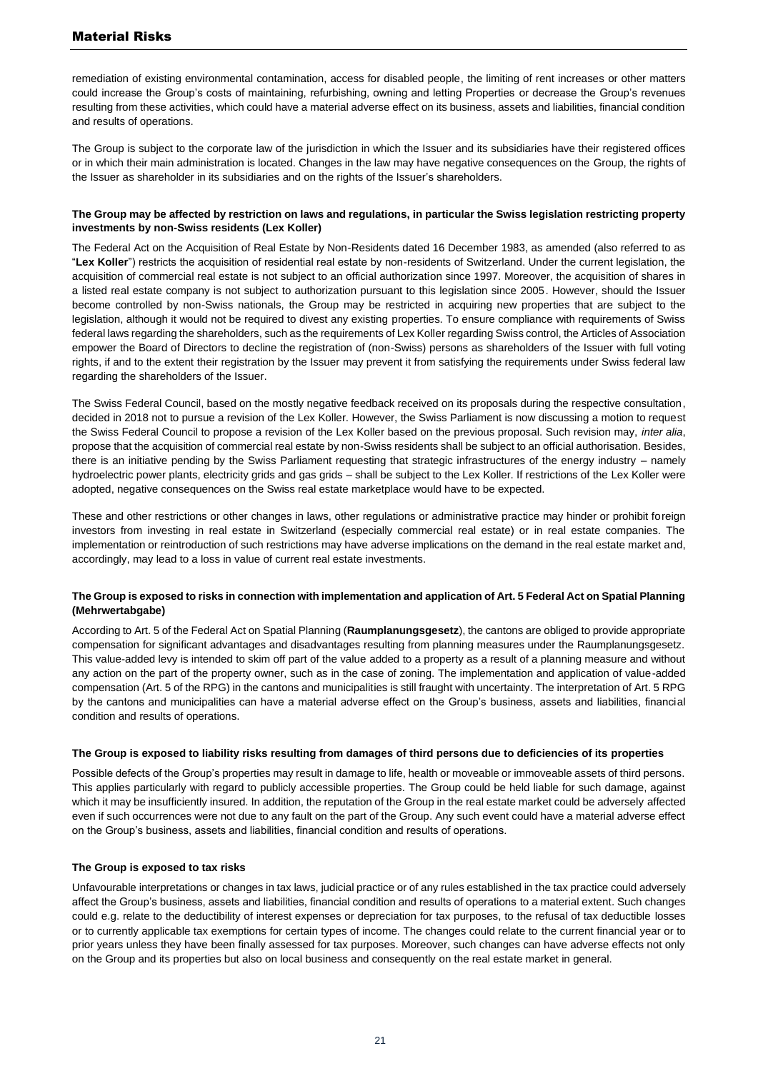remediation of existing environmental contamination, access for disabled people, the limiting of rent increases or other matters could increase the Group's costs of maintaining, refurbishing, owning and letting Properties or decrease the Group's revenues resulting from these activities, which could have a material adverse effect on its business, assets and liabilities, financial condition and results of operations.

The Group is subject to the corporate law of the jurisdiction in which the Issuer and its subsidiaries have their registered offices or in which their main administration is located. Changes in the law may have negative consequences on the Group, the rights of the Issuer as shareholder in its subsidiaries and on the rights of the Issuer's shareholders.

#### **The Group may be affected by restriction on laws and regulations, in particular the Swiss legislation restricting property investments by non-Swiss residents (Lex Koller)**

The Federal Act on the Acquisition of Real Estate by Non-Residents dated 16 December 1983, as amended (also referred to as "**Lex Koller**") restricts the acquisition of residential real estate by non-residents of Switzerland. Under the current legislation, the acquisition of commercial real estate is not subject to an official authorization since 1997. Moreover, the acquisition of shares in a listed real estate company is not subject to authorization pursuant to this legislation since 2005. However, should the Issuer become controlled by non-Swiss nationals, the Group may be restricted in acquiring new properties that are subject to the legislation, although it would not be required to divest any existing properties. To ensure compliance with requirements of Swiss federal laws regarding the shareholders, such as the requirements of Lex Koller regarding Swiss control, the Articles of Association empower the Board of Directors to decline the registration of (non-Swiss) persons as shareholders of the Issuer with full voting rights, if and to the extent their registration by the Issuer may prevent it from satisfying the requirements under Swiss federal law regarding the shareholders of the Issuer.

The Swiss Federal Council, based on the mostly negative feedback received on its proposals during the respective consultation, decided in 2018 not to pursue a revision of the Lex Koller. However, the Swiss Parliament is now discussing a motion to request the Swiss Federal Council to propose a revision of the Lex Koller based on the previous proposal. Such revision may, *inter alia*, propose that the acquisition of commercial real estate by non-Swiss residents shall be subject to an official authorisation. Besides, there is an initiative pending by the Swiss Parliament requesting that strategic infrastructures of the energy industry – namely hydroelectric power plants, electricity grids and gas grids – shall be subject to the Lex Koller. If restrictions of the Lex Koller were adopted, negative consequences on the Swiss real estate marketplace would have to be expected.

These and other restrictions or other changes in laws, other regulations or administrative practice may hinder or prohibit foreign investors from investing in real estate in Switzerland (especially commercial real estate) or in real estate companies. The implementation or reintroduction of such restrictions may have adverse implications on the demand in the real estate market and, accordingly, may lead to a loss in value of current real estate investments.

#### **The Group is exposed to risks in connection with implementation and application of Art. 5 Federal Act on Spatial Planning (Mehrwertabgabe)**

According to Art. 5 of the Federal Act on Spatial Planning (**Raumplanungsgesetz**), the cantons are obliged to provide appropriate compensation for significant advantages and disadvantages resulting from planning measures under the Raumplanungsgesetz. This value-added levy is intended to skim off part of the value added to a property as a result of a planning measure and without any action on the part of the property owner, such as in the case of zoning. The implementation and application of value-added compensation (Art. 5 of the RPG) in the cantons and municipalities is still fraught with uncertainty. The interpretation of Art. 5 RPG by the cantons and municipalities can have a material adverse effect on the Group's business, assets and liabilities, financial condition and results of operations.

#### **The Group is exposed to liability risks resulting from damages of third persons due to deficiencies of its properties**

Possible defects of the Group's properties may result in damage to life, health or moveable or immoveable assets of third persons. This applies particularly with regard to publicly accessible properties. The Group could be held liable for such damage, against which it may be insufficiently insured. In addition, the reputation of the Group in the real estate market could be adversely affected even if such occurrences were not due to any fault on the part of the Group. Any such event could have a material adverse effect on the Group's business, assets and liabilities, financial condition and results of operations.

## **The Group is exposed to tax risks**

Unfavourable interpretations or changes in tax laws, judicial practice or of any rules established in the tax practice could adversely affect the Group's business, assets and liabilities, financial condition and results of operations to a material extent. Such changes could e.g. relate to the deductibility of interest expenses or depreciation for tax purposes, to the refusal of tax deductible losses or to currently applicable tax exemptions for certain types of income. The changes could relate to the current financial year or to prior years unless they have been finally assessed for tax purposes. Moreover, such changes can have adverse effects not only on the Group and its properties but also on local business and consequently on the real estate market in general.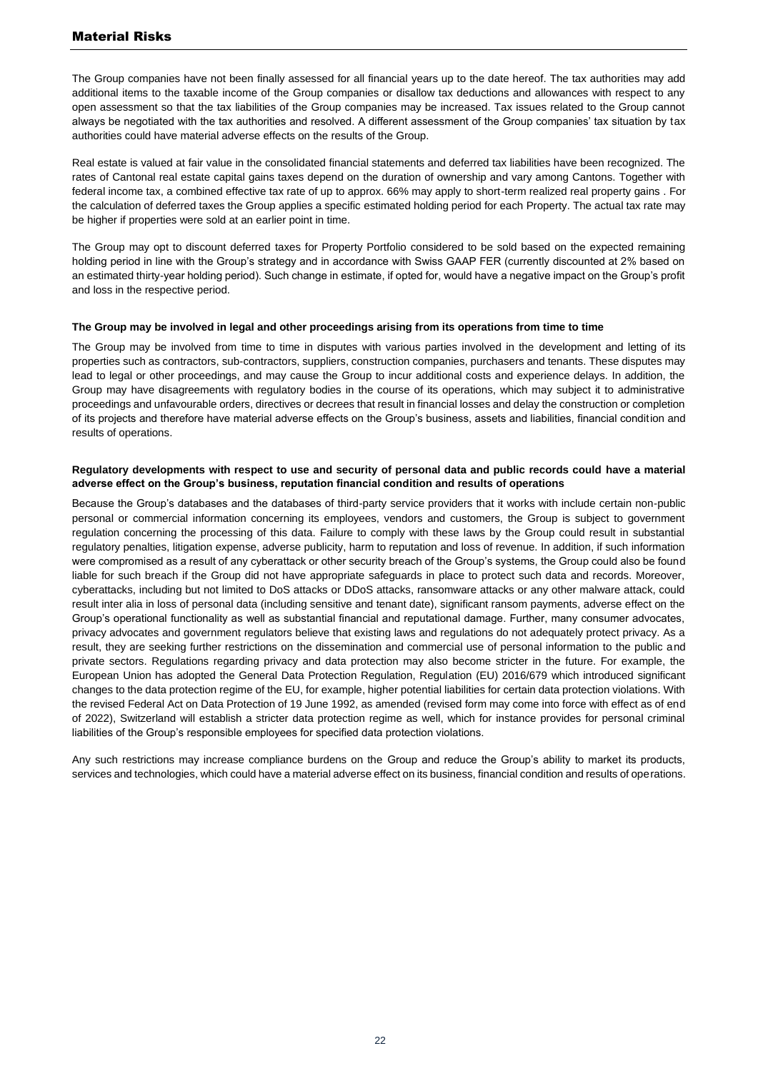The Group companies have not been finally assessed for all financial years up to the date hereof. The tax authorities may add additional items to the taxable income of the Group companies or disallow tax deductions and allowances with respect to any open assessment so that the tax liabilities of the Group companies may be increased. Tax issues related to the Group cannot always be negotiated with the tax authorities and resolved. A different assessment of the Group companies' tax situation by tax authorities could have material adverse effects on the results of the Group.

Real estate is valued at fair value in the consolidated financial statements and deferred tax liabilities have been recognized. The rates of Cantonal real estate capital gains taxes depend on the duration of ownership and vary among Cantons. Together with federal income tax, a combined effective tax rate of up to approx. 66% may apply to short-term realized real property gains . For the calculation of deferred taxes the Group applies a specific estimated holding period for each Property. The actual tax rate may be higher if properties were sold at an earlier point in time.

The Group may opt to discount deferred taxes for Property Portfolio considered to be sold based on the expected remaining holding period in line with the Group's strategy and in accordance with Swiss GAAP FER (currently discounted at 2% based on an estimated thirty-year holding period). Such change in estimate, if opted for, would have a negative impact on the Group's profit and loss in the respective period.

#### **The Group may be involved in legal and other proceedings arising from its operations from time to time**

The Group may be involved from time to time in disputes with various parties involved in the development and letting of its properties such as contractors, sub-contractors, suppliers, construction companies, purchasers and tenants. These disputes may lead to legal or other proceedings, and may cause the Group to incur additional costs and experience delays. In addition, the Group may have disagreements with regulatory bodies in the course of its operations, which may subject it to administrative proceedings and unfavourable orders, directives or decrees that result in financial losses and delay the construction or completion of its projects and therefore have material adverse effects on the Group's business, assets and liabilities, financial condition and results of operations.

#### **Regulatory developments with respect to use and security of personal data and public records could have a material adverse effect on the Group's business, reputation financial condition and results of operations**

Because the Group's databases and the databases of third-party service providers that it works with include certain non-public personal or commercial information concerning its employees, vendors and customers, the Group is subject to government regulation concerning the processing of this data. Failure to comply with these laws by the Group could result in substantial regulatory penalties, litigation expense, adverse publicity, harm to reputation and loss of revenue. In addition, if such information were compromised as a result of any cyberattack or other security breach of the Group's systems, the Group could also be found liable for such breach if the Group did not have appropriate safeguards in place to protect such data and records. Moreover, cyberattacks, including but not limited to DoS attacks or DDoS attacks, ransomware attacks or any other malware attack, could result inter alia in loss of personal data (including sensitive and tenant date), significant ransom payments, adverse effect on the Group's operational functionality as well as substantial financial and reputational damage. Further, many consumer advocates, privacy advocates and government regulators believe that existing laws and regulations do not adequately protect privacy. As a result, they are seeking further restrictions on the dissemination and commercial use of personal information to the public and private sectors. Regulations regarding privacy and data protection may also become stricter in the future. For example, the European Union has adopted the General Data Protection Regulation, Regulation (EU) 2016/679 which introduced significant changes to the data protection regime of the EU, for example, higher potential liabilities for certain data protection violations. With the revised Federal Act on Data Protection of 19 June 1992, as amended (revised form may come into force with effect as of end of 2022), Switzerland will establish a stricter data protection regime as well, which for instance provides for personal criminal liabilities of the Group's responsible employees for specified data protection violations.

Any such restrictions may increase compliance burdens on the Group and reduce the Group's ability to market its products, services and technologies, which could have a material adverse effect on its business, financial condition and results of operations.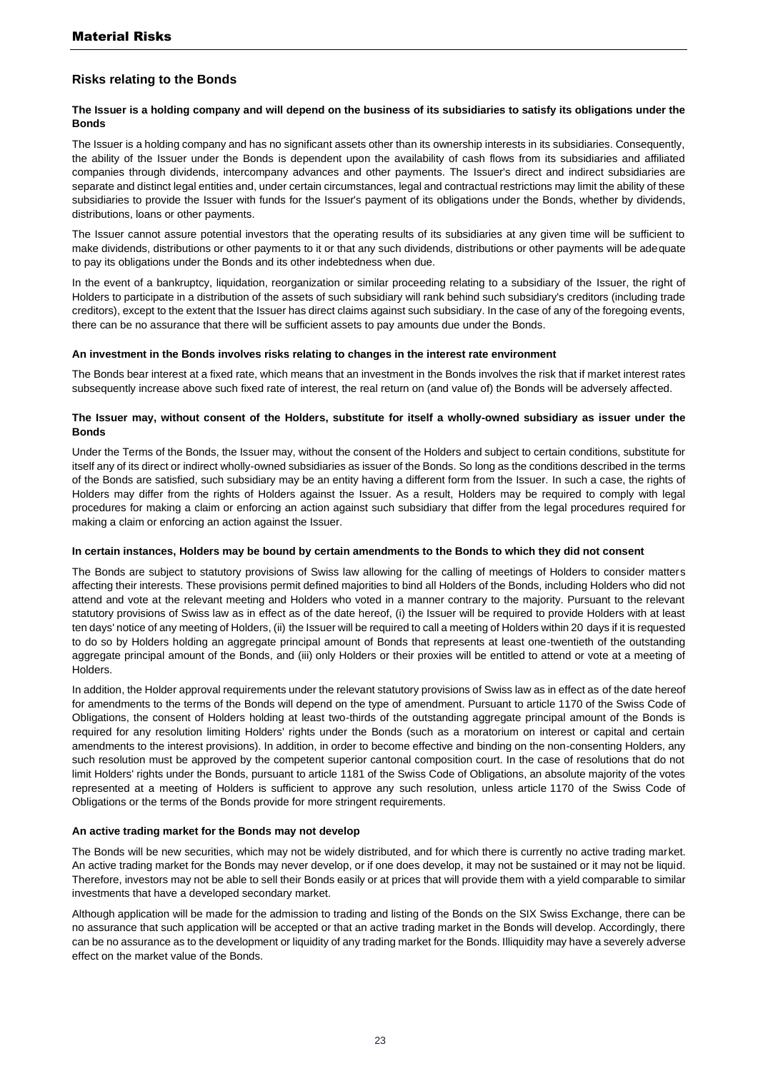## **Risks relating to the Bonds**

#### **The Issuer is a holding company and will depend on the business of its subsidiaries to satisfy its obligations under the Bonds**

The Issuer is a holding company and has no significant assets other than its ownership interests in its subsidiaries. Consequently, the ability of the Issuer under the Bonds is dependent upon the availability of cash flows from its subsidiaries and affiliated companies through dividends, intercompany advances and other payments. The Issuer's direct and indirect subsidiaries are separate and distinct legal entities and, under certain circumstances, legal and contractual restrictions may limit the ability of these subsidiaries to provide the Issuer with funds for the Issuer's payment of its obligations under the Bonds, whether by dividends, distributions, loans or other payments.

The Issuer cannot assure potential investors that the operating results of its subsidiaries at any given time will be sufficient to make dividends, distributions or other payments to it or that any such dividends, distributions or other payments will be adequate to pay its obligations under the Bonds and its other indebtedness when due.

In the event of a bankruptcy, liquidation, reorganization or similar proceeding relating to a subsidiary of the Issuer, the right of Holders to participate in a distribution of the assets of such subsidiary will rank behind such subsidiary's creditors (including trade creditors), except to the extent that the Issuer has direct claims against such subsidiary. In the case of any of the foregoing events, there can be no assurance that there will be sufficient assets to pay amounts due under the Bonds.

#### **An investment in the Bonds involves risks relating to changes in the interest rate environment**

The Bonds bear interest at a fixed rate, which means that an investment in the Bonds involves the risk that if market interest rates subsequently increase above such fixed rate of interest, the real return on (and value of) the Bonds will be adversely affected.

#### **The Issuer may, without consent of the Holders, substitute for itself a wholly-owned subsidiary as issuer under the Bonds**

Under the Terms of the Bonds, the Issuer may, without the consent of the Holders and subject to certain conditions, substitute for itself any of its direct or indirect wholly-owned subsidiaries as issuer of the Bonds. So long as the conditions described in the terms of the Bonds are satisfied, such subsidiary may be an entity having a different form from the Issuer. In such a case, the rights of Holders may differ from the rights of Holders against the Issuer. As a result, Holders may be required to comply with legal procedures for making a claim or enforcing an action against such subsidiary that differ from the legal procedures required for making a claim or enforcing an action against the Issuer.

#### **In certain instances, Holders may be bound by certain amendments to the Bonds to which they did not consent**

The Bonds are subject to statutory provisions of Swiss law allowing for the calling of meetings of Holders to consider matters affecting their interests. These provisions permit defined majorities to bind all Holders of the Bonds, including Holders who did not attend and vote at the relevant meeting and Holders who voted in a manner contrary to the majority. Pursuant to the relevant statutory provisions of Swiss law as in effect as of the date hereof, (i) the Issuer will be required to provide Holders with at least ten days' notice of any meeting of Holders, (ii) the Issuer will be required to call a meeting of Holders within 20 days if it is requested to do so by Holders holding an aggregate principal amount of Bonds that represents at least one-twentieth of the outstanding aggregate principal amount of the Bonds, and (iii) only Holders or their proxies will be entitled to attend or vote at a meeting of Holders.

In addition, the Holder approval requirements under the relevant statutory provisions of Swiss law as in effect as of the date hereof for amendments to the terms of the Bonds will depend on the type of amendment. Pursuant to article 1170 of the Swiss Code of Obligations, the consent of Holders holding at least two-thirds of the outstanding aggregate principal amount of the Bonds is required for any resolution limiting Holders' rights under the Bonds (such as a moratorium on interest or capital and certain amendments to the interest provisions). In addition, in order to become effective and binding on the non-consenting Holders, any such resolution must be approved by the competent superior cantonal composition court. In the case of resolutions that do not limit Holders' rights under the Bonds, pursuant to article 1181 of the Swiss Code of Obligations, an absolute majority of the votes represented at a meeting of Holders is sufficient to approve any such resolution, unless article 1170 of the Swiss Code of Obligations or the terms of the Bonds provide for more stringent requirements.

#### **An active trading market for the Bonds may not develop**

The Bonds will be new securities, which may not be widely distributed, and for which there is currently no active trading market. An active trading market for the Bonds may never develop, or if one does develop, it may not be sustained or it may not be liquid. Therefore, investors may not be able to sell their Bonds easily or at prices that will provide them with a yield comparable to similar investments that have a developed secondary market.

Although application will be made for the admission to trading and listing of the Bonds on the SIX Swiss Exchange, there can be no assurance that such application will be accepted or that an active trading market in the Bonds will develop. Accordingly, there can be no assurance as to the development or liquidity of any trading market for the Bonds. Illiquidity may have a severely adverse effect on the market value of the Bonds.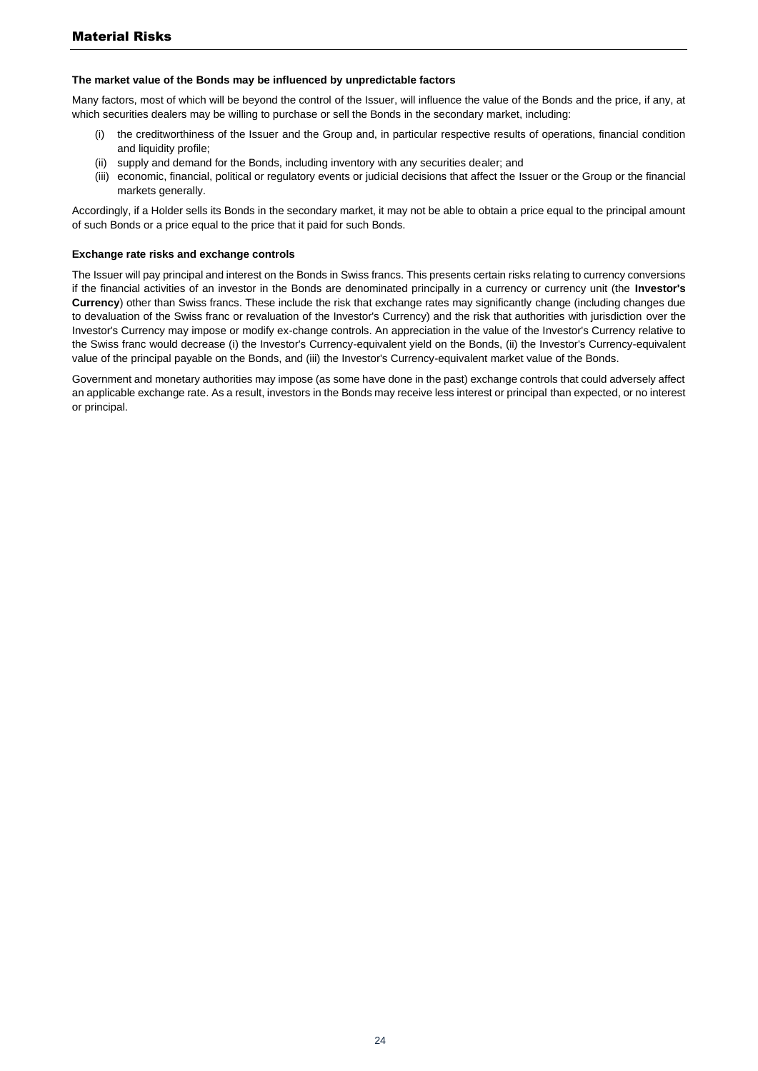#### **The market value of the Bonds may be influenced by unpredictable factors**

Many factors, most of which will be beyond the control of the Issuer, will influence the value of the Bonds and the price, if any, at which securities dealers may be willing to purchase or sell the Bonds in the secondary market, including:

- (i) the creditworthiness of the Issuer and the Group and, in particular respective results of operations, financial condition and liquidity profile;
- (ii) supply and demand for the Bonds, including inventory with any securities dealer; and
- (iii) economic, financial, political or regulatory events or judicial decisions that affect the Issuer or the Group or the financial markets generally.

Accordingly, if a Holder sells its Bonds in the secondary market, it may not be able to obtain a price equal to the principal amount of such Bonds or a price equal to the price that it paid for such Bonds.

#### **Exchange rate risks and exchange controls**

The Issuer will pay principal and interest on the Bonds in Swiss francs. This presents certain risks relating to currency conversions if the financial activities of an investor in the Bonds are denominated principally in a currency or currency unit (the **Investor's Currency**) other than Swiss francs. These include the risk that exchange rates may significantly change (including changes due to devaluation of the Swiss franc or revaluation of the Investor's Currency) and the risk that authorities with jurisdiction over the Investor's Currency may impose or modify ex-change controls. An appreciation in the value of the Investor's Currency relative to the Swiss franc would decrease (i) the Investor's Currency-equivalent yield on the Bonds, (ii) the Investor's Currency-equivalent value of the principal payable on the Bonds, and (iii) the Investor's Currency-equivalent market value of the Bonds.

Government and monetary authorities may impose (as some have done in the past) exchange controls that could adversely affect an applicable exchange rate. As a result, investors in the Bonds may receive less interest or principal than expected, or no interest or principal.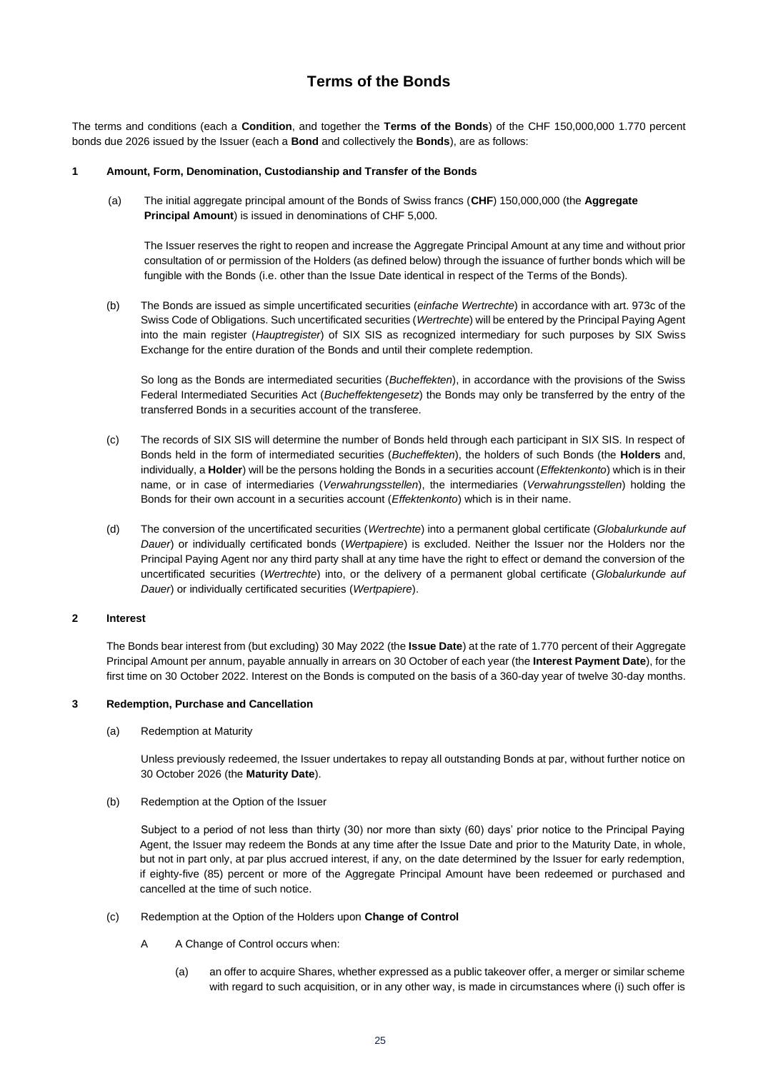## **Terms of the Bonds**

<span id="page-24-0"></span>The terms and conditions (each a **Condition**, and together the **Terms of the Bonds**) of the CHF 150,000,000 1.770 percent bonds due 2026 issued by the Issuer (each a **Bond** and collectively the **Bonds**), are as follows:

#### **1 Amount, Form, Denomination, Custodianship and Transfer of the Bonds**

(a) The initial aggregate principal amount of the Bonds of Swiss francs (**CHF**) 150,000,000 (the **Aggregate Principal Amount**) is issued in denominations of CHF 5,000.

The Issuer reserves the right to reopen and increase the Aggregate Principal Amount at any time and without prior consultation of or permission of the Holders (as defined below) through the issuance of further bonds which will be fungible with the Bonds (i.e. other than the Issue Date identical in respect of the Terms of the Bonds).

(b) The Bonds are issued as simple uncertificated securities (*einfache Wertrechte*) in accordance with art. 973c of the Swiss Code of Obligations. Such uncertificated securities (*Wertrechte*) will be entered by the Principal Paying Agent into the main register (*Hauptregister*) of SIX SIS as recognized intermediary for such purposes by SIX Swiss Exchange for the entire duration of the Bonds and until their complete redemption.

So long as the Bonds are intermediated securities (*Bucheffekten*), in accordance with the provisions of the Swiss Federal Intermediated Securities Act (*Bucheffektengesetz*) the Bonds may only be transferred by the entry of the transferred Bonds in a securities account of the transferee.

- (c) The records of SIX SIS will determine the number of Bonds held through each participant in SIX SIS. In respect of Bonds held in the form of intermediated securities (*Bucheffekten*), the holders of such Bonds (the **Holders** and, individually, a **Holder**) will be the persons holding the Bonds in a securities account (*Effektenkonto*) which is in their name, or in case of intermediaries (*Verwahrungsstellen*), the intermediaries (*Verwahrungsstellen*) holding the Bonds for their own account in a securities account (*Effektenkonto*) which is in their name.
- (d) The conversion of the uncertificated securities (*Wertrechte*) into a permanent global certificate (*Globalurkunde auf Dauer*) or individually certificated bonds (*Wertpapiere*) is excluded. Neither the Issuer nor the Holders nor the Principal Paying Agent nor any third party shall at any time have the right to effect or demand the conversion of the uncertificated securities (*Wertrechte*) into, or the delivery of a permanent global certificate (*Globalurkunde auf Dauer*) or individually certificated securities (*Wertpapiere*).

#### **2 Interest**

The Bonds bear interest from (but excluding) 30 May 2022 (the **Issue Date**) at the rate of 1.770 percent of their Aggregate Principal Amount per annum, payable annually in arrears on 30 October of each year (the **Interest Payment Date**), for the first time on 30 October 2022. Interest on the Bonds is computed on the basis of a 360-day year of twelve 30-day months.

#### **3 Redemption, Purchase and Cancellation**

(a) Redemption at Maturity

Unless previously redeemed, the Issuer undertakes to repay all outstanding Bonds at par, without further notice on 30 October 2026 (the **Maturity Date**).

(b) Redemption at the Option of the Issuer

Subject to a period of not less than thirty (30) nor more than sixty (60) days' prior notice to the Principal Paying Agent, the Issuer may redeem the Bonds at any time after the Issue Date and prior to the Maturity Date, in whole, but not in part only, at par plus accrued interest, if any, on the date determined by the Issuer for early redemption, if eighty-five (85) percent or more of the Aggregate Principal Amount have been redeemed or purchased and cancelled at the time of such notice.

- (c) Redemption at the Option of the Holders upon **Change of Control** 
	- A A Change of Control occurs when:
		- (a) an offer to acquire Shares, whether expressed as a public takeover offer, a merger or similar scheme with regard to such acquisition, or in any other way, is made in circumstances where (i) such offer is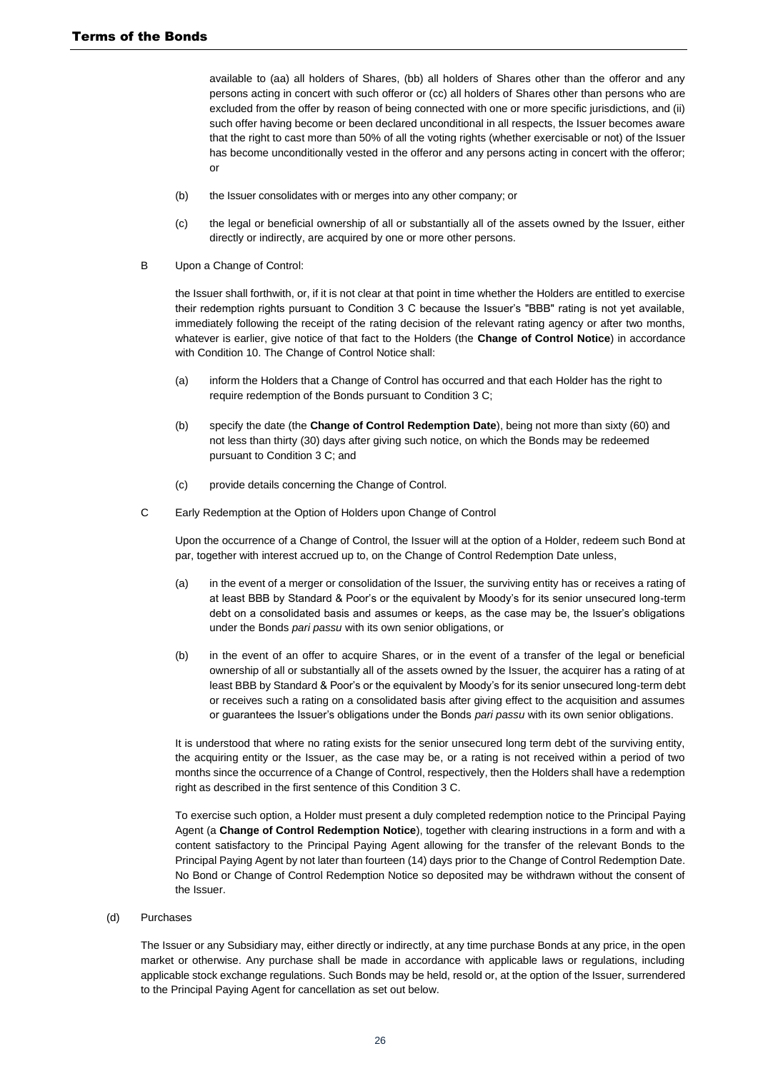available to (aa) all holders of Shares, (bb) all holders of Shares other than the offeror and any persons acting in concert with such offeror or (cc) all holders of Shares other than persons who are excluded from the offer by reason of being connected with one or more specific jurisdictions, and (ii) such offer having become or been declared unconditional in all respects, the Issuer becomes aware that the right to cast more than 50% of all the voting rights (whether exercisable or not) of the Issuer has become unconditionally vested in the offeror and any persons acting in concert with the offeror; or

- (b) the Issuer consolidates with or merges into any other company; or
- (c) the legal or beneficial ownership of all or substantially all of the assets owned by the Issuer, either directly or indirectly, are acquired by one or more other persons.
- B Upon a Change of Control:

the Issuer shall forthwith, or, if it is not clear at that point in time whether the Holders are entitled to exercise their redemption rights pursuant to Condition 3 C because the Issuer's "BBB" rating is not yet available, immediately following the receipt of the rating decision of the relevant rating agency or after two months, whatever is earlier, give notice of that fact to the Holders (the **Change of Control Notice**) in accordance with Condition 10. The Change of Control Notice shall:

- (a) inform the Holders that a Change of Control has occurred and that each Holder has the right to require redemption of the Bonds pursuant to Condition 3 C;
- (b) specify the date (the **Change of Control Redemption Date**), being not more than sixty (60) and not less than thirty (30) days after giving such notice, on which the Bonds may be redeemed pursuant to Condition 3 C; and
- (c) provide details concerning the Change of Control.
- C Early Redemption at the Option of Holders upon Change of Control

Upon the occurrence of a Change of Control, the Issuer will at the option of a Holder, redeem such Bond at par, together with interest accrued up to, on the Change of Control Redemption Date unless,

- (a) in the event of a merger or consolidation of the Issuer, the surviving entity has or receives a rating of at least BBB by Standard & Poor's or the equivalent by Moody's for its senior unsecured long-term debt on a consolidated basis and assumes or keeps, as the case may be, the Issuer's obligations under the Bonds *pari passu* with its own senior obligations, or
- (b) in the event of an offer to acquire Shares, or in the event of a transfer of the legal or beneficial ownership of all or substantially all of the assets owned by the Issuer, the acquirer has a rating of at least BBB by Standard & Poor's or the equivalent by Moody's for its senior unsecured long-term debt or receives such a rating on a consolidated basis after giving effect to the acquisition and assumes or guarantees the Issuer's obligations under the Bonds *pari passu* with its own senior obligations.

It is understood that where no rating exists for the senior unsecured long term debt of the surviving entity, the acquiring entity or the Issuer, as the case may be, or a rating is not received within a period of two months since the occurrence of a Change of Control, respectively, then the Holders shall have a redemption right as described in the first sentence of this Condition 3 C.

To exercise such option, a Holder must present a duly completed redemption notice to the Principal Paying Agent (a **Change of Control Redemption Notice**), together with clearing instructions in a form and with a content satisfactory to the Principal Paying Agent allowing for the transfer of the relevant Bonds to the Principal Paying Agent by not later than fourteen (14) days prior to the Change of Control Redemption Date. No Bond or Change of Control Redemption Notice so deposited may be withdrawn without the consent of the Issuer.

#### (d) Purchases

The Issuer or any Subsidiary may, either directly or indirectly, at any time purchase Bonds at any price, in the open market or otherwise. Any purchase shall be made in accordance with applicable laws or regulations, including applicable stock exchange regulations. Such Bonds may be held, resold or, at the option of the Issuer, surrendered to the Principal Paying Agent for cancellation as set out below.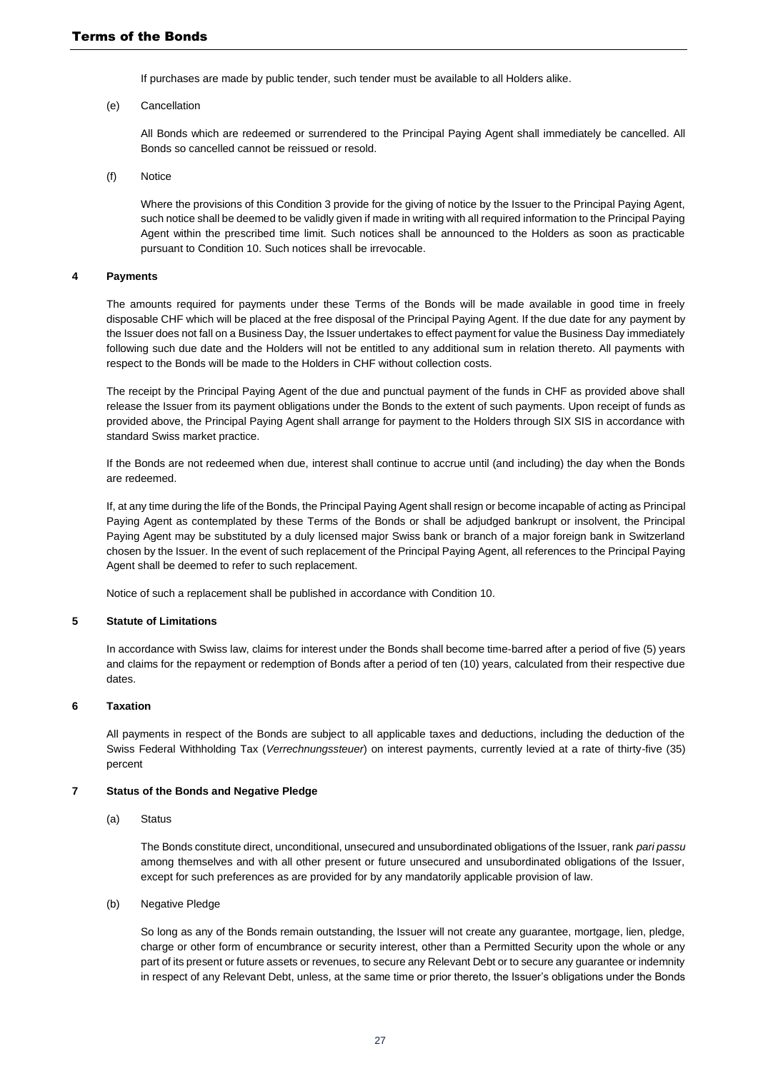If purchases are made by public tender, such tender must be available to all Holders alike.

(e) Cancellation

All Bonds which are redeemed or surrendered to the Principal Paying Agent shall immediately be cancelled. All Bonds so cancelled cannot be reissued or resold.

(f) Notice

Where the provisions of this Condition 3 provide for the giving of notice by the Issuer to the Principal Paying Agent, such notice shall be deemed to be validly given if made in writing with all required information to the Principal Paying Agent within the prescribed time limit. Such notices shall be announced to the Holders as soon as practicable pursuant to Condition 10. Such notices shall be irrevocable.

#### **4 Payments**

The amounts required for payments under these Terms of the Bonds will be made available in good time in freely disposable CHF which will be placed at the free disposal of the Principal Paying Agent. If the due date for any payment by the Issuer does not fall on a Business Day, the Issuer undertakes to effect payment for value the Business Day immediately following such due date and the Holders will not be entitled to any additional sum in relation thereto. All payments with respect to the Bonds will be made to the Holders in CHF without collection costs.

The receipt by the Principal Paying Agent of the due and punctual payment of the funds in CHF as provided above shall release the Issuer from its payment obligations under the Bonds to the extent of such payments. Upon receipt of funds as provided above, the Principal Paying Agent shall arrange for payment to the Holders through SIX SIS in accordance with standard Swiss market practice.

If the Bonds are not redeemed when due, interest shall continue to accrue until (and including) the day when the Bonds are redeemed.

If, at any time during the life of the Bonds, the Principal Paying Agent shall resign or become incapable of acting as Principal Paying Agent as contemplated by these Terms of the Bonds or shall be adjudged bankrupt or insolvent, the Principal Paying Agent may be substituted by a duly licensed major Swiss bank or branch of a major foreign bank in Switzerland chosen by the Issuer. In the event of such replacement of the Principal Paying Agent, all references to the Principal Paying Agent shall be deemed to refer to such replacement.

Notice of such a replacement shall be published in accordance with Condition 10.

#### **5 Statute of Limitations**

In accordance with Swiss law, claims for interest under the Bonds shall become time-barred after a period of five (5) years and claims for the repayment or redemption of Bonds after a period of ten (10) years, calculated from their respective due dates.

#### **6 Taxation**

All payments in respect of the Bonds are subject to all applicable taxes and deductions, including the deduction of the Swiss Federal Withholding Tax (*Verrechnungssteuer*) on interest payments, currently levied at a rate of thirty-five (35) percent

#### **7 Status of the Bonds and Negative Pledge**

(a) Status

The Bonds constitute direct, unconditional, unsecured and unsubordinated obligations of the Issuer, rank *pari passu* among themselves and with all other present or future unsecured and unsubordinated obligations of the Issuer, except for such preferences as are provided for by any mandatorily applicable provision of law.

(b) Negative Pledge

So long as any of the Bonds remain outstanding, the Issuer will not create any guarantee, mortgage, lien, pledge, charge or other form of encumbrance or security interest, other than a Permitted Security upon the whole or any part of its present or future assets or revenues, to secure any Relevant Debt or to secure any guarantee or indemnity in respect of any Relevant Debt, unless, at the same time or prior thereto, the Issuer's obligations under the Bonds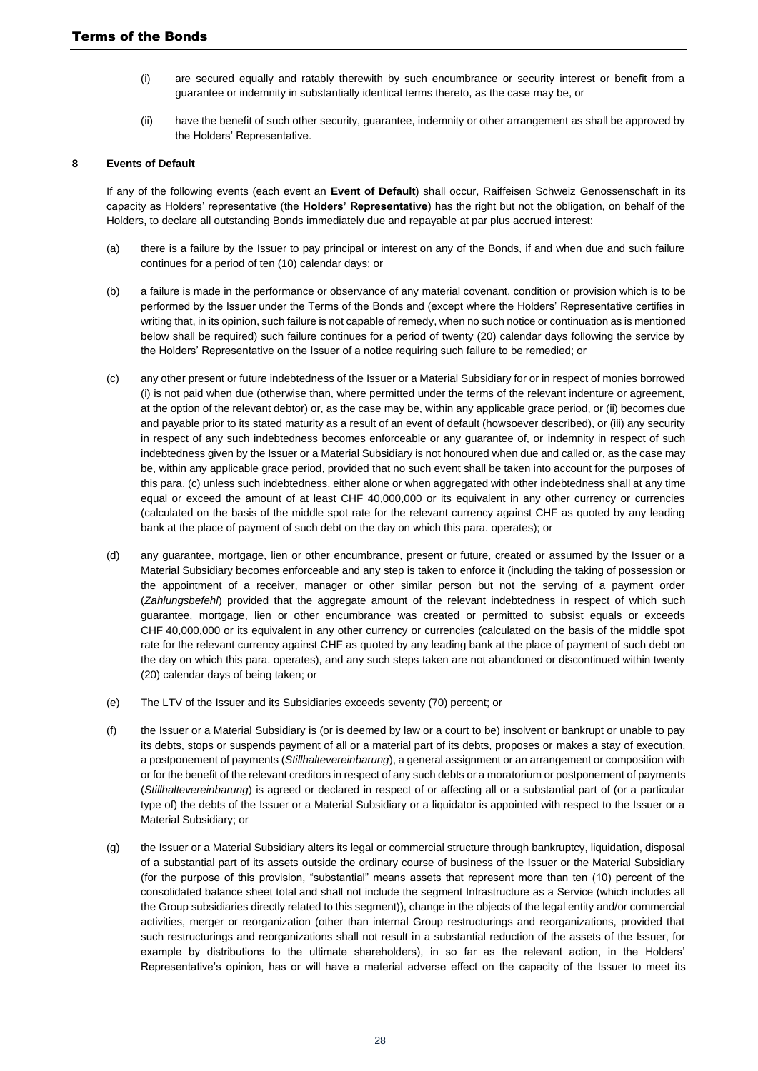- (i) are secured equally and ratably therewith by such encumbrance or security interest or benefit from a guarantee or indemnity in substantially identical terms thereto, as the case may be, or
- (ii) have the benefit of such other security, guarantee, indemnity or other arrangement as shall be approved by the Holders' Representative.

#### **8 Events of Default**

If any of the following events (each event an **Event of Default**) shall occur, Raiffeisen Schweiz Genossenschaft in its capacity as Holders' representative (the **Holders' Representative**) has the right but not the obligation, on behalf of the Holders, to declare all outstanding Bonds immediately due and repayable at par plus accrued interest:

- (a) there is a failure by the Issuer to pay principal or interest on any of the Bonds, if and when due and such failure continues for a period of ten (10) calendar days; or
- (b) a failure is made in the performance or observance of any material covenant, condition or provision which is to be performed by the Issuer under the Terms of the Bonds and (except where the Holders' Representative certifies in writing that, in its opinion, such failure is not capable of remedy, when no such notice or continuation as is mentioned below shall be required) such failure continues for a period of twenty (20) calendar days following the service by the Holders' Representative on the Issuer of a notice requiring such failure to be remedied; or
- (c) any other present or future indebtedness of the Issuer or a Material Subsidiary for or in respect of monies borrowed (i) is not paid when due (otherwise than, where permitted under the terms of the relevant indenture or agreement, at the option of the relevant debtor) or, as the case may be, within any applicable grace period, or (ii) becomes due and payable prior to its stated maturity as a result of an event of default (howsoever described), or (iii) any security in respect of any such indebtedness becomes enforceable or any guarantee of, or indemnity in respect of such indebtedness given by the Issuer or a Material Subsidiary is not honoured when due and called or, as the case may be, within any applicable grace period, provided that no such event shall be taken into account for the purposes of this para. (c) unless such indebtedness, either alone or when aggregated with other indebtedness shall at any time equal or exceed the amount of at least CHF 40,000,000 or its equivalent in any other currency or currencies (calculated on the basis of the middle spot rate for the relevant currency against CHF as quoted by any leading bank at the place of payment of such debt on the day on which this para. operates); or
- (d) any guarantee, mortgage, lien or other encumbrance, present or future, created or assumed by the Issuer or a Material Subsidiary becomes enforceable and any step is taken to enforce it (including the taking of possession or the appointment of a receiver, manager or other similar person but not the serving of a payment order (*Zahlungsbefehl*) provided that the aggregate amount of the relevant indebtedness in respect of which such guarantee, mortgage, lien or other encumbrance was created or permitted to subsist equals or exceeds CHF 40,000,000 or its equivalent in any other currency or currencies (calculated on the basis of the middle spot rate for the relevant currency against CHF as quoted by any leading bank at the place of payment of such debt on the day on which this para. operates), and any such steps taken are not abandoned or discontinued within twenty (20) calendar days of being taken; or
- (e) The LTV of the Issuer and its Subsidiaries exceeds seventy (70) percent; or
- (f) the Issuer or a Material Subsidiary is (or is deemed by law or a court to be) insolvent or bankrupt or unable to pay its debts, stops or suspends payment of all or a material part of its debts, proposes or makes a stay of execution, a postponement of payments (*Stillhaltevereinbarung*), a general assignment or an arrangement or composition with or for the benefit of the relevant creditors in respect of any such debts or a moratorium or postponement of payments (*Stillhaltevereinbarung*) is agreed or declared in respect of or affecting all or a substantial part of (or a particular type of) the debts of the Issuer or a Material Subsidiary or a liquidator is appointed with respect to the Issuer or a Material Subsidiary; or
- (g) the Issuer or a Material Subsidiary alters its legal or commercial structure through bankruptcy, liquidation, disposal of a substantial part of its assets outside the ordinary course of business of the Issuer or the Material Subsidiary (for the purpose of this provision, "substantial" means assets that represent more than ten (10) percent of the consolidated balance sheet total and shall not include the segment Infrastructure as a Service (which includes all the Group subsidiaries directly related to this segment)), change in the objects of the legal entity and/or commercial activities, merger or reorganization (other than internal Group restructurings and reorganizations, provided that such restructurings and reorganizations shall not result in a substantial reduction of the assets of the Issuer, for example by distributions to the ultimate shareholders), in so far as the relevant action, in the Holders' Representative's opinion, has or will have a material adverse effect on the capacity of the Issuer to meet its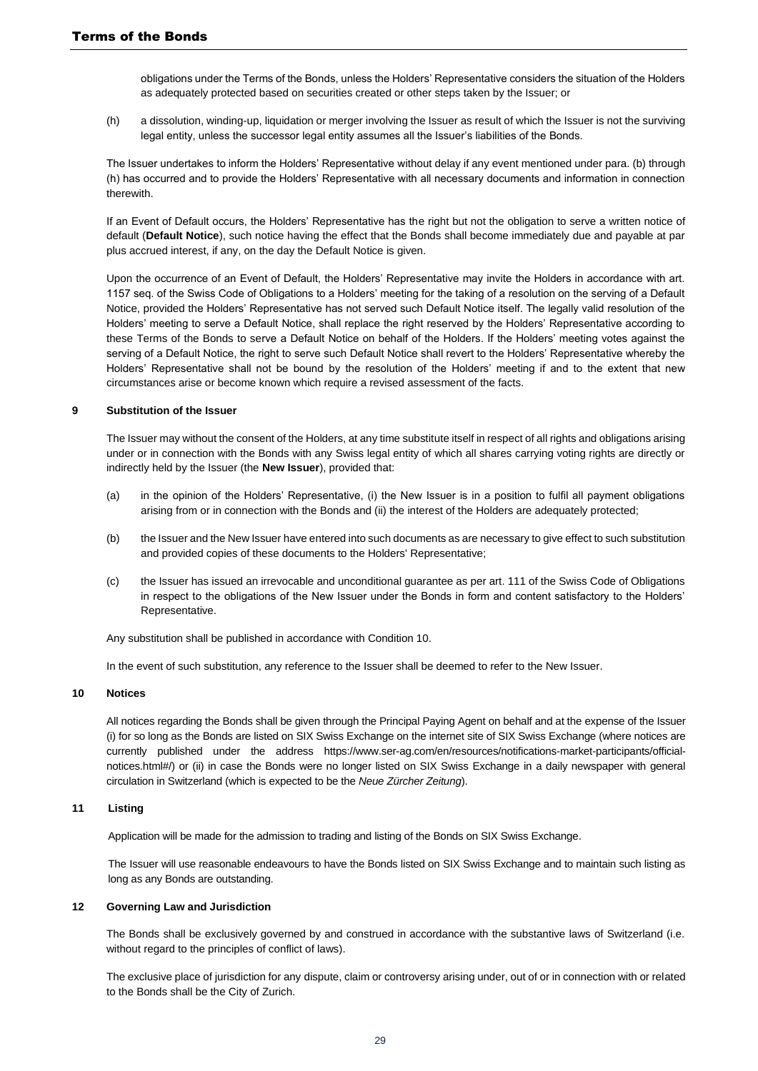obligations under the Terms of the Bonds, unless the Holders' Representative considers the situation of the Holders as adequately protected based on securities created or other steps taken by the Issuer; or

(h) a dissolution, winding-up, liquidation or merger involving the Issuer as result of which the Issuer is not the surviving legal entity, unless the successor legal entity assumes all the Issuer's liabilities of the Bonds.

The Issuer undertakes to inform the Holders' Representative without delay if any event mentioned under para. (b) through (h) has occurred and to provide the Holders' Representative with all necessary documents and information in connection therewith.

If an Event of Default occurs, the Holders' Representative has the right but not the obligation to serve a written notice of default (**Default Notice**), such notice having the effect that the Bonds shall become immediately due and payable at par plus accrued interest, if any, on the day the Default Notice is given.

Upon the occurrence of an Event of Default, the Holders' Representative may invite the Holders in accordance with art. 1157 seq. of the Swiss Code of Obligations to a Holders' meeting for the taking of a resolution on the serving of a Default Notice, provided the Holders' Representative has not served such Default Notice itself. The legally valid resolution of the Holders' meeting to serve a Default Notice, shall replace the right reserved by the Holders' Representative according to these Terms of the Bonds to serve a Default Notice on behalf of the Holders. If the Holders' meeting votes against the serving of a Default Notice, the right to serve such Default Notice shall revert to the Holders' Representative whereby the Holders' Representative shall not be bound by the resolution of the Holders' meeting if and to the extent that new circumstances arise or become known which require a revised assessment of the facts.

#### **9 Substitution of the Issuer**

The Issuer may without the consent of the Holders, at any time substitute itself in respect of all rights and obligations arising under or in connection with the Bonds with any Swiss legal entity of which all shares carrying voting rights are directly or indirectly held by the Issuer (the **New Issuer**), provided that:

- (a) in the opinion of the Holders' Representative, (i) the New Issuer is in a position to fulfil all payment obligations arising from or in connection with the Bonds and (ii) the interest of the Holders are adequately protected;
- (b) the Issuer and the New Issuer have entered into such documents as are necessary to give effect to such substitution and provided copies of these documents to the Holders' Representative;
- (c) the Issuer has issued an irrevocable and unconditional guarantee as per art. 111 of the Swiss Code of Obligations in respect to the obligations of the New Issuer under the Bonds in form and content satisfactory to the Holders' Representative.

Any substitution shall be published in accordance with Condition 10.

In the event of such substitution, any reference to the Issuer shall be deemed to refer to the New Issuer.

#### **10 Notices**

All notices regarding the Bonds shall be given through the Principal Paying Agent on behalf and at the expense of the Issuer (i) for so long as the Bonds are listed on SIX Swiss Exchange on the internet site of SIX Swiss Exchange (where notices are currently published under the address https://www.ser-ag.com/en/resources/notifications-market-participants/officialnotices.html#/) or (ii) in case the Bonds were no longer listed on SIX Swiss Exchange in a daily newspaper with general circulation in Switzerland (which is expected to be the *Neue Zürcher Zeitung*).

#### **11 Listing**

Application will be made for the admission to trading and listing of the Bonds on SIX Swiss Exchange.

The Issuer will use reasonable endeavours to have the Bonds listed on SIX Swiss Exchange and to maintain such listing as long as any Bonds are outstanding.

#### **12 Governing Law and Jurisdiction**

The Bonds shall be exclusively governed by and construed in accordance with the substantive laws of Switzerland (i.e. without regard to the principles of conflict of laws).

The exclusive place of jurisdiction for any dispute, claim or controversy arising under, out of or in connection with or related to the Bonds shall be the City of Zurich.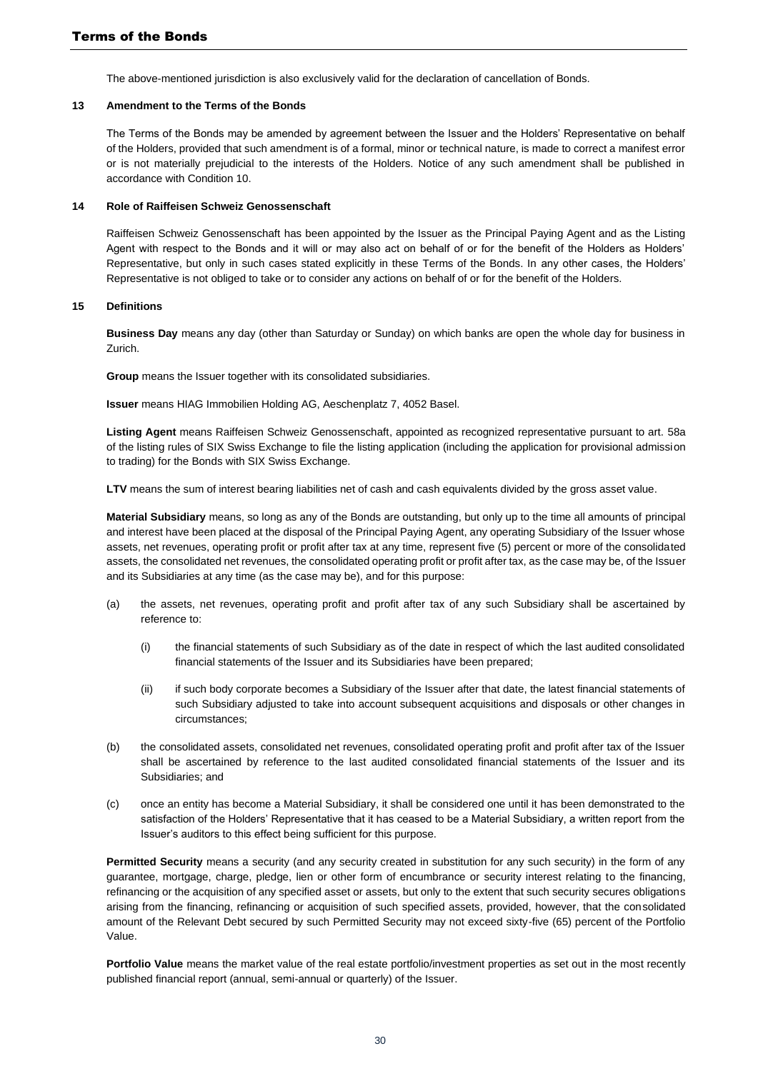The above-mentioned jurisdiction is also exclusively valid for the declaration of cancellation of Bonds.

#### **13 Amendment to the Terms of the Bonds**

The Terms of the Bonds may be amended by agreement between the Issuer and the Holders' Representative on behalf of the Holders, provided that such amendment is of a formal, minor or technical nature, is made to correct a manifest error or is not materially prejudicial to the interests of the Holders. Notice of any such amendment shall be published in accordance with Condition 10.

#### **14 Role of Raiffeisen Schweiz Genossenschaft**

Raiffeisen Schweiz Genossenschaft has been appointed by the Issuer as the Principal Paying Agent and as the Listing Agent with respect to the Bonds and it will or may also act on behalf of or for the benefit of the Holders as Holders' Representative, but only in such cases stated explicitly in these Terms of the Bonds. In any other cases, the Holders' Representative is not obliged to take or to consider any actions on behalf of or for the benefit of the Holders.

#### **15 Definitions**

**Business Day** means any day (other than Saturday or Sunday) on which banks are open the whole day for business in Zurich.

**Group** means the Issuer together with its consolidated subsidiaries.

**Issuer** means HIAG Immobilien Holding AG, Aeschenplatz 7, 4052 Basel.

**Listing Agent** means Raiffeisen Schweiz Genossenschaft, appointed as recognized representative pursuant to art. 58a of the listing rules of SIX Swiss Exchange to file the listing application (including the application for provisional admission to trading) for the Bonds with SIX Swiss Exchange.

LTV means the sum of interest bearing liabilities net of cash and cash equivalents divided by the gross asset value.

**Material Subsidiary** means, so long as any of the Bonds are outstanding, but only up to the time all amounts of principal and interest have been placed at the disposal of the Principal Paying Agent, any operating Subsidiary of the Issuer whose assets, net revenues, operating profit or profit after tax at any time, represent five (5) percent or more of the consolidated assets, the consolidated net revenues, the consolidated operating profit or profit after tax, as the case may be, of the Issuer and its Subsidiaries at any time (as the case may be), and for this purpose:

- (a) the assets, net revenues, operating profit and profit after tax of any such Subsidiary shall be ascertained by reference to:
	- (i) the financial statements of such Subsidiary as of the date in respect of which the last audited consolidated financial statements of the Issuer and its Subsidiaries have been prepared;
	- (ii) if such body corporate becomes a Subsidiary of the Issuer after that date, the latest financial statements of such Subsidiary adjusted to take into account subsequent acquisitions and disposals or other changes in circumstances;
- (b) the consolidated assets, consolidated net revenues, consolidated operating profit and profit after tax of the Issuer shall be ascertained by reference to the last audited consolidated financial statements of the Issuer and its Subsidiaries; and
- (c) once an entity has become a Material Subsidiary, it shall be considered one until it has been demonstrated to the satisfaction of the Holders' Representative that it has ceased to be a Material Subsidiary, a written report from the Issuer's auditors to this effect being sufficient for this purpose.

**Permitted Security** means a security (and any security created in substitution for any such security) in the form of any guarantee, mortgage, charge, pledge, lien or other form of encumbrance or security interest relating to the financing, refinancing or the acquisition of any specified asset or assets, but only to the extent that such security secures obligations arising from the financing, refinancing or acquisition of such specified assets, provided, however, that the consolidated amount of the Relevant Debt secured by such Permitted Security may not exceed sixty-five (65) percent of the Portfolio Value.

**Portfolio Value** means the market value of the real estate portfolio/investment properties as set out in the most recently published financial report (annual, semi-annual or quarterly) of the Issuer.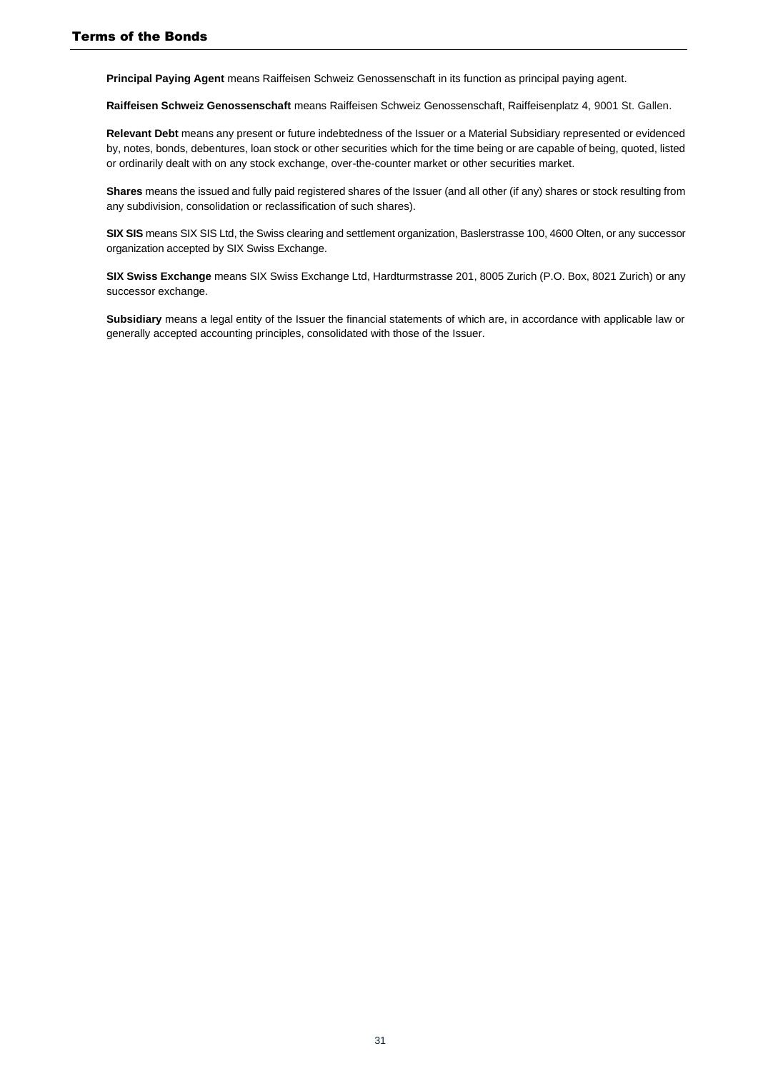**Principal Paying Agent** means Raiffeisen Schweiz Genossenschaft in its function as principal paying agent.

**Raiffeisen Schweiz Genossenschaft** means Raiffeisen Schweiz Genossenschaft, Raiffeisenplatz 4, 9001 St. Gallen.

**Relevant Debt** means any present or future indebtedness of the Issuer or a Material Subsidiary represented or evidenced by, notes, bonds, debentures, loan stock or other securities which for the time being or are capable of being, quoted, listed or ordinarily dealt with on any stock exchange, over-the-counter market or other securities market.

**Shares** means the issued and fully paid registered shares of the Issuer (and all other (if any) shares or stock resulting from any subdivision, consolidation or reclassification of such shares).

**SIX SIS** means SIX SIS Ltd, the Swiss clearing and settlement organization, Baslerstrasse 100, 4600 Olten, or any successor organization accepted by SIX Swiss Exchange.

**SIX Swiss Exchange** means SIX Swiss Exchange Ltd, Hardturmstrasse 201, 8005 Zurich (P.O. Box, 8021 Zurich) or any successor exchange.

**Subsidiary** means a legal entity of the Issuer the financial statements of which are, in accordance with applicable law or generally accepted accounting principles, consolidated with those of the Issuer.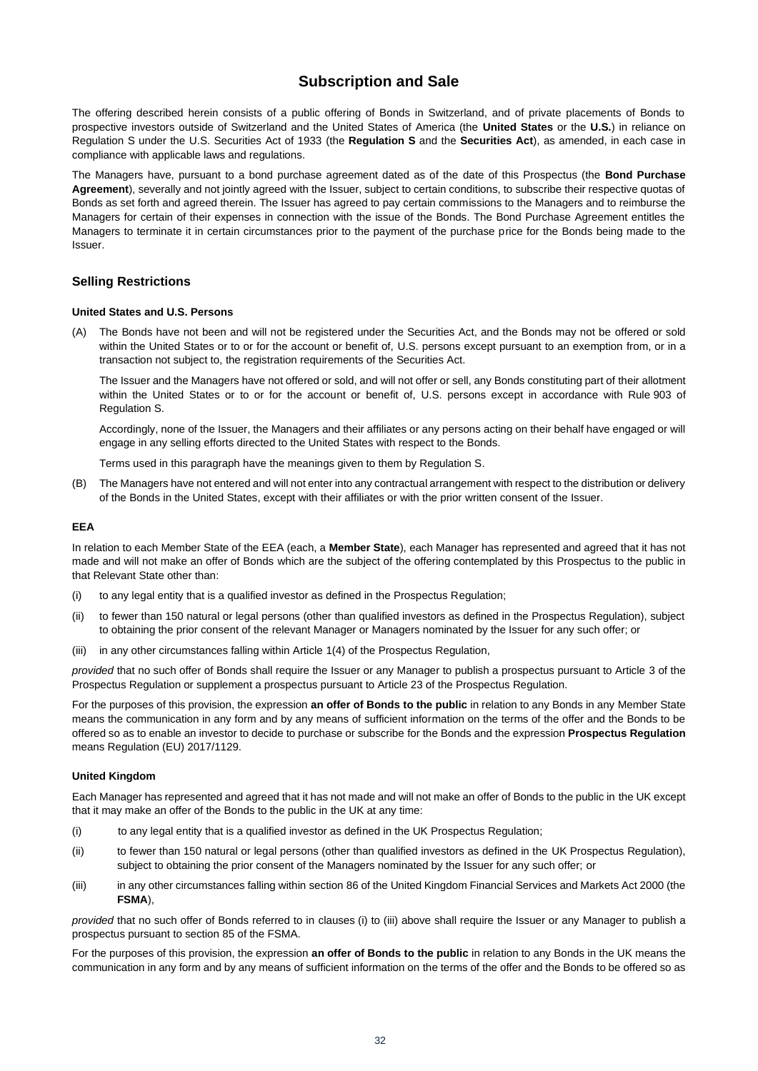## **Subscription and Sale**

<span id="page-31-1"></span>The offering described herein consists of a public offering of Bonds in Switzerland, and of private placements of Bonds to prospective investors outside of Switzerland and the United States of America (the **United States** or the **U.S.**) in reliance on Regulation S under the U.S. Securities Act of 1933 (the **Regulation S** and the **Securities Act**), as amended, in each case in compliance with applicable laws and regulations.

The Managers have, pursuant to a bond purchase agreement dated as of the date of this Prospectus (the **Bond Purchase Agreement**), severally and not jointly agreed with the Issuer, subject to certain conditions, to subscribe their respective quotas of Bonds as set forth and agreed therein. The Issuer has agreed to pay certain commissions to the Managers and to reimburse the Managers for certain of their expenses in connection with the issue of the Bonds. The Bond Purchase Agreement entitles the Managers to terminate it in certain circumstances prior to the payment of the purchase price for the Bonds being made to the Issuer.

#### <span id="page-31-0"></span>**Selling Restrictions**

#### **United States and U.S. Persons**

(A) The Bonds have not been and will not be registered under the Securities Act, and the Bonds may not be offered or sold within the United States or to or for the account or benefit of, U.S. persons except pursuant to an exemption from, or in a transaction not subject to, the registration requirements of the Securities Act.

The Issuer and the Managers have not offered or sold, and will not offer or sell, any Bonds constituting part of their allotment within the United States or to or for the account or benefit of, U.S. persons except in accordance with Rule 903 of Regulation S.

Accordingly, none of the Issuer, the Managers and their affiliates or any persons acting on their behalf have engaged or will engage in any selling efforts directed to the United States with respect to the Bonds.

Terms used in this paragraph have the meanings given to them by Regulation S.

(B) The Managers have not entered and will not enter into any contractual arrangement with respect to the distribution or delivery of the Bonds in the United States, except with their affiliates or with the prior written consent of the Issuer.

#### **EEA**

In relation to each Member State of the EEA (each, a **Member State**), each Manager has represented and agreed that it has not made and will not make an offer of Bonds which are the subject of the offering contemplated by this Prospectus to the public in that Relevant State other than:

- (i) to any legal entity that is a qualified investor as defined in the Prospectus Regulation;
- (ii) to fewer than 150 natural or legal persons (other than qualified investors as defined in the Prospectus Regulation), subject to obtaining the prior consent of the relevant Manager or Managers nominated by the Issuer for any such offer; or
- (iii) in any other circumstances falling within Article 1(4) of the Prospectus Regulation,

*provided* that no such offer of Bonds shall require the Issuer or any Manager to publish a prospectus pursuant to Article 3 of the Prospectus Regulation or supplement a prospectus pursuant to Article 23 of the Prospectus Regulation.

For the purposes of this provision, the expression **an offer of Bonds to the public** in relation to any Bonds in any Member State means the communication in any form and by any means of sufficient information on the terms of the offer and the Bonds to be offered so as to enable an investor to decide to purchase or subscribe for the Bonds and the expression **Prospectus Regulation** means Regulation (EU) 2017/1129.

#### **United Kingdom**

Each Manager has represented and agreed that it has not made and will not make an offer of Bonds to the public in the UK except that it may make an offer of the Bonds to the public in the UK at any time:

- (i) to any legal entity that is a qualified investor as defined in the UK Prospectus Regulation;
- (ii) to fewer than 150 natural or legal persons (other than qualified investors as defined in the UK Prospectus Regulation), subject to obtaining the prior consent of the Managers nominated by the Issuer for any such offer; or
- (iii) in any other circumstances falling within section 86 of the United Kingdom Financial Services and Markets Act 2000 (the **FSMA**),

*provided* that no such offer of Bonds referred to in clauses (i) to (iii) above shall require the Issuer or any Manager to publish a prospectus pursuant to section 85 of the FSMA.

For the purposes of this provision, the expression **an offer of Bonds to the public** in relation to any Bonds in the UK means the communication in any form and by any means of sufficient information on the terms of the offer and the Bonds to be offered so as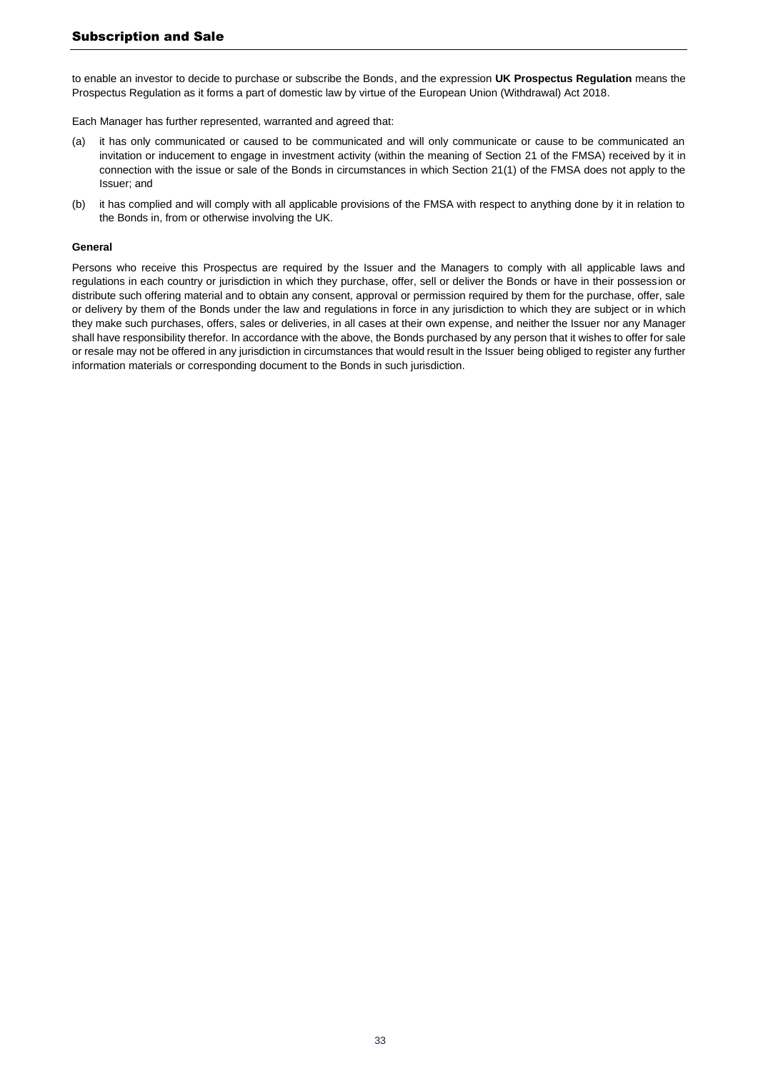to enable an investor to decide to purchase or subscribe the Bonds, and the expression **UK Prospectus Regulation** means the Prospectus Regulation as it forms a part of domestic law by virtue of the European Union (Withdrawal) Act 2018.

Each Manager has further represented, warranted and agreed that:

- (a) it has only communicated or caused to be communicated and will only communicate or cause to be communicated an invitation or inducement to engage in investment activity (within the meaning of Section 21 of the FMSA) received by it in connection with the issue or sale of the Bonds in circumstances in which Section 21(1) of the FMSA does not apply to the Issuer; and
- (b) it has complied and will comply with all applicable provisions of the FMSA with respect to anything done by it in relation to the Bonds in, from or otherwise involving the UK.

#### **General**

Persons who receive this Prospectus are required by the Issuer and the Managers to comply with all applicable laws and regulations in each country or jurisdiction in which they purchase, offer, sell or deliver the Bonds or have in their possession or distribute such offering material and to obtain any consent, approval or permission required by them for the purchase, offer, sale or delivery by them of the Bonds under the law and regulations in force in any jurisdiction to which they are subject or in which they make such purchases, offers, sales or deliveries, in all cases at their own expense, and neither the Issuer nor any Manager shall have responsibility therefor. In accordance with the above, the Bonds purchased by any person that it wishes to offer for sale or resale may not be offered in any jurisdiction in circumstances that would result in the Issuer being obliged to register any further information materials or corresponding document to the Bonds in such jurisdiction.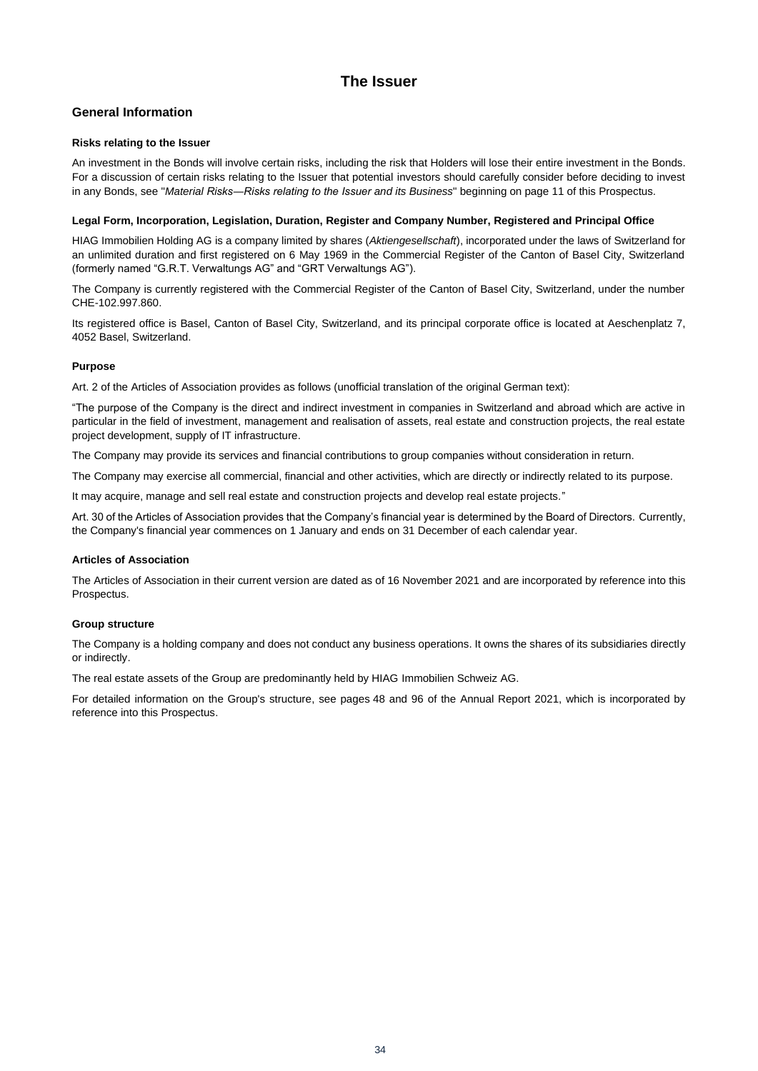## **The Issuer**

## <span id="page-33-0"></span>**General Information**

#### **Risks relating to the Issuer**

An investment in the Bonds will involve certain risks, including the risk that Holders will lose their entire investment in the Bonds. For a discussion of certain risks relating to the Issuer that potential investors should carefully consider before deciding to invest in any Bonds, see "*Material Risks―Risks relating to the Issuer and its Business*" beginning on page [11](#page-10-1) of this Prospectus.

#### **Legal Form, Incorporation, Legislation, Duration, Register and Company Number, Registered and Principal Office**

HIAG Immobilien Holding AG is a company limited by shares (*Aktiengesellschaft*), incorporated under the laws of Switzerland for an unlimited duration and first registered on 6 May 1969 in the Commercial Register of the Canton of Basel City, Switzerland (formerly named "G.R.T. Verwaltungs AG" and "GRT Verwaltungs AG").

The Company is currently registered with the Commercial Register of the Canton of Basel City, Switzerland, under the number CHE-102.997.860.

Its registered office is Basel, Canton of Basel City, Switzerland, and its principal corporate office is located at Aeschenplatz 7, 4052 Basel, Switzerland.

#### **Purpose**

Art. 2 of the Articles of Association provides as follows (unofficial translation of the original German text):

"The purpose of the Company is the direct and indirect investment in companies in Switzerland and abroad which are active in particular in the field of investment, management and realisation of assets, real estate and construction projects, the real estate project development, supply of IT infrastructure.

The Company may provide its services and financial contributions to group companies without consideration in return.

The Company may exercise all commercial, financial and other activities, which are directly or indirectly related to its purpose.

It may acquire, manage and sell real estate and construction projects and develop real estate projects."

Art. 30 of the Articles of Association provides that the Company's financial year is determined by the Board of Directors. Currently, the Company's financial year commences on 1 January and ends on 31 December of each calendar year.

#### **Articles of Association**

The Articles of Association in their current version are dated as of 16 November 2021 and are incorporated by reference into this Prospectus.

#### **Group structure**

The Company is a holding company and does not conduct any business operations. It owns the shares of its subsidiaries directly or indirectly.

The real estate assets of the Group are predominantly held by HIAG Immobilien Schweiz AG.

For detailed information on the Group's structure, see pages 48 and 96 of the Annual Report 2021, which is incorporated by reference into this Prospectus.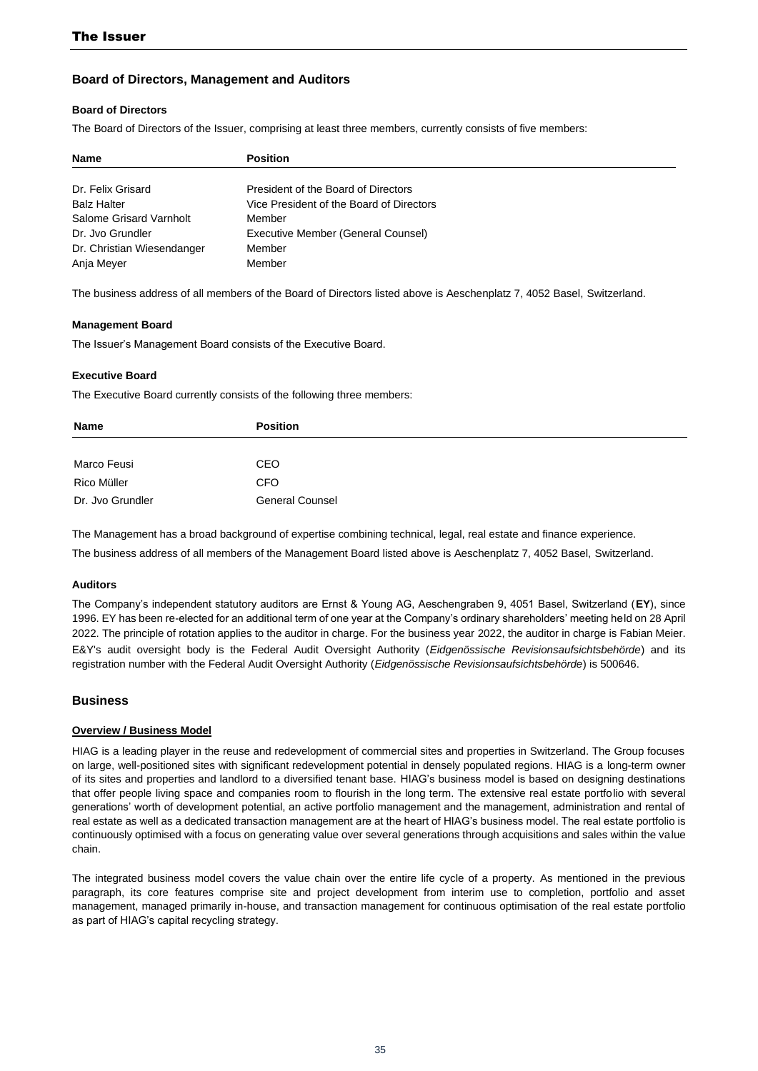## **Board of Directors, Management and Auditors**

#### **Board of Directors**

The Board of Directors of the Issuer, comprising at least three members, currently consists of five members:

| <b>Name</b>                | <b>Position</b>                          |  |
|----------------------------|------------------------------------------|--|
|                            |                                          |  |
| Dr. Felix Grisard          | President of the Board of Directors      |  |
| <b>Balz Halter</b>         | Vice President of the Board of Directors |  |
| Salome Grisard Varnholt    | Member                                   |  |
| Dr. Jvo Grundler           | Executive Member (General Counsel)       |  |
| Dr. Christian Wiesendanger | Member                                   |  |
| Anja Meyer                 | Member                                   |  |

The business address of all members of the Board of Directors listed above is Aeschenplatz 7, 4052 Basel, Switzerland.

#### **Management Board**

The Issuer's Management Board consists of the Executive Board.

#### **Executive Board**

The Executive Board currently consists of the following three members:

| Name             | <b>Position</b>        |
|------------------|------------------------|
|                  |                        |
| Marco Feusi      | CEO                    |
| Rico Müller      | <b>CFO</b>             |
| Dr. Jvo Grundler | <b>General Counsel</b> |

The Management has a broad background of expertise combining technical, legal, real estate and finance experience. The business address of all members of the Management Board listed above is Aeschenplatz 7, 4052 Basel, Switzerland.

#### **Auditors**

The Company's independent statutory auditors are Ernst & Young AG, Aeschengraben 9, 4051 Basel, Switzerland (**EY**), since 1996. EY has been re-elected for an additional term of one year at the Company's ordinary shareholders' meeting held on 28 April 2022. The principle of rotation applies to the auditor in charge. For the business year 2022, the auditor in charge is Fabian Meier. E&Y's audit oversight body is the Federal Audit Oversight Authority (*Eidgenössische Revisionsaufsichtsbehörde*) and its registration number with the Federal Audit Oversight Authority (*Eidgenössische Revisionsaufsichtsbehörde*) is 500646.

## **Business**

#### **Overview / Business Model**

HIAG is a leading player in the reuse and redevelopment of commercial sites and properties in Switzerland. The Group focuses on large, well-positioned sites with significant redevelopment potential in densely populated regions. HIAG is a long-term owner of its sites and properties and landlord to a diversified tenant base. HIAG's business model is based on designing destinations that offer people living space and companies room to flourish in the long term. The extensive real estate portfolio with several generations' worth of development potential, an active portfolio management and the management, administration and rental of real estate as well as a dedicated transaction management are at the heart of HIAG's business model. The real estate portfolio is continuously optimised with a focus on generating value over several generations through acquisitions and sales within the value chain.

The integrated business model covers the value chain over the entire life cycle of a property. As mentioned in the previous paragraph, its core features comprise site and project development from interim use to completion, portfolio and asset management, managed primarily in-house, and transaction management for continuous optimisation of the real estate portfolio as part of HIAG's capital recycling strategy.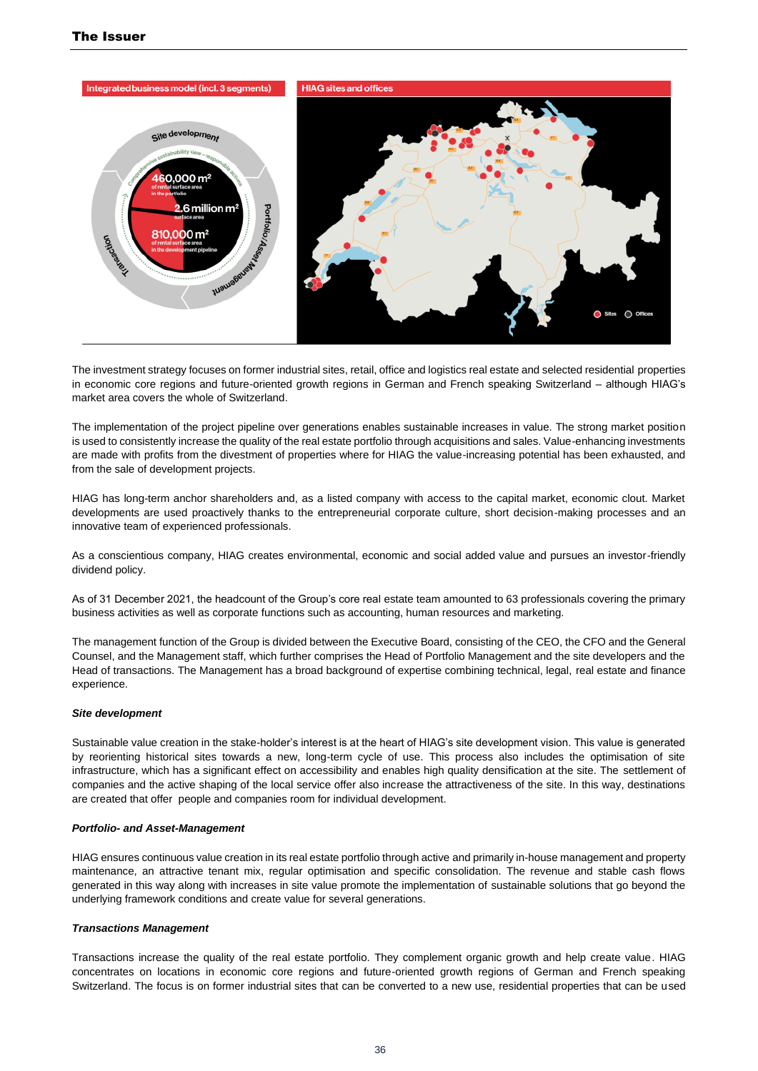

The investment strategy focuses on former industrial sites, retail, office and logistics real estate and selected residential properties in economic core regions and future-oriented growth regions in German and French speaking Switzerland – although HIAG's market area covers the whole of Switzerland.

The implementation of the project pipeline over generations enables sustainable increases in value. The strong market position is used to consistently increase the quality of the real estate portfolio through acquisitions and sales. Value-enhancing investments are made with profits from the divestment of properties where for HIAG the value-increasing potential has been exhausted, and from the sale of development projects.

HIAG has long-term anchor shareholders and, as a listed company with access to the capital market, economic clout. Market developments are used proactively thanks to the entrepreneurial corporate culture, short decision-making processes and an innovative team of experienced professionals.

As a conscientious company, HIAG creates environmental, economic and social added value and pursues an investor-friendly dividend policy.

As of 31 December 2021, the headcount of the Group's core real estate team amounted to 63 professionals covering the primary business activities as well as corporate functions such as accounting, human resources and marketing.

The management function of the Group is divided between the Executive Board, consisting of the CEO, the CFO and the General Counsel, and the Management staff, which further comprises the Head of Portfolio Management and the site developers and the Head of transactions. The Management has a broad background of expertise combining technical, legal, real estate and finance experience.

#### *Site development*

Sustainable value creation in the stake-holder's interest is at the heart of HIAG's site development vision. This value is generated by reorienting historical sites towards a new, long-term cycle of use. This process also includes the optimisation of site infrastructure, which has a significant effect on accessibility and enables high quality densification at the site. The settlement of companies and the active shaping of the local service offer also increase the attractiveness of the site. In this way, destinations are created that offer people and companies room for individual development.

#### *Portfolio- and Asset-Management*

HIAG ensures continuous value creation in its real estate portfolio through active and primarily in-house management and property maintenance, an attractive tenant mix, regular optimisation and specific consolidation. The revenue and stable cash flows generated in this way along with increases in site value promote the implementation of sustainable solutions that go beyond the underlying framework conditions and create value for several generations.

#### *Transactions Management*

Transactions increase the quality of the real estate portfolio. They complement organic growth and help create value. HIAG concentrates on locations in economic core regions and future-oriented growth regions of German and French speaking Switzerland. The focus is on former industrial sites that can be converted to a new use, residential properties that can be used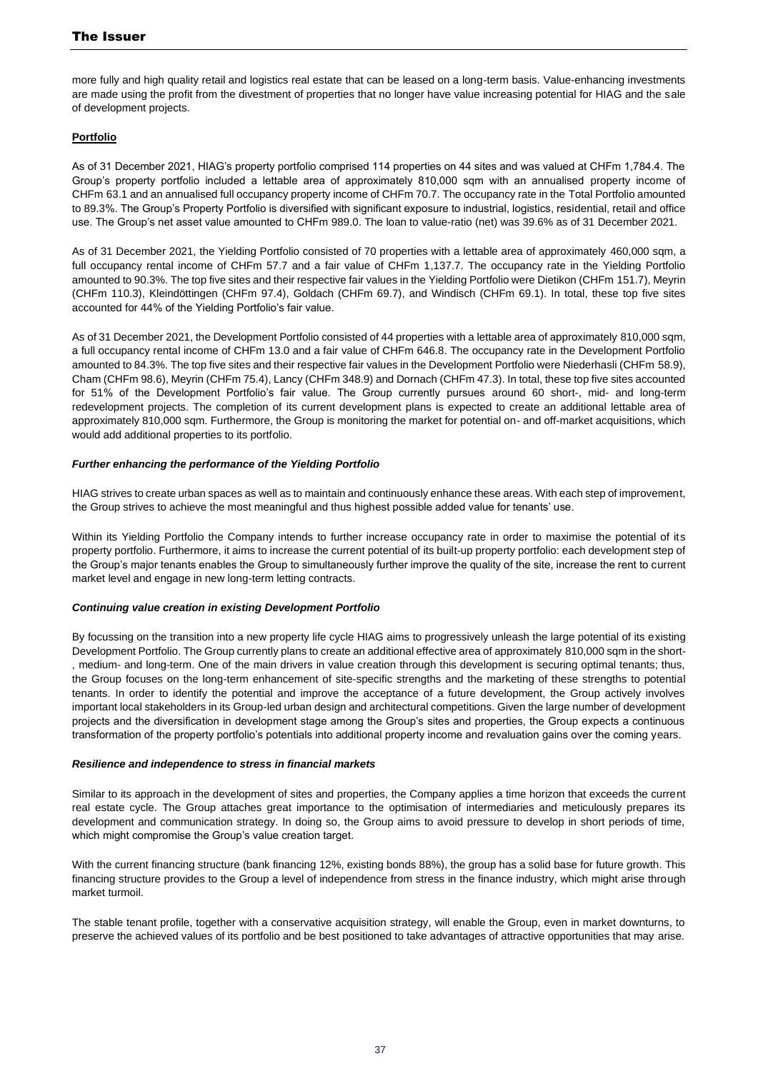more fully and high quality retail and logistics real estate that can be leased on a long-term basis. Value-enhancing investments are made using the profit from the divestment of properties that no longer have value increasing potential for HIAG and the sale of development projects.

## **Portfolio**

As of 31 December 2021, HIAG's property portfolio comprised 114 properties on 44 sites and was valued at CHFm 1,784.4. The Group's property portfolio included a lettable area of approximately 810,000 sqm with an annualised property income of CHFm 63.1 and an annualised full occupancy property income of CHFm 70.7. The occupancy rate in the Total Portfolio amounted to 89.3%. The Group's Property Portfolio is diversified with significant exposure to industrial, logistics, residential, retail and office use. The Group's net asset value amounted to CHFm 989.0. The loan to value-ratio (net) was 39.6% as of 31 December 2021.

As of 31 December 2021, the Yielding Portfolio consisted of 70 properties with a lettable area of approximately 460,000 sqm, a full occupancy rental income of CHFm 57.7 and a fair value of CHFm 1,137.7. The occupancy rate in the Yielding Portfolio amounted to 90.3%. The top five sites and their respective fair values in the Yielding Portfolio were Dietikon (CHFm 151.7), Meyrin (CHFm 110.3), Kleindöttingen (CHFm 97.4), Goldach (CHFm 69.7), and Windisch (CHFm 69.1). In total, these top five sites accounted for 44% of the Yielding Portfolio's fair value.

As of 31 December 2021, the Development Portfolio consisted of 44 properties with a lettable area of approximately 810,000 sqm, a full occupancy rental income of CHFm 13.0 and a fair value of CHFm 646.8. The occupancy rate in the Development Portfolio amounted to 84.3%. The top five sites and their respective fair values in the Development Portfolio were Niederhasli (CHFm 58.9), Cham (CHFm 98.6), Meyrin (CHFm 75.4), Lancy (CHFm 348.9) and Dornach (CHFm 47.3). In total, these top five sites accounted for 51% of the Development Portfolio's fair value. The Group currently pursues around 60 short-, mid- and long-term redevelopment projects. The completion of its current development plans is expected to create an additional lettable area of approximately 810,000 sqm. Furthermore, the Group is monitoring the market for potential on- and off-market acquisitions, which would add additional properties to its portfolio.

## *Further enhancing the performance of the Yielding Portfolio*

HIAG strives to create urban spaces as well as to maintain and continuously enhance these areas. With each step of improvement, the Group strives to achieve the most meaningful and thus highest possible added value for tenants' use.

Within its Yielding Portfolio the Company intends to further increase occupancy rate in order to maximise the potential of its property portfolio. Furthermore, it aims to increase the current potential of its built-up property portfolio: each development step of the Group's major tenants enables the Group to simultaneously further improve the quality of the site, increase the rent to current market level and engage in new long-term letting contracts.

#### *Continuing value creation in existing Development Portfolio*

By focussing on the transition into a new property life cycle HIAG aims to progressively unleash the large potential of its existing Development Portfolio. The Group currently plans to create an additional effective area of approximately 810,000 sqm in the short- , medium- and long-term. One of the main drivers in value creation through this development is securing optimal tenants; thus, the Group focuses on the long-term enhancement of site-specific strengths and the marketing of these strengths to potential tenants. In order to identify the potential and improve the acceptance of a future development, the Group actively involves important local stakeholders in its Group-led urban design and architectural competitions. Given the large number of development projects and the diversification in development stage among the Group's sites and properties, the Group expects a continuous transformation of the property portfolio's potentials into additional property income and revaluation gains over the coming years.

#### *Resilience and independence to stress in financial markets*

Similar to its approach in the development of sites and properties, the Company applies a time horizon that exceeds the current real estate cycle. The Group attaches great importance to the optimisation of intermediaries and meticulously prepares its development and communication strategy. In doing so, the Group aims to avoid pressure to develop in short periods of time, which might compromise the Group's value creation target.

With the current financing structure (bank financing 12%, existing bonds 88%), the group has a solid base for future growth. This financing structure provides to the Group a level of independence from stress in the finance industry, which might arise through market turmoil.

The stable tenant profile, together with a conservative acquisition strategy, will enable the Group, even in market downturns, to preserve the achieved values of its portfolio and be best positioned to take advantages of attractive opportunities that may arise.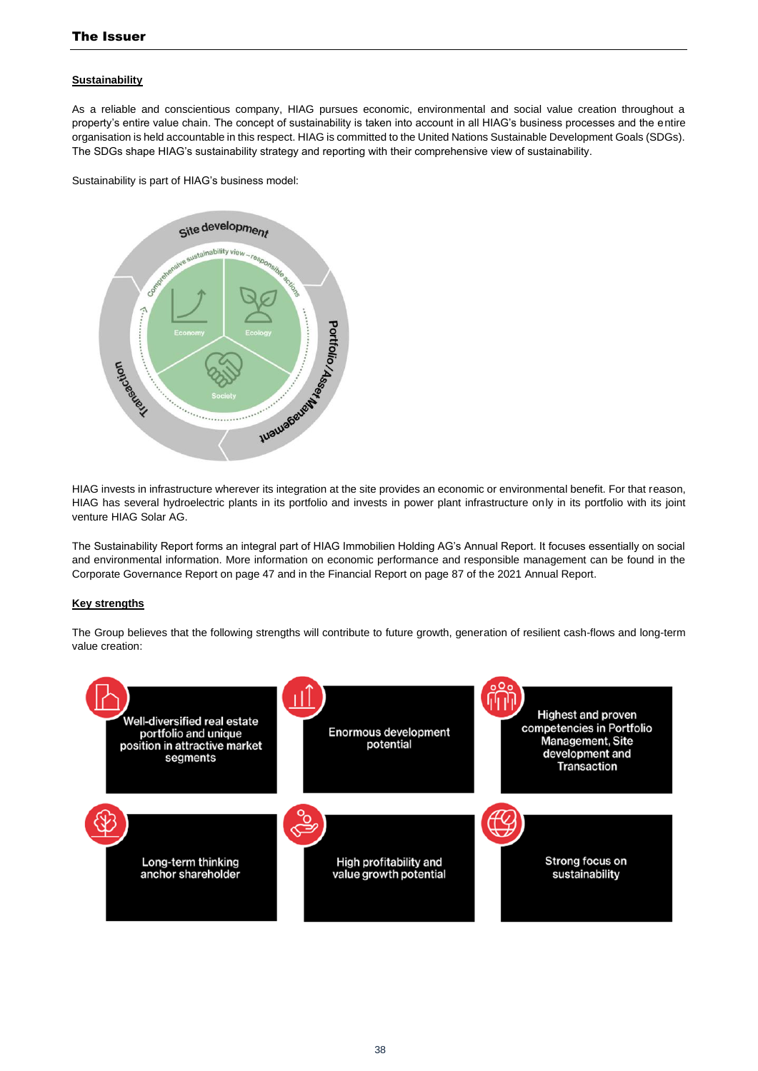## **Sustainability**

As a reliable and conscientious company, HIAG pursues economic, environmental and social value creation throughout a property's entire value chain. The concept of sustainability is taken into account in all HIAG's business processes and the entire organisation is held accountable in this respect. HIAG is committed to the United Nations Sustainable Development Goals (SDGs). The SDGs shape HIAG's sustainability strategy and reporting with their comprehensive view of sustainability.

Sustainability is part of HIAG's business model:



HIAG invests in infrastructure wherever its integration at the site provides an economic or environmental benefit. For that reason, HIAG has several hydroelectric plants in its portfolio and invests in power plant infrastructure only in its portfolio with its joint venture HIAG Solar AG.

The Sustainability Report forms an integral part of HIAG Immobilien Holding AG's Annual Report. It focuses essentially on social and environmental information. More information on economic performance and responsible management can be found in the Corporate Governance Report on page 47 and in the Financial Report on page 87 of the 2021 Annual Report.

#### **Key strengths**

The Group believes that the following strengths will contribute to future growth, generation of resilient cash-flows and long-term value creation:

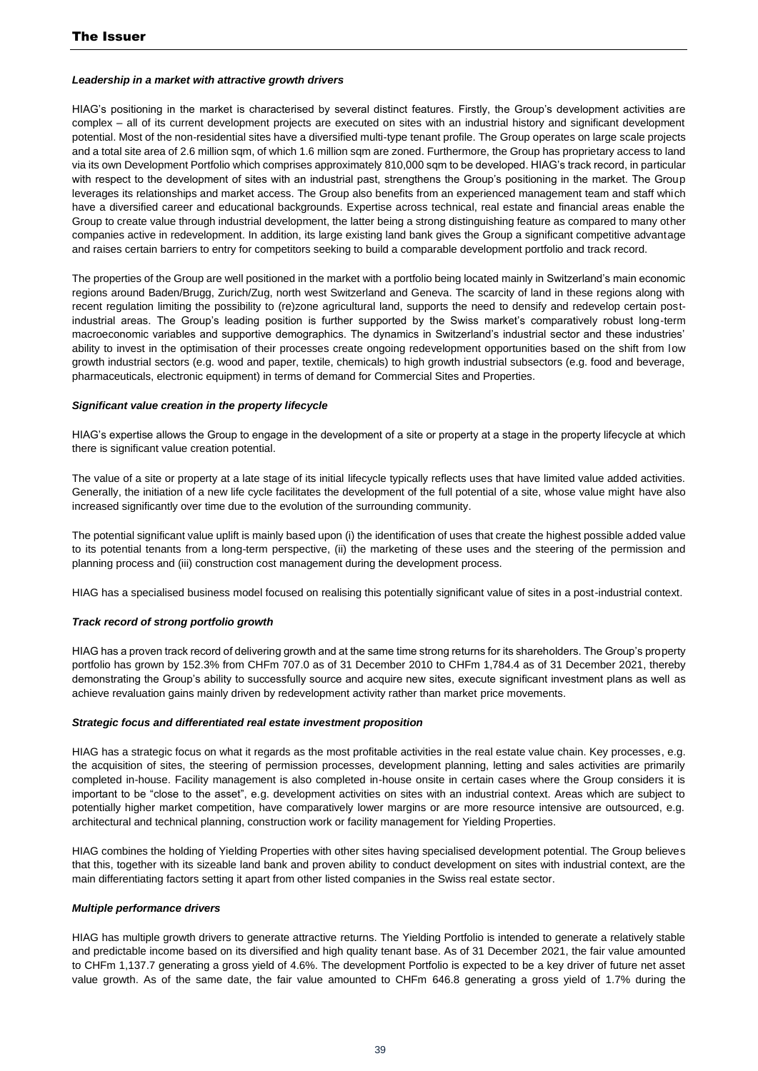#### *Leadership in a market with attractive growth drivers*

HIAG's positioning in the market is characterised by several distinct features. Firstly, the Group's development activities are complex – all of its current development projects are executed on sites with an industrial history and significant development potential. Most of the non-residential sites have a diversified multi-type tenant profile. The Group operates on large scale projects and a total site area of 2.6 million sqm, of which 1.6 million sqm are zoned. Furthermore, the Group has proprietary access to land via its own Development Portfolio which comprises approximately 810,000 sqm to be developed. HIAG's track record, in particular with respect to the development of sites with an industrial past, strengthens the Group's positioning in the market. The Group leverages its relationships and market access. The Group also benefits from an experienced management team and staff which have a diversified career and educational backgrounds. Expertise across technical, real estate and financial areas enable the Group to create value through industrial development, the latter being a strong distinguishing feature as compared to many other companies active in redevelopment. In addition, its large existing land bank gives the Group a significant competitive advantage and raises certain barriers to entry for competitors seeking to build a comparable development portfolio and track record.

The properties of the Group are well positioned in the market with a portfolio being located mainly in Switzerland's main economic regions around Baden/Brugg, Zurich/Zug, north west Switzerland and Geneva. The scarcity of land in these regions along with recent regulation limiting the possibility to (re)zone agricultural land, supports the need to densify and redevelop certain postindustrial areas. The Group's leading position is further supported by the Swiss market's comparatively robust long-term macroeconomic variables and supportive demographics. The dynamics in Switzerland's industrial sector and these industries' ability to invest in the optimisation of their processes create ongoing redevelopment opportunities based on the shift from low growth industrial sectors (e.g. wood and paper, textile, chemicals) to high growth industrial subsectors (e.g. food and beverage, pharmaceuticals, electronic equipment) in terms of demand for Commercial Sites and Properties.

#### *Significant value creation in the property lifecycle*

HIAG's expertise allows the Group to engage in the development of a site or property at a stage in the property lifecycle at which there is significant value creation potential.

The value of a site or property at a late stage of its initial lifecycle typically reflects uses that have limited value added activities. Generally, the initiation of a new life cycle facilitates the development of the full potential of a site, whose value might have also increased significantly over time due to the evolution of the surrounding community.

The potential significant value uplift is mainly based upon (i) the identification of uses that create the highest possible added value to its potential tenants from a long-term perspective, (ii) the marketing of these uses and the steering of the permission and planning process and (iii) construction cost management during the development process.

HIAG has a specialised business model focused on realising this potentially significant value of sites in a post-industrial context.

## *Track record of strong portfolio growth*

HIAG has a proven track record of delivering growth and at the same time strong returns for its shareholders. The Group's property portfolio has grown by 152.3% from CHFm 707.0 as of 31 December 2010 to CHFm 1,784.4 as of 31 December 2021, thereby demonstrating the Group's ability to successfully source and acquire new sites, execute significant investment plans as well as achieve revaluation gains mainly driven by redevelopment activity rather than market price movements.

#### *Strategic focus and differentiated real estate investment proposition*

HIAG has a strategic focus on what it regards as the most profitable activities in the real estate value chain. Key processes, e.g. the acquisition of sites, the steering of permission processes, development planning, letting and sales activities are primarily completed in-house. Facility management is also completed in-house onsite in certain cases where the Group considers it is important to be "close to the asset", e.g. development activities on sites with an industrial context. Areas which are subject to potentially higher market competition, have comparatively lower margins or are more resource intensive are outsourced, e.g. architectural and technical planning, construction work or facility management for Yielding Properties.

HIAG combines the holding of Yielding Properties with other sites having specialised development potential. The Group believes that this, together with its sizeable land bank and proven ability to conduct development on sites with industrial context, are the main differentiating factors setting it apart from other listed companies in the Swiss real estate sector.

#### *Multiple performance drivers*

HIAG has multiple growth drivers to generate attractive returns. The Yielding Portfolio is intended to generate a relatively stable and predictable income based on its diversified and high quality tenant base. As of 31 December 2021, the fair value amounted to CHFm 1,137.7 generating a gross yield of 4.6%. The development Portfolio is expected to be a key driver of future net asset value growth. As of the same date, the fair value amounted to CHFm 646.8 generating a gross yield of 1.7% during the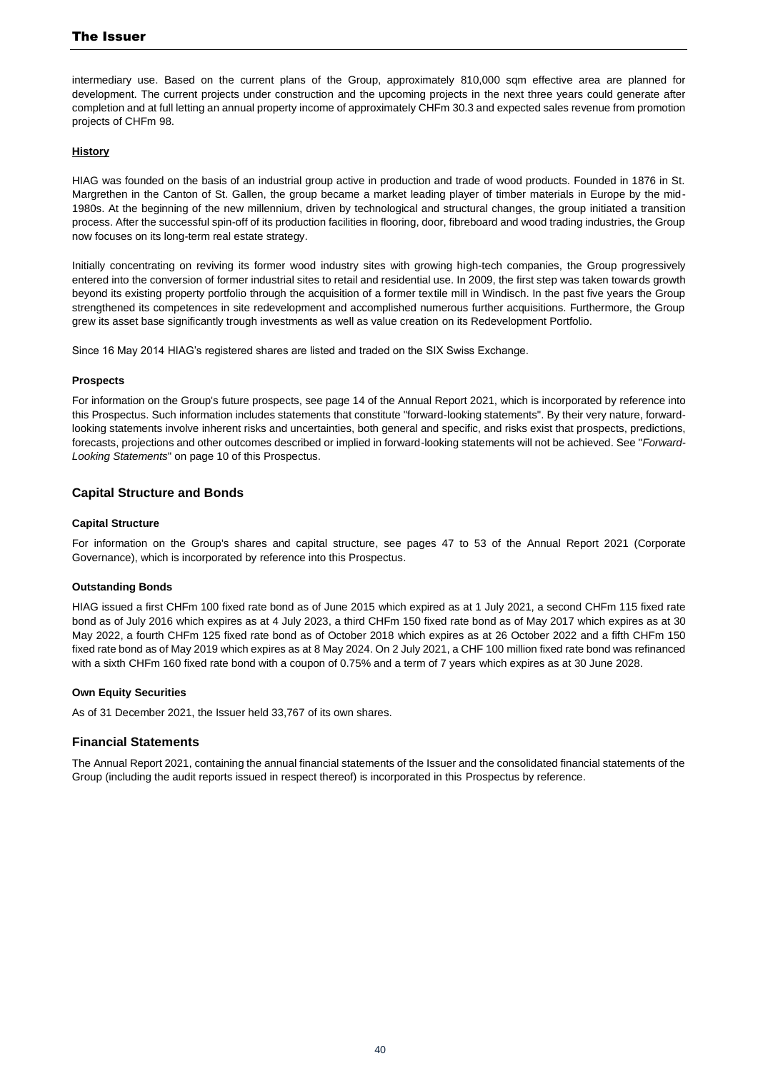intermediary use. Based on the current plans of the Group, approximately 810,000 sqm effective area are planned for development. The current projects under construction and the upcoming projects in the next three years could generate after completion and at full letting an annual property income of approximately CHFm 30.3 and expected sales revenue from promotion projects of CHFm 98.

#### **History**

HIAG was founded on the basis of an industrial group active in production and trade of wood products. Founded in 1876 in St. Margrethen in the Canton of St. Gallen, the group became a market leading player of timber materials in Europe by the mid-1980s. At the beginning of the new millennium, driven by technological and structural changes, the group initiated a transition process. After the successful spin-off of its production facilities in flooring, door, fibreboard and wood trading industries, the Group now focuses on its long-term real estate strategy.

Initially concentrating on reviving its former wood industry sites with growing high-tech companies, the Group progressively entered into the conversion of former industrial sites to retail and residential use. In 2009, the first step was taken towards growth beyond its existing property portfolio through the acquisition of a former textile mill in Windisch. In the past five years the Group strengthened its competences in site redevelopment and accomplished numerous further acquisitions. Furthermore, the Group grew its asset base significantly trough investments as well as value creation on its Redevelopment Portfolio.

Since 16 May 2014 HIAG's registered shares are listed and traded on the SIX Swiss Exchange.

#### **Prospects**

For information on the Group's future prospects, see page 14 of the Annual Report 2021, which is incorporated by reference into this Prospectus. Such information includes statements that constitute "forward-looking statements". By their very nature, forwardlooking statements involve inherent risks and uncertainties, both general and specific, and risks exist that prospects, predictions, forecasts, projections and other outcomes described or implied in forward-looking statements will not be achieved. See "*Forward-Looking Statements*" on page [10](#page-9-0) of this Prospectus.

#### **Capital Structure and Bonds**

#### **Capital Structure**

For information on the Group's shares and capital structure, see pages 47 to 53 of the Annual Report 2021 (Corporate Governance), which is incorporated by reference into this Prospectus.

#### **Outstanding Bonds**

HIAG issued a first CHFm 100 fixed rate bond as of June 2015 which expired as at 1 July 2021, a second CHFm 115 fixed rate bond as of July 2016 which expires as at 4 July 2023, a third CHFm 150 fixed rate bond as of May 2017 which expires as at 30 May 2022, a fourth CHFm 125 fixed rate bond as of October 2018 which expires as at 26 October 2022 and a fifth CHFm 150 fixed rate bond as of May 2019 which expires as at 8 May 2024. On 2 July 2021, a CHF 100 million fixed rate bond was refinanced with a sixth CHFm 160 fixed rate bond with a coupon of 0.75% and a term of 7 years which expires as at 30 June 2028.

#### **Own Equity Securities**

As of 31 December 2021, the Issuer held 33,767 of its own shares.

#### **Financial Statements**

The Annual Report 2021, containing the annual financial statements of the Issuer and the consolidated financial statements of the Group (including the audit reports issued in respect thereof) is incorporated in this Prospectus by reference.